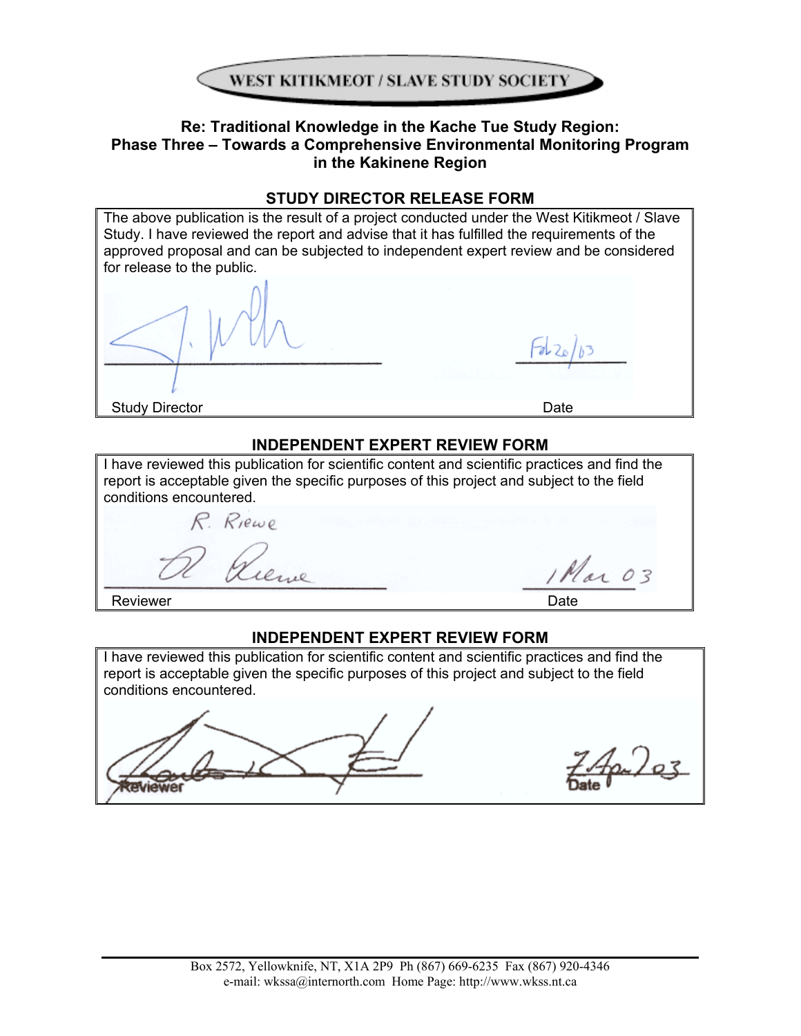

# **Re: Traditional Knowledge in the Kache Tue Study Region: Phase Three – Towards a Comprehensive Environmental Monitoring Program in the Kakinene Region**

# **STUDY DIRECTOR RELEASE FORM**

The above publication is the result of a project conducted under the West Kitikmeot / Slave Study. I have reviewed the report and advise that it has fulfilled the requirements of the approved proposal and can be subjected to independent expert review and be considered for release to the public.

Study Director **Date** 

# **INDEPENDENT EXPERT REVIEW FORM**

| I have reviewed this publication for scientific content and scientific practices and find the<br>report is acceptable given the specific purposes of this project and subject to the field<br>conditions encountered. |        |  |  |
|-----------------------------------------------------------------------------------------------------------------------------------------------------------------------------------------------------------------------|--------|--|--|
| R. Riewe                                                                                                                                                                                                              |        |  |  |
|                                                                                                                                                                                                                       | Mar 03 |  |  |

Reviewer **Date** 

# **INDEPENDENT EXPERT REVIEW FORM**

I have reviewed this publication for scientific content and scientific practices and find the report is acceptable given the specific purposes of this project and subject to the field conditions encountered.



Apr) 03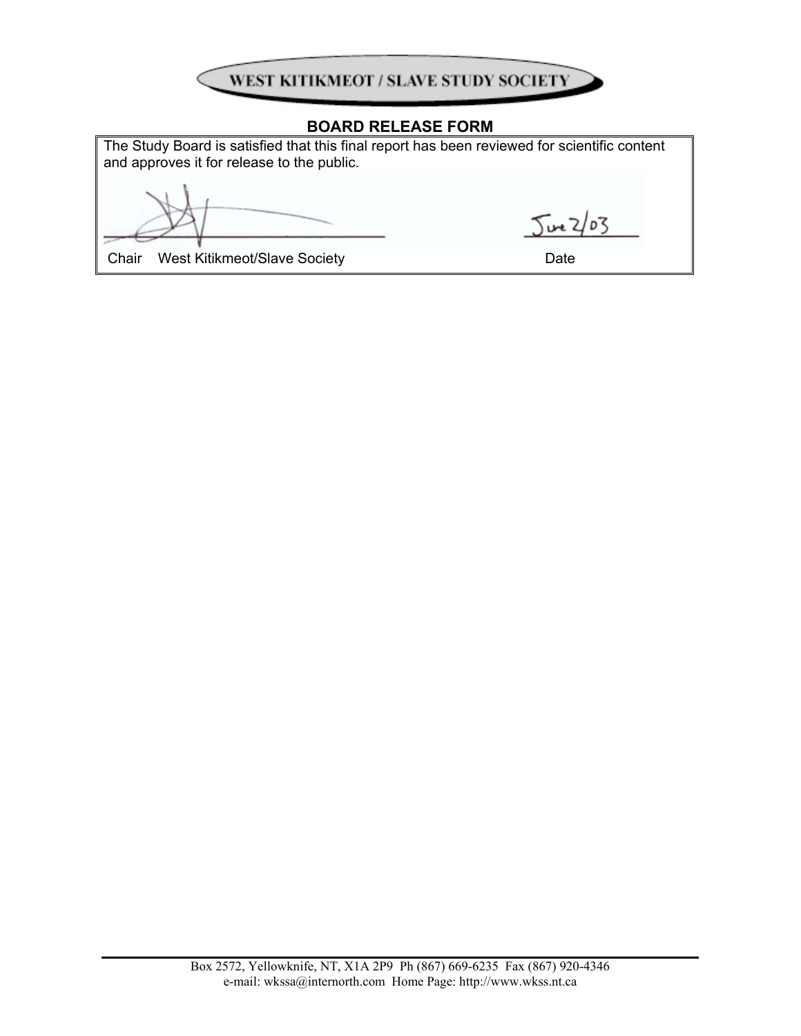

# **BOARD RELEASE FORM**

The Study Board is satisfied that this final report has been reviewed for scientific content and approves it for release to the public.

 $502/03$ 

Chair West Kitikmeot/Slave Society **Date** Date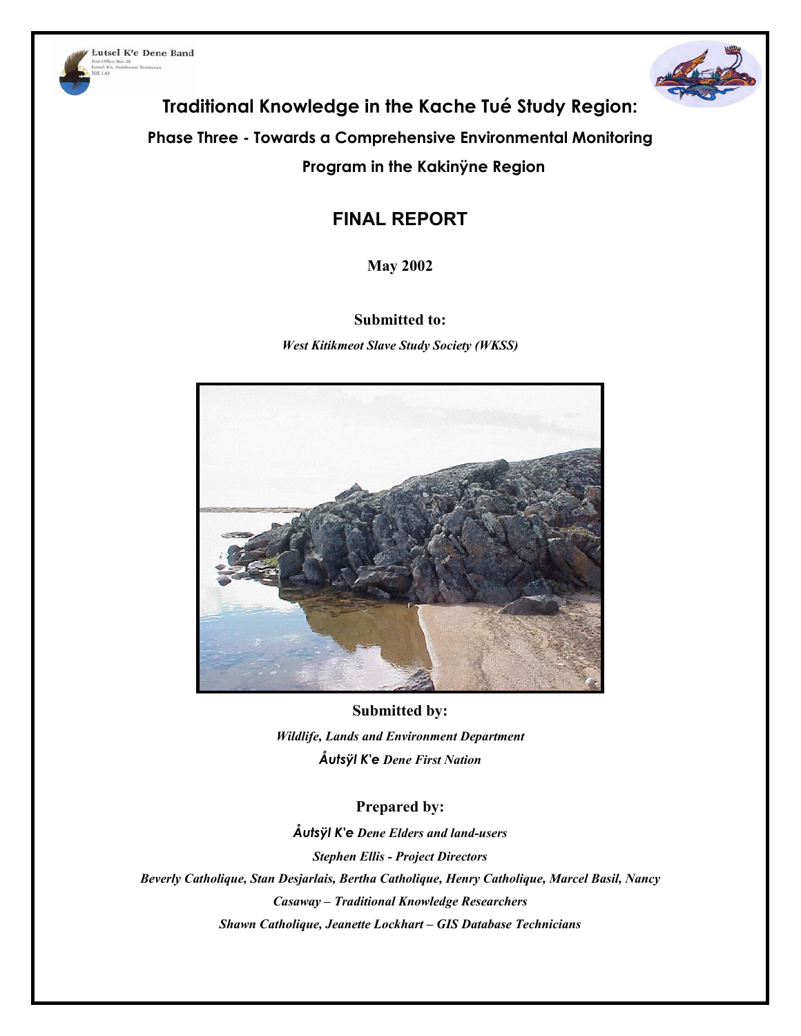



**Traditional Knowledge in the Kache Tué Study Region:** 

**Phase Three - Towards a Comprehensive Environmental Monitoring** 

**Program in the Kakinÿne Region** 

# **FINAL REPORT**

**May 2002** 

# **Submitted to:**

*West Kitikmeot Slave Study Society (WKSS)* 



**Submitted by:**  *Wildlife, Lands and Environment Department Åutsÿl K'e Dene First Nation* 

# **Prepared by:**

*Åutsÿl K'e Dene Elders and land-users Stephen Ellis - Project Directors Beverly Catholique, Stan Desjarlais, Bertha Catholique, Henry Catholique, Marcel Basil, Nancy Casaway – Traditional Knowledge Researchers Shawn Catholique, Jeanette Lockhart – GIS Database Technicians*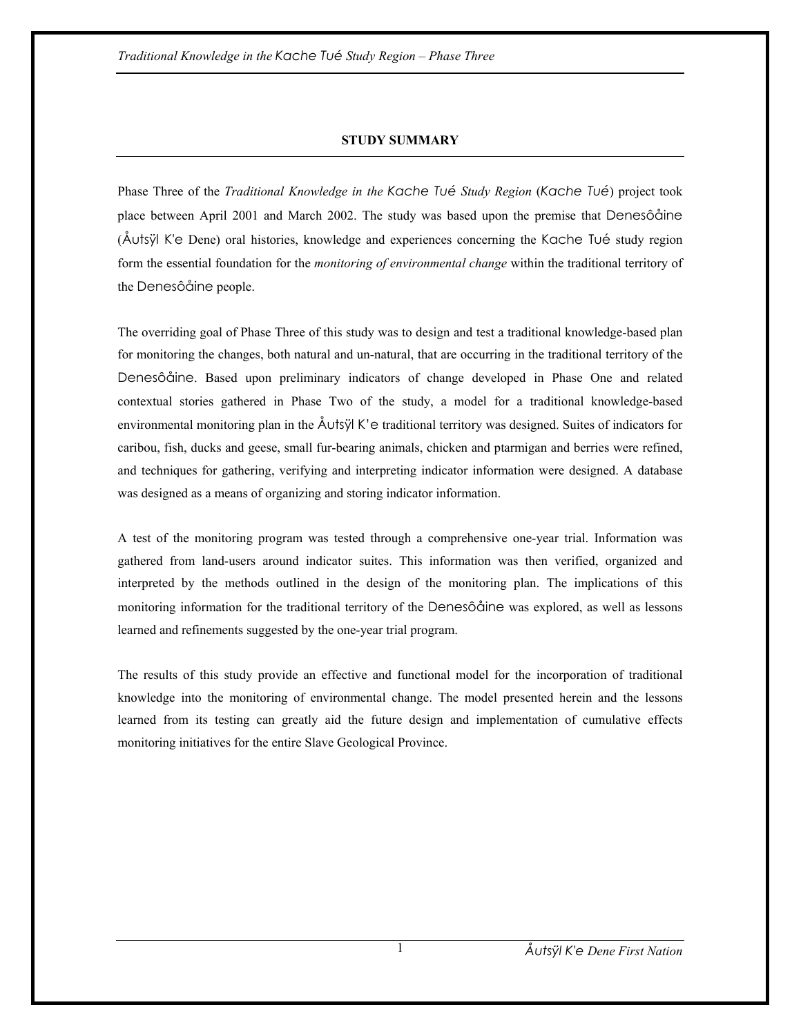## **STUDY SUMMARY**

Phase Three of the *Traditional Knowledge in the Kache Tué Study Region* (*Kache Tué*) project took place between April 2001 and March 2002. The study was based upon the premise that Denesôåine (Åutsÿl K'e Dene) oral histories, knowledge and experiences concerning the Kache Tué study region form the essential foundation for the *monitoring of environmental change* within the traditional territory of the Denesôåine people.

The overriding goal of Phase Three of this study was to design and test a traditional knowledge-based plan for monitoring the changes, both natural and un-natural, that are occurring in the traditional territory of the Denesôåine. Based upon preliminary indicators of change developed in Phase One and related contextual stories gathered in Phase Two of the study, a model for a traditional knowledge-based environmental monitoring plan in the Åutsÿl K'e traditional territory was designed. Suites of indicators for caribou, fish, ducks and geese, small fur-bearing animals, chicken and ptarmigan and berries were refined, and techniques for gathering, verifying and interpreting indicator information were designed. A database was designed as a means of organizing and storing indicator information.

A test of the monitoring program was tested through a comprehensive one-year trial. Information was gathered from land-users around indicator suites. This information was then verified, organized and interpreted by the methods outlined in the design of the monitoring plan. The implications of this monitoring information for the traditional territory of the Denesôåine was explored, as well as lessons learned and refinements suggested by the one-year trial program.

The results of this study provide an effective and functional model for the incorporation of traditional knowledge into the monitoring of environmental change. The model presented herein and the lessons learned from its testing can greatly aid the future design and implementation of cumulative effects monitoring initiatives for the entire Slave Geological Province.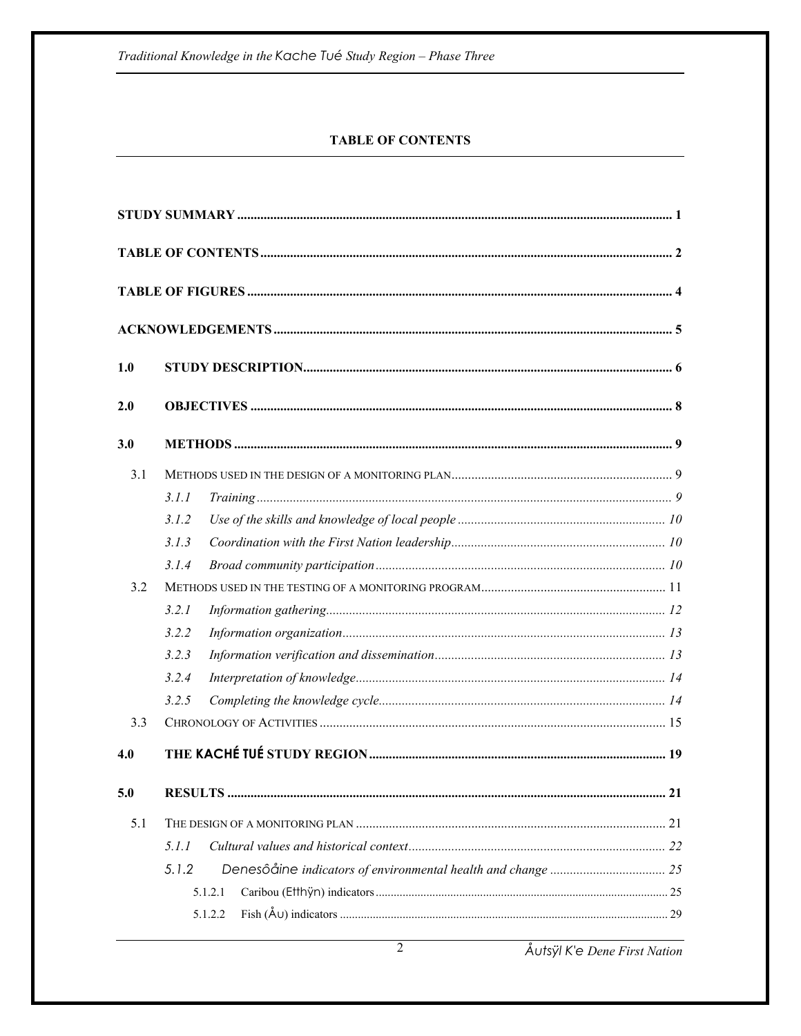## **TABLE OF CONTENTS**

| 1.0 |         |  |
|-----|---------|--|
| 2.0 |         |  |
| 3.0 |         |  |
| 3.1 |         |  |
|     | 3.1.1   |  |
|     | 3.1.2   |  |
|     | 3.1.3   |  |
|     | 3.1.4   |  |
| 3.2 |         |  |
|     | 3.2.1   |  |
|     | 3.2.2   |  |
|     | 3.2.3   |  |
|     | 3.2.4   |  |
|     | 3.2.5   |  |
| 3.3 |         |  |
| 4.0 |         |  |
| 5.0 |         |  |
| 5.1 |         |  |
|     | 5.1.1   |  |
|     | 5.1.2   |  |
|     | 5.1.2.1 |  |
|     | 5.1.2.2 |  |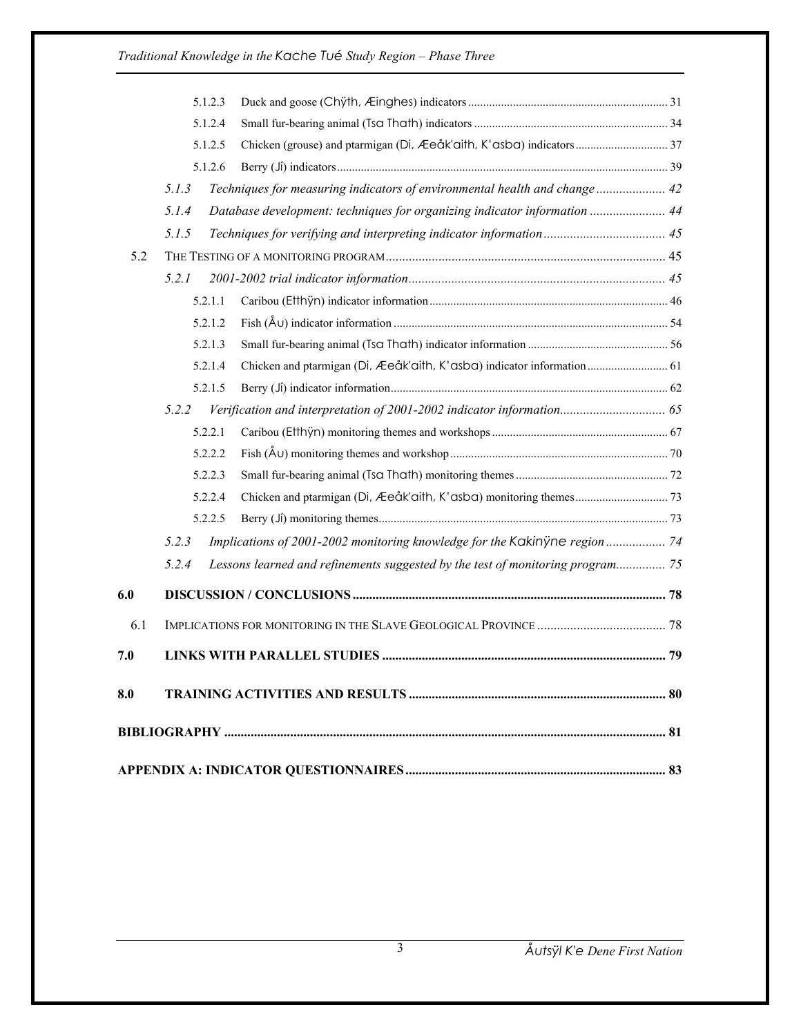| Database development: techniques for organizing indicator information  44      |
|--------------------------------------------------------------------------------|
|                                                                                |
|                                                                                |
|                                                                                |
|                                                                                |
|                                                                                |
|                                                                                |
|                                                                                |
| Chicken and ptarmigan (Di, Æeåk'aith, K'asba) indicator information 61         |
|                                                                                |
| Verification and interpretation of 2001-2002 indicator information 65          |
|                                                                                |
|                                                                                |
|                                                                                |
|                                                                                |
|                                                                                |
| Implications of 2001-2002 monitoring knowledge for the Kakinyne region 74      |
| Lessons learned and refinements suggested by the test of monitoring program 75 |
|                                                                                |
|                                                                                |
|                                                                                |
|                                                                                |
|                                                                                |
|                                                                                |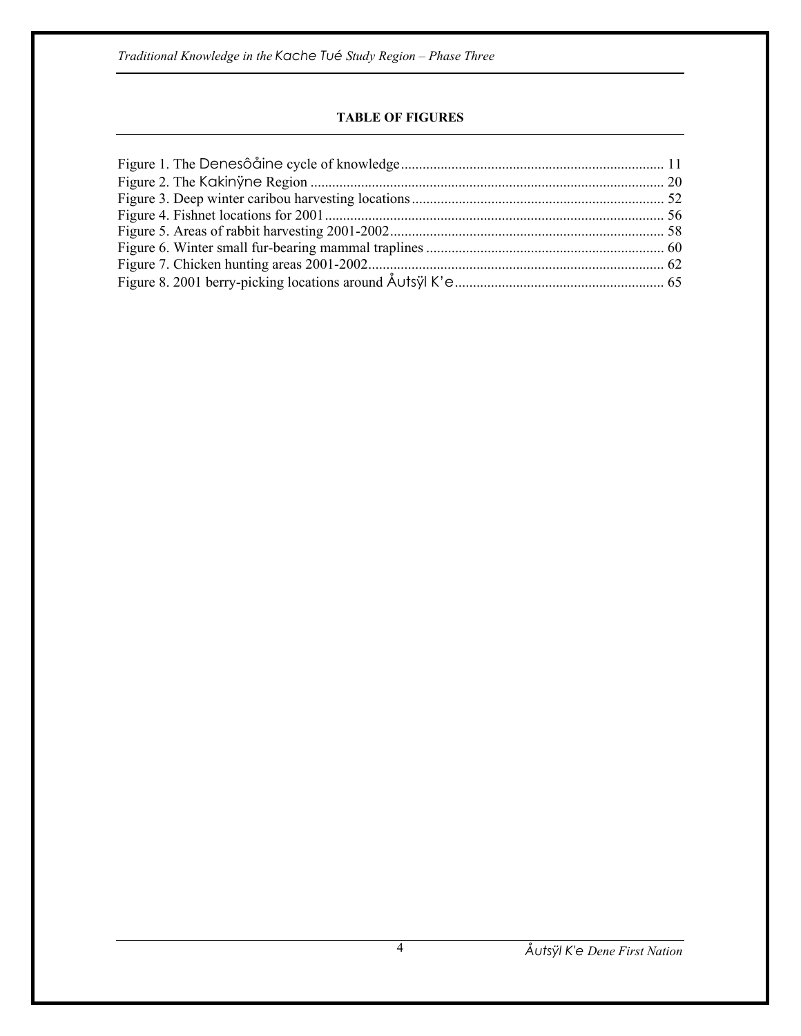## **TABLE OF FIGURES**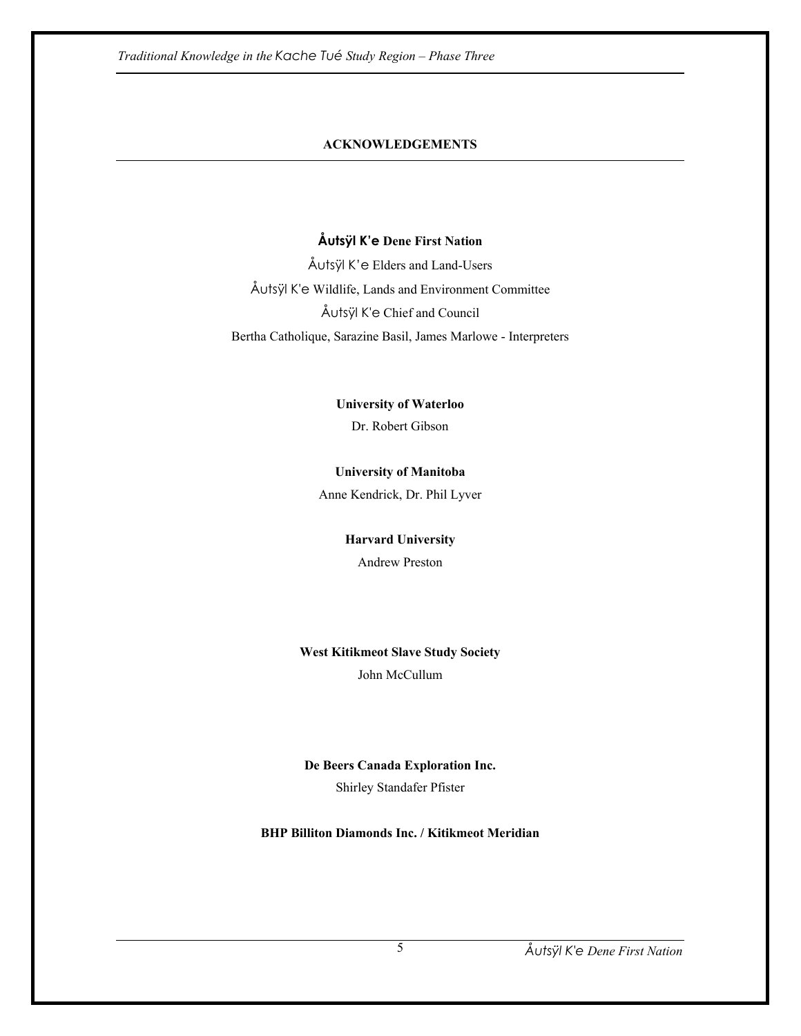## **ACKNOWLEDGEMENTS**

## **Åutsÿl K'e Dene First Nation**

Åutsÿl K'e Elders and Land-Users Åutsÿl K'e Wildlife, Lands and Environment Committee Åutsÿl K'e Chief and Council Bertha Catholique, Sarazine Basil, James Marlowe - Interpreters

**University of Waterloo** 

Dr. Robert Gibson

## **University of Manitoba**

Anne Kendrick, Dr. Phil Lyver

#### **Harvard University**

Andrew Preston

# **West Kitikmeot Slave Study Society**

John McCullum

## **De Beers Canada Exploration Inc.**

Shirley Standafer Pfister

**BHP Billiton Diamonds Inc. / Kitikmeot Meridian**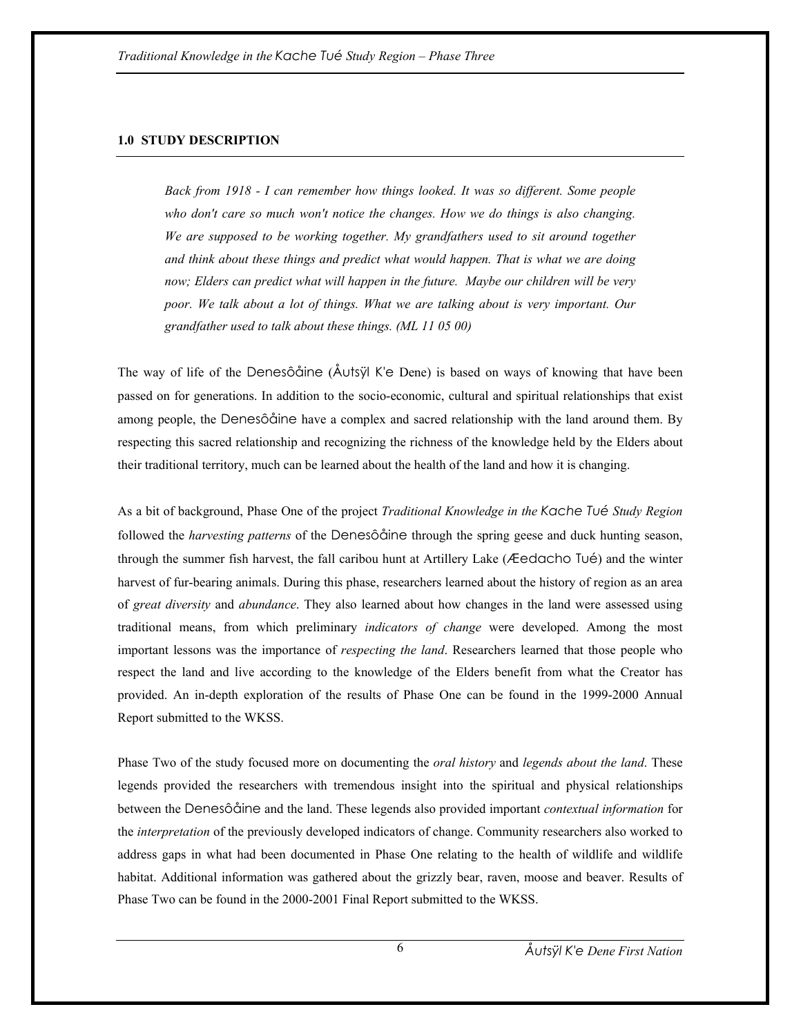## **1.0 STUDY DESCRIPTION**

*Back from 1918 - I can remember how things looked. It was so different. Some people who don't care so much won't notice the changes. How we do things is also changing. We are supposed to be working together. My grandfathers used to sit around together and think about these things and predict what would happen. That is what we are doing now; Elders can predict what will happen in the future. Maybe our children will be very poor. We talk about a lot of things. What we are talking about is very important. Our grandfather used to talk about these things. (ML 11 05 00)* 

The way of life of the Denesôåine (Åutsÿl K'e Dene) is based on ways of knowing that have been passed on for generations. In addition to the socio-economic, cultural and spiritual relationships that exist among people, the Denesôåine have a complex and sacred relationship with the land around them. By respecting this sacred relationship and recognizing the richness of the knowledge held by the Elders about their traditional territory, much can be learned about the health of the land and how it is changing.

As a bit of background, Phase One of the project *Traditional Knowledge in the Kache Tué Study Region* followed the *harvesting patterns* of the Denesôåine through the spring geese and duck hunting season, through the summer fish harvest, the fall caribou hunt at Artillery Lake (Æedacho Tué) and the winter harvest of fur-bearing animals. During this phase, researchers learned about the history of region as an area of *great diversity* and *abundance*. They also learned about how changes in the land were assessed using traditional means, from which preliminary *indicators of change* were developed. Among the most important lessons was the importance of *respecting the land*. Researchers learned that those people who respect the land and live according to the knowledge of the Elders benefit from what the Creator has provided. An in-depth exploration of the results of Phase One can be found in the 1999-2000 Annual Report submitted to the WKSS.

Phase Two of the study focused more on documenting the *oral history* and *legends about the land*. These legends provided the researchers with tremendous insight into the spiritual and physical relationships between the Denesôåine and the land. These legends also provided important *contextual information* for the *interpretation* of the previously developed indicators of change. Community researchers also worked to address gaps in what had been documented in Phase One relating to the health of wildlife and wildlife habitat. Additional information was gathered about the grizzly bear, raven, moose and beaver. Results of Phase Two can be found in the 2000-2001 Final Report submitted to the WKSS.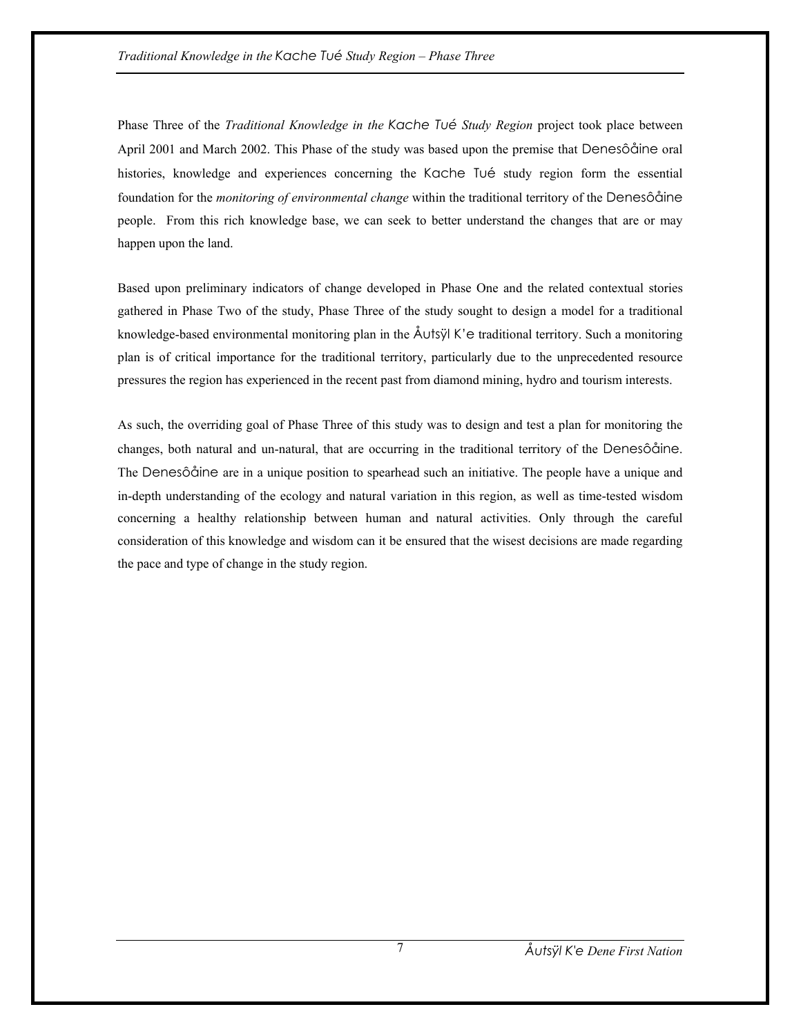Phase Three of the *Traditional Knowledge in the Kache Tué Study Region* project took place between April 2001 and March 2002. This Phase of the study was based upon the premise that Denesôåine oral histories, knowledge and experiences concerning the Kache Tué study region form the essential foundation for the *monitoring of environmental change* within the traditional territory of the Denesôåine people. From this rich knowledge base, we can seek to better understand the changes that are or may happen upon the land.

Based upon preliminary indicators of change developed in Phase One and the related contextual stories gathered in Phase Two of the study, Phase Three of the study sought to design a model for a traditional knowledge-based environmental monitoring plan in the Åutsÿl K'e traditional territory. Such a monitoring plan is of critical importance for the traditional territory, particularly due to the unprecedented resource pressures the region has experienced in the recent past from diamond mining, hydro and tourism interests.

As such, the overriding goal of Phase Three of this study was to design and test a plan for monitoring the changes, both natural and un-natural, that are occurring in the traditional territory of the Denesôåine. The Denesôåine are in a unique position to spearhead such an initiative. The people have a unique and in-depth understanding of the ecology and natural variation in this region, as well as time-tested wisdom concerning a healthy relationship between human and natural activities. Only through the careful consideration of this knowledge and wisdom can it be ensured that the wisest decisions are made regarding the pace and type of change in the study region.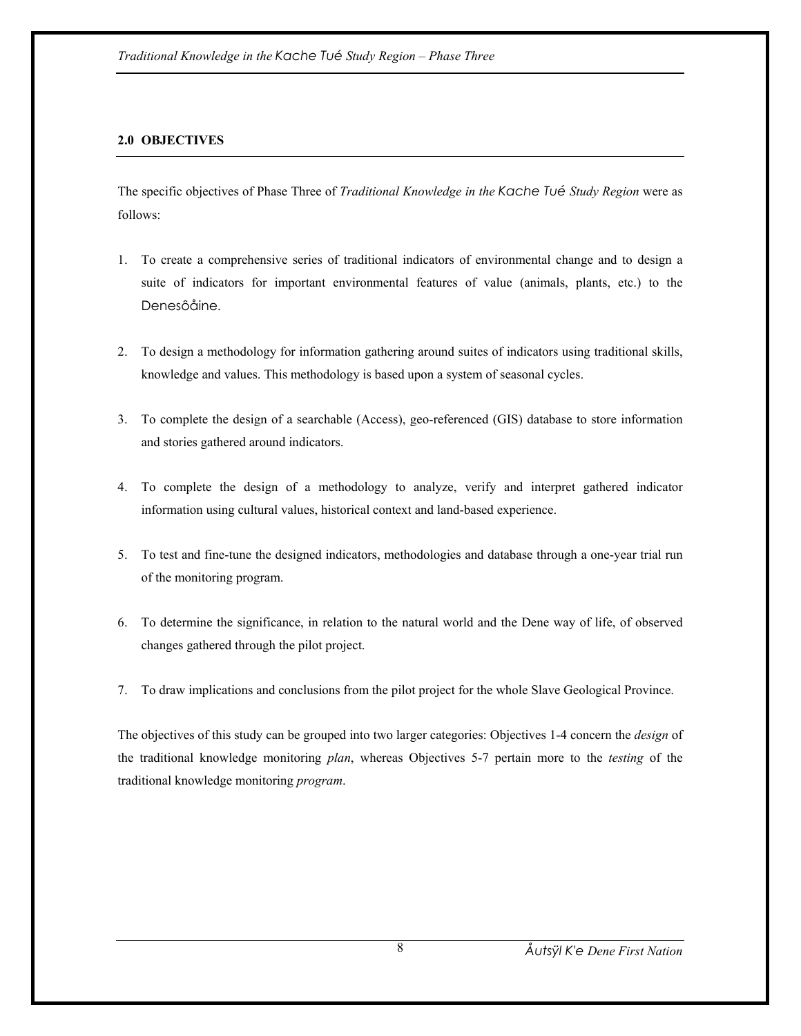## **2.0 OBJECTIVES**

The specific objectives of Phase Three of *Traditional Knowledge in the Kache Tué Study Region* were as follows:

- 1. To create a comprehensive series of traditional indicators of environmental change and to design a suite of indicators for important environmental features of value (animals, plants, etc.) to the Denesôåine.
- 2. To design a methodology for information gathering around suites of indicators using traditional skills, knowledge and values. This methodology is based upon a system of seasonal cycles.
- 3. To complete the design of a searchable (Access), geo-referenced (GIS) database to store information and stories gathered around indicators.
- 4. To complete the design of a methodology to analyze, verify and interpret gathered indicator information using cultural values, historical context and land-based experience.
- 5. To test and fine-tune the designed indicators, methodologies and database through a one-year trial run of the monitoring program.
- 6. To determine the significance, in relation to the natural world and the Dene way of life, of observed changes gathered through the pilot project.
- 7. To draw implications and conclusions from the pilot project for the whole Slave Geological Province.

The objectives of this study can be grouped into two larger categories: Objectives 1-4 concern the *design* of the traditional knowledge monitoring *plan*, whereas Objectives 5-7 pertain more to the *testing* of the traditional knowledge monitoring *program*.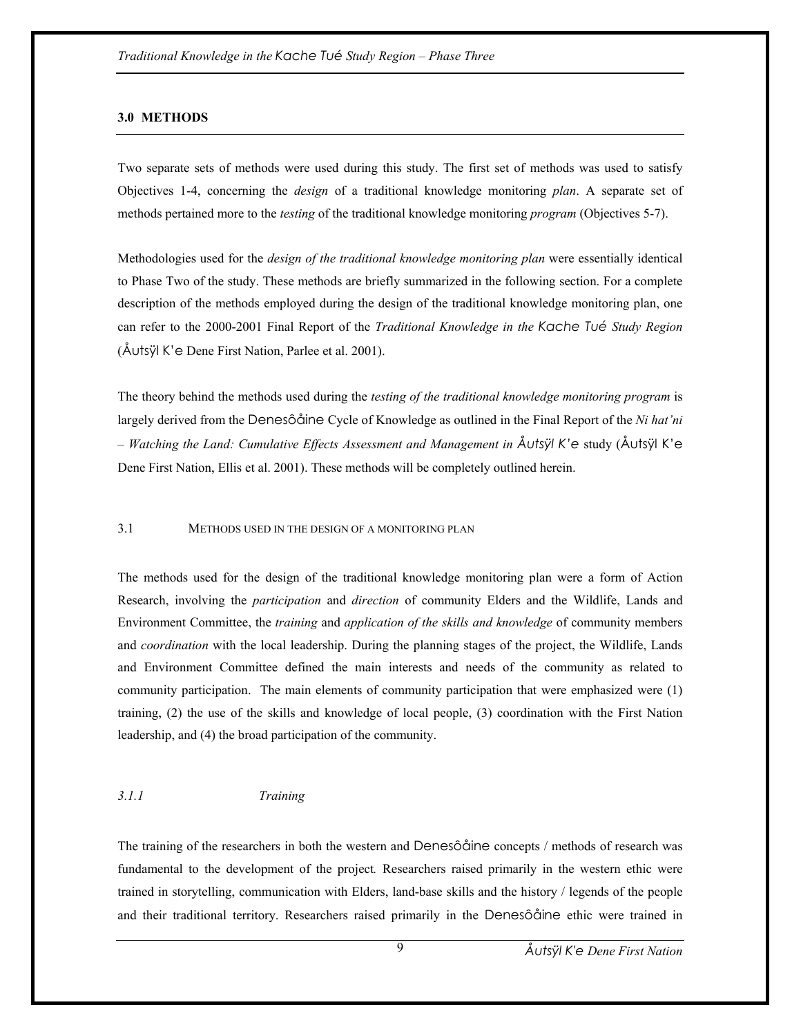#### **3.0 METHODS**

Two separate sets of methods were used during this study. The first set of methods was used to satisfy Objectives 1-4, concerning the *design* of a traditional knowledge monitoring *plan*. A separate set of methods pertained more to the *testing* of the traditional knowledge monitoring *program* (Objectives 5-7).

Methodologies used for the *design of the traditional knowledge monitoring plan* were essentially identical to Phase Two of the study. These methods are briefly summarized in the following section. For a complete description of the methods employed during the design of the traditional knowledge monitoring plan, one can refer to the 2000-2001 Final Report of the *Traditional Knowledge in the Kache Tué Study Region*  (Åutsÿl K'e Dene First Nation, Parlee et al. 2001).

The theory behind the methods used during the *testing of the traditional knowledge monitoring program* is largely derived from the Denesôåine Cycle of Knowledge as outlined in the Final Report of the *Ni hat'ni – Watching the Land: Cumulative Effects Assessment and Management in Åutsÿl K'e* study (Åutsÿl K'e Dene First Nation, Ellis et al. 2001). These methods will be completely outlined herein.

#### 3.1 METHODS USED IN THE DESIGN OF A MONITORING PLAN

The methods used for the design of the traditional knowledge monitoring plan were a form of Action Research, involving the *participation* and *direction* of community Elders and the Wildlife, Lands and Environment Committee, the *training* and *application of the skills and knowledge* of community members and *coordination* with the local leadership. During the planning stages of the project, the Wildlife, Lands and Environment Committee defined the main interests and needs of the community as related to community participation. The main elements of community participation that were emphasized were (1) training, (2) the use of the skills and knowledge of local people, (3) coordination with the First Nation leadership, and (4) the broad participation of the community.

## *3.1.1 Training*

The training of the researchers in both the western and Denesôåine concepts / methods of research was fundamental to the development of the project*.* Researchers raised primarily in the western ethic were trained in storytelling, communication with Elders, land-base skills and the history / legends of the people and their traditional territory. Researchers raised primarily in the Denesôåine ethic were trained in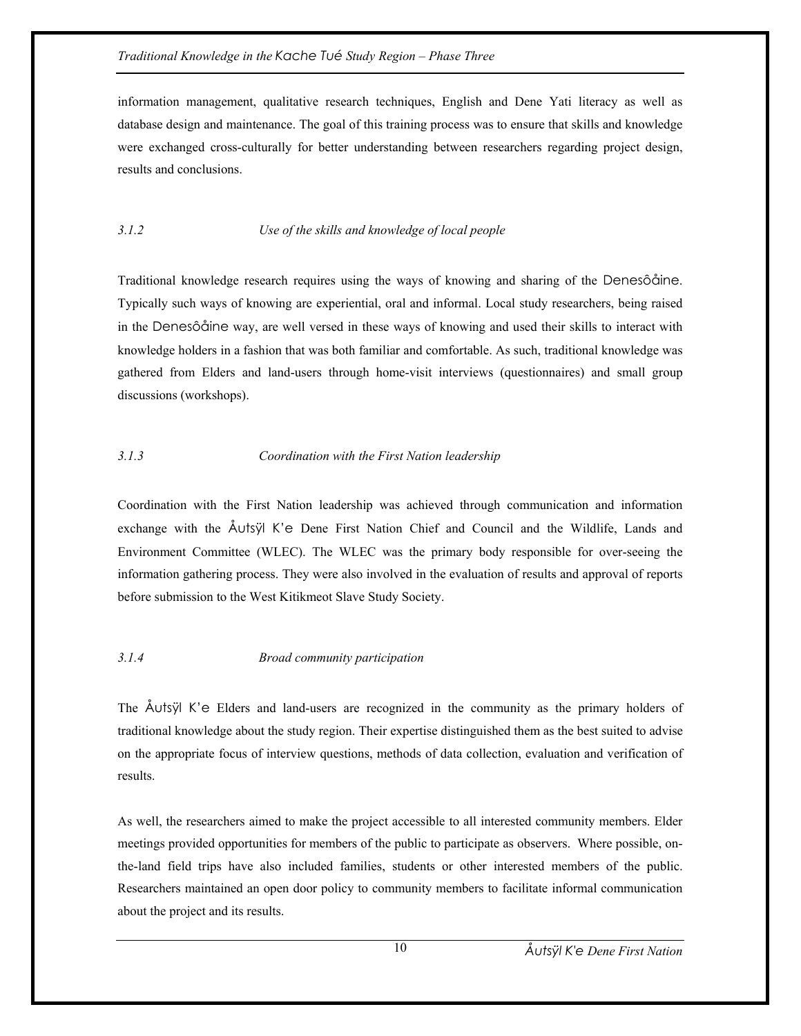information management, qualitative research techniques, English and Dene Yati literacy as well as database design and maintenance. The goal of this training process was to ensure that skills and knowledge were exchanged cross-culturally for better understanding between researchers regarding project design, results and conclusions.

## *3.1.2 Use of the skills and knowledge of local people*

Traditional knowledge research requires using the ways of knowing and sharing of the Denesôåine. Typically such ways of knowing are experiential, oral and informal. Local study researchers, being raised in the Denesôåine way, are well versed in these ways of knowing and used their skills to interact with knowledge holders in a fashion that was both familiar and comfortable. As such, traditional knowledge was gathered from Elders and land-users through home-visit interviews (questionnaires) and small group discussions (workshops).

## *3.1.3 Coordination with the First Nation leadership*

Coordination with the First Nation leadership was achieved through communication and information exchange with the Åutsÿl K'e Dene First Nation Chief and Council and the Wildlife, Lands and Environment Committee (WLEC). The WLEC was the primary body responsible for over-seeing the information gathering process. They were also involved in the evaluation of results and approval of reports before submission to the West Kitikmeot Slave Study Society.

## *3.1.4 Broad community participation*

The Åutsÿl K'e Elders and land-users are recognized in the community as the primary holders of traditional knowledge about the study region. Their expertise distinguished them as the best suited to advise on the appropriate focus of interview questions, methods of data collection, evaluation and verification of results.

As well, the researchers aimed to make the project accessible to all interested community members. Elder meetings provided opportunities for members of the public to participate as observers. Where possible, onthe-land field trips have also included families, students or other interested members of the public. Researchers maintained an open door policy to community members to facilitate informal communication about the project and its results.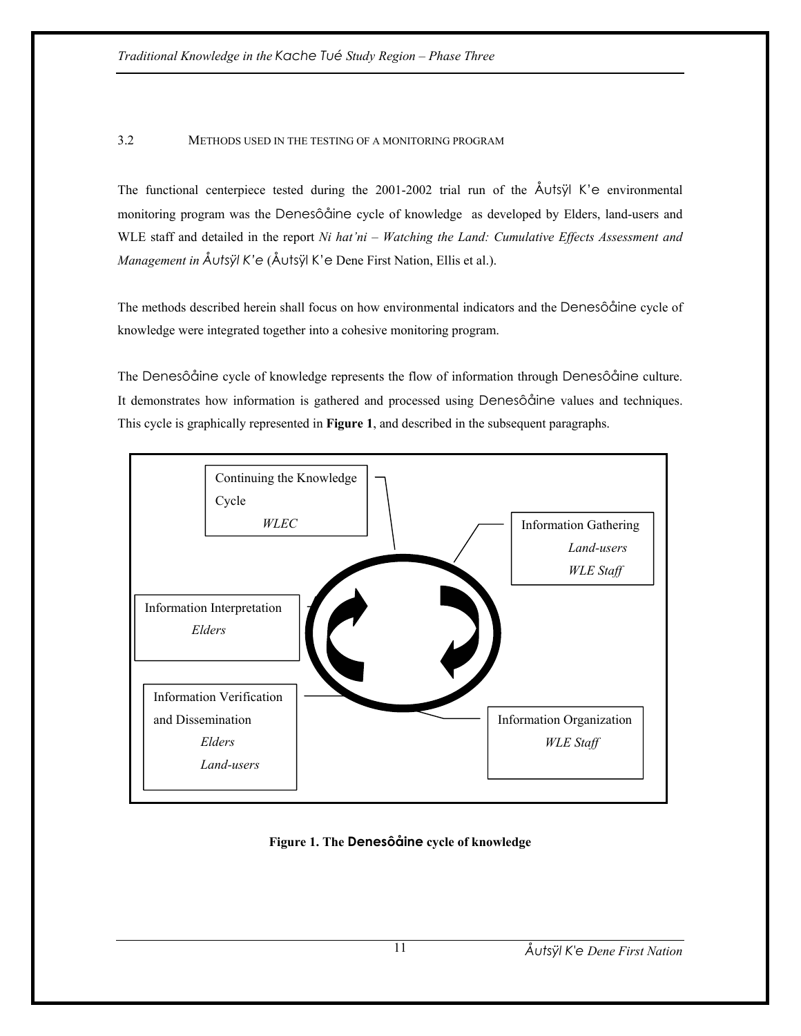## 3.2 METHODS USED IN THE TESTING OF A MONITORING PROGRAM

The functional centerpiece tested during the 2001-2002 trial run of the  $\text{\AA}$ utsÿl K'e environmental monitoring program was the Denesôåine cycle of knowledge as developed by Elders, land-users and WLE staff and detailed in the report *Ni hat'ni – Watching the Land: Cumulative Effects Assessment and Management in Åutsÿl K'e* (Åutsÿl K'e Dene First Nation, Ellis et al.).

The methods described herein shall focus on how environmental indicators and the Denesôåine cycle of knowledge were integrated together into a cohesive monitoring program.

The Denesôåine cycle of knowledge represents the flow of information through Denesôåine culture. It demonstrates how information is gathered and processed using Denesôåine values and techniques. This cycle is graphically represented in **Figure 1**, and described in the subsequent paragraphs.



**Figure 1. The Denesôåine cycle of knowledge**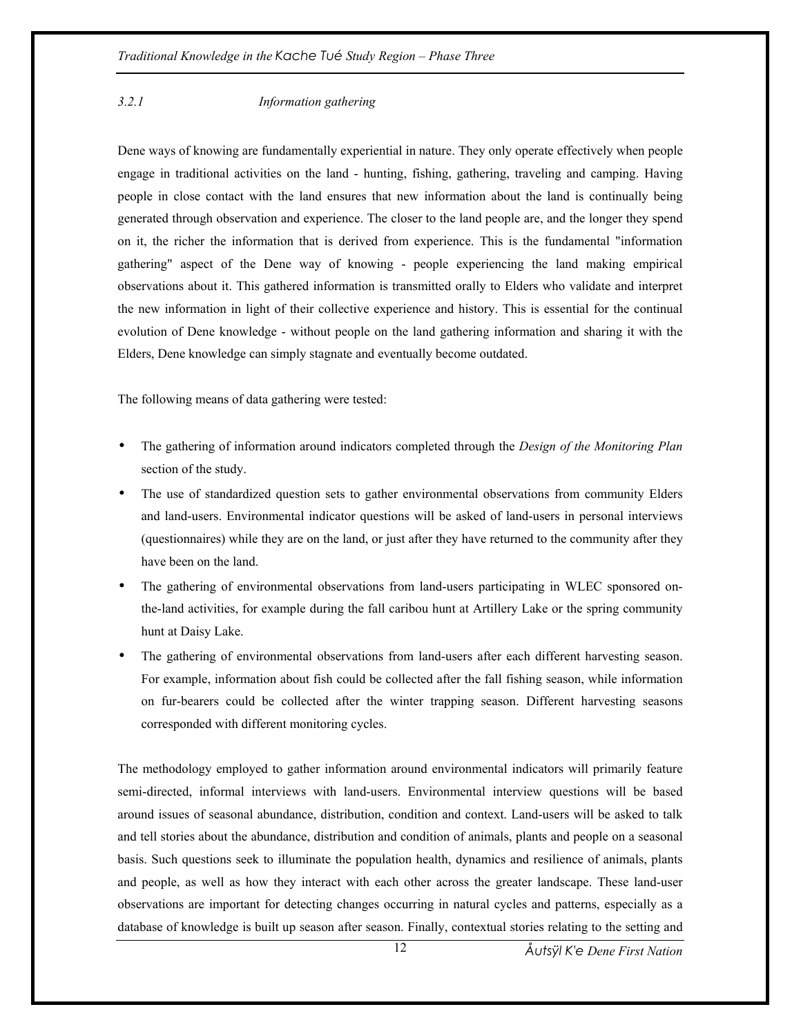## *3.2.1 Information gathering*

Dene ways of knowing are fundamentally experiential in nature. They only operate effectively when people engage in traditional activities on the land - hunting, fishing, gathering, traveling and camping. Having people in close contact with the land ensures that new information about the land is continually being generated through observation and experience. The closer to the land people are, and the longer they spend on it, the richer the information that is derived from experience. This is the fundamental "information gathering" aspect of the Dene way of knowing - people experiencing the land making empirical observations about it. This gathered information is transmitted orally to Elders who validate and interpret the new information in light of their collective experience and history. This is essential for the continual evolution of Dene knowledge - without people on the land gathering information and sharing it with the Elders, Dene knowledge can simply stagnate and eventually become outdated.

The following means of data gathering were tested:

- The gathering of information around indicators completed through the *Design of the Monitoring Plan* section of the study.
- The use of standardized question sets to gather environmental observations from community Elders and land-users. Environmental indicator questions will be asked of land-users in personal interviews (questionnaires) while they are on the land, or just after they have returned to the community after they have been on the land.
- The gathering of environmental observations from land-users participating in WLEC sponsored onthe-land activities, for example during the fall caribou hunt at Artillery Lake or the spring community hunt at Daisy Lake.
- The gathering of environmental observations from land-users after each different harvesting season. For example, information about fish could be collected after the fall fishing season, while information on fur-bearers could be collected after the winter trapping season. Different harvesting seasons corresponded with different monitoring cycles.

The methodology employed to gather information around environmental indicators will primarily feature semi-directed, informal interviews with land-users. Environmental interview questions will be based around issues of seasonal abundance, distribution, condition and context. Land-users will be asked to talk and tell stories about the abundance, distribution and condition of animals, plants and people on a seasonal basis. Such questions seek to illuminate the population health, dynamics and resilience of animals, plants and people, as well as how they interact with each other across the greater landscape. These land-user observations are important for detecting changes occurring in natural cycles and patterns, especially as a database of knowledge is built up season after season. Finally, contextual stories relating to the setting and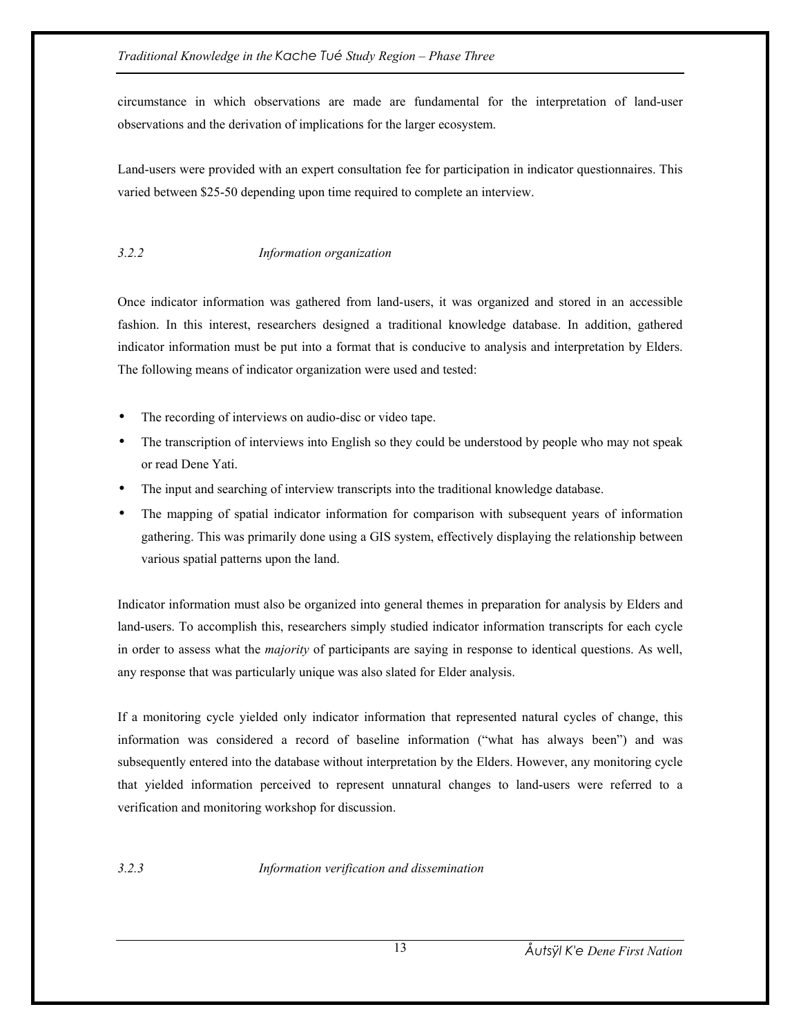circumstance in which observations are made are fundamental for the interpretation of land-user observations and the derivation of implications for the larger ecosystem.

Land-users were provided with an expert consultation fee for participation in indicator questionnaires. This varied between \$25-50 depending upon time required to complete an interview.

## *3.2.2 Information organization*

Once indicator information was gathered from land-users, it was organized and stored in an accessible fashion. In this interest, researchers designed a traditional knowledge database. In addition, gathered indicator information must be put into a format that is conducive to analysis and interpretation by Elders. The following means of indicator organization were used and tested:

- The recording of interviews on audio-disc or video tape.
- The transcription of interviews into English so they could be understood by people who may not speak or read Dene Yati.
- The input and searching of interview transcripts into the traditional knowledge database.
- The mapping of spatial indicator information for comparison with subsequent years of information gathering. This was primarily done using a GIS system, effectively displaying the relationship between various spatial patterns upon the land.

Indicator information must also be organized into general themes in preparation for analysis by Elders and land-users. To accomplish this, researchers simply studied indicator information transcripts for each cycle in order to assess what the *majority* of participants are saying in response to identical questions. As well, any response that was particularly unique was also slated for Elder analysis.

If a monitoring cycle yielded only indicator information that represented natural cycles of change, this information was considered a record of baseline information ("what has always been") and was subsequently entered into the database without interpretation by the Elders. However, any monitoring cycle that yielded information perceived to represent unnatural changes to land-users were referred to a verification and monitoring workshop for discussion.

*3.2.3 Information verification and dissemination*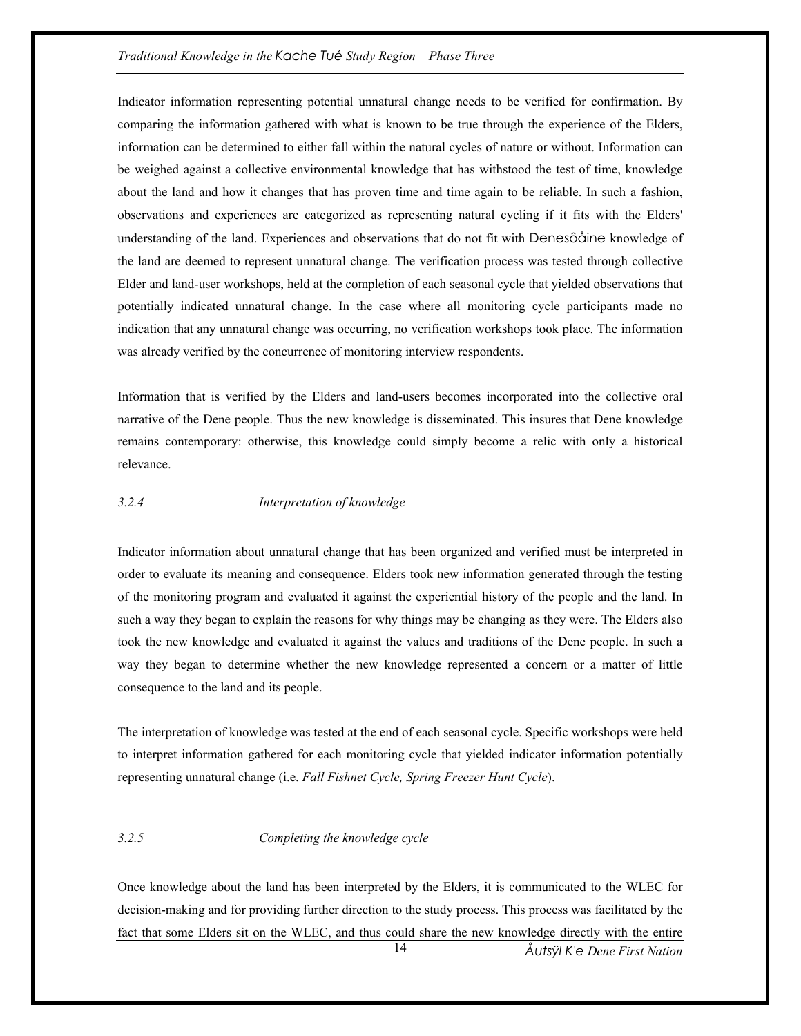Indicator information representing potential unnatural change needs to be verified for confirmation. By comparing the information gathered with what is known to be true through the experience of the Elders, information can be determined to either fall within the natural cycles of nature or without. Information can be weighed against a collective environmental knowledge that has withstood the test of time, knowledge about the land and how it changes that has proven time and time again to be reliable. In such a fashion, observations and experiences are categorized as representing natural cycling if it fits with the Elders' understanding of the land. Experiences and observations that do not fit with Denesôåine knowledge of the land are deemed to represent unnatural change. The verification process was tested through collective Elder and land-user workshops, held at the completion of each seasonal cycle that yielded observations that potentially indicated unnatural change. In the case where all monitoring cycle participants made no indication that any unnatural change was occurring, no verification workshops took place. The information was already verified by the concurrence of monitoring interview respondents.

Information that is verified by the Elders and land-users becomes incorporated into the collective oral narrative of the Dene people. Thus the new knowledge is disseminated. This insures that Dene knowledge remains contemporary: otherwise, this knowledge could simply become a relic with only a historical relevance.

#### *3.2.4 Interpretation of knowledge*

Indicator information about unnatural change that has been organized and verified must be interpreted in order to evaluate its meaning and consequence. Elders took new information generated through the testing of the monitoring program and evaluated it against the experiential history of the people and the land. In such a way they began to explain the reasons for why things may be changing as they were. The Elders also took the new knowledge and evaluated it against the values and traditions of the Dene people. In such a way they began to determine whether the new knowledge represented a concern or a matter of little consequence to the land and its people.

The interpretation of knowledge was tested at the end of each seasonal cycle. Specific workshops were held to interpret information gathered for each monitoring cycle that yielded indicator information potentially representing unnatural change (i.e. *Fall Fishnet Cycle, Spring Freezer Hunt Cycle*).

#### *3.2.5 Completing the knowledge cycle*

Once knowledge about the land has been interpreted by the Elders, it is communicated to the WLEC for decision-making and for providing further direction to the study process. This process was facilitated by the fact that some Elders sit on the WLEC, and thus could share the new knowledge directly with the entire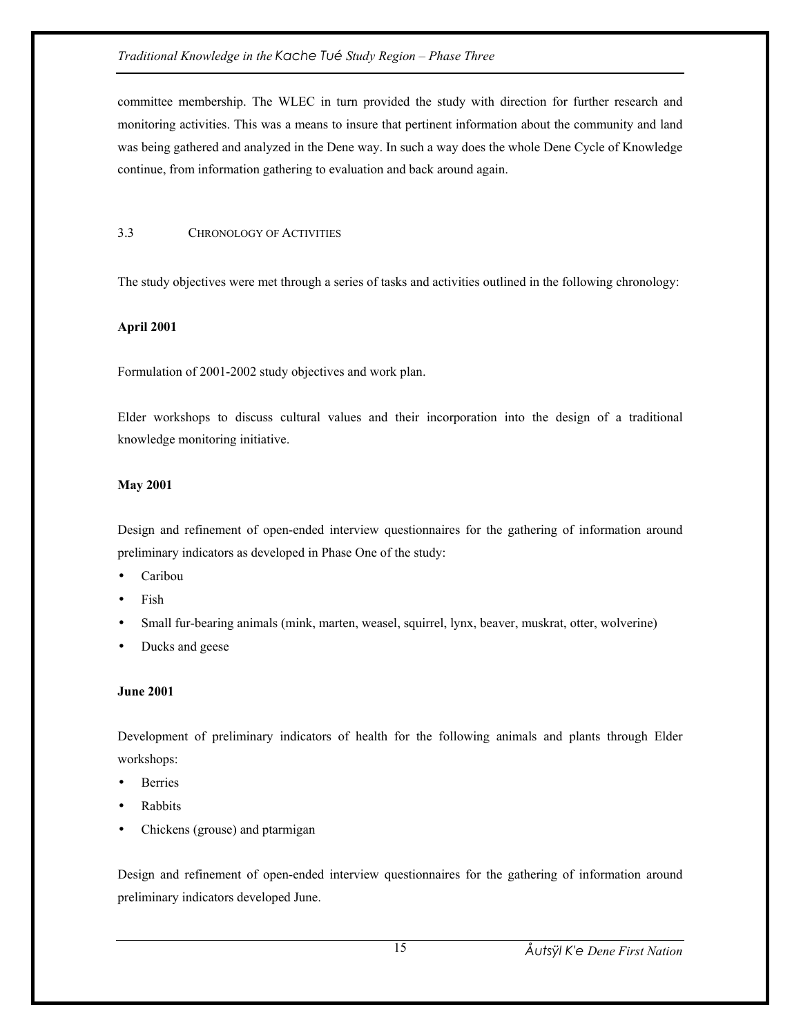committee membership. The WLEC in turn provided the study with direction for further research and monitoring activities. This was a means to insure that pertinent information about the community and land was being gathered and analyzed in the Dene way. In such a way does the whole Dene Cycle of Knowledge continue, from information gathering to evaluation and back around again.

## 3.3 CHRONOLOGY OF ACTIVITIES

The study objectives were met through a series of tasks and activities outlined in the following chronology:

## **April 2001**

Formulation of 2001-2002 study objectives and work plan.

Elder workshops to discuss cultural values and their incorporation into the design of a traditional knowledge monitoring initiative.

## **May 2001**

Design and refinement of open-ended interview questionnaires for the gathering of information around preliminary indicators as developed in Phase One of the study:

- Caribou
- Fish
- Small fur-bearing animals (mink, marten, weasel, squirrel, lynx, beaver, muskrat, otter, wolverine)
- Ducks and geese

## **June 2001**

Development of preliminary indicators of health for the following animals and plants through Elder workshops:

- **Berries**
- **Rabbits**
- Chickens (grouse) and ptarmigan

Design and refinement of open-ended interview questionnaires for the gathering of information around preliminary indicators developed June.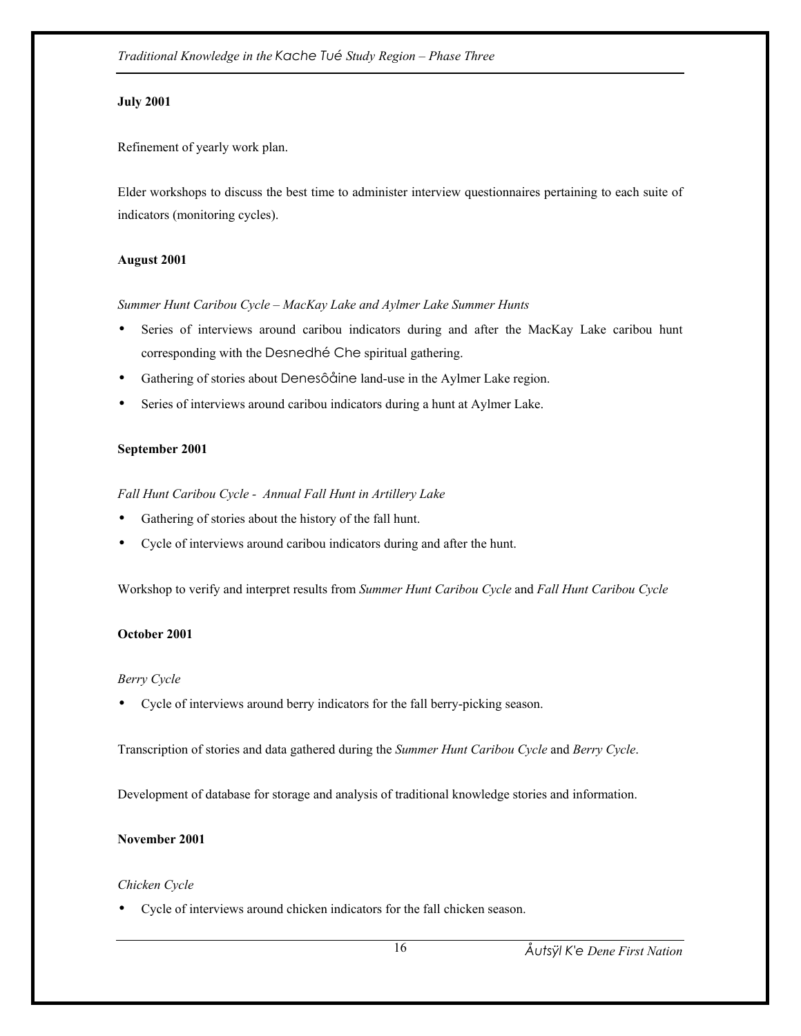## **July 2001**

Refinement of yearly work plan.

Elder workshops to discuss the best time to administer interview questionnaires pertaining to each suite of indicators (monitoring cycles).

## **August 2001**

*Summer Hunt Caribou Cycle – MacKay Lake and Aylmer Lake Summer Hunts* 

- Series of interviews around caribou indicators during and after the MacKay Lake caribou hunt corresponding with the Desnedhé Che spiritual gathering.
- Gathering of stories about Denesôåine land-use in the Aylmer Lake region.
- Series of interviews around caribou indicators during a hunt at Aylmer Lake.

## **September 2001**

*Fall Hunt Caribou Cycle - Annual Fall Hunt in Artillery Lake* 

- Gathering of stories about the history of the fall hunt.
- Cycle of interviews around caribou indicators during and after the hunt.

Workshop to verify and interpret results from *Summer Hunt Caribou Cycle* and *Fall Hunt Caribou Cycle*

## **October 2001**

## *Berry Cycle*

• Cycle of interviews around berry indicators for the fall berry-picking season.

Transcription of stories and data gathered during the *Summer Hunt Caribou Cycle* and *Berry Cycle*.

Development of database for storage and analysis of traditional knowledge stories and information.

## **November 2001**

## *Chicken Cycle*

• Cycle of interviews around chicken indicators for the fall chicken season.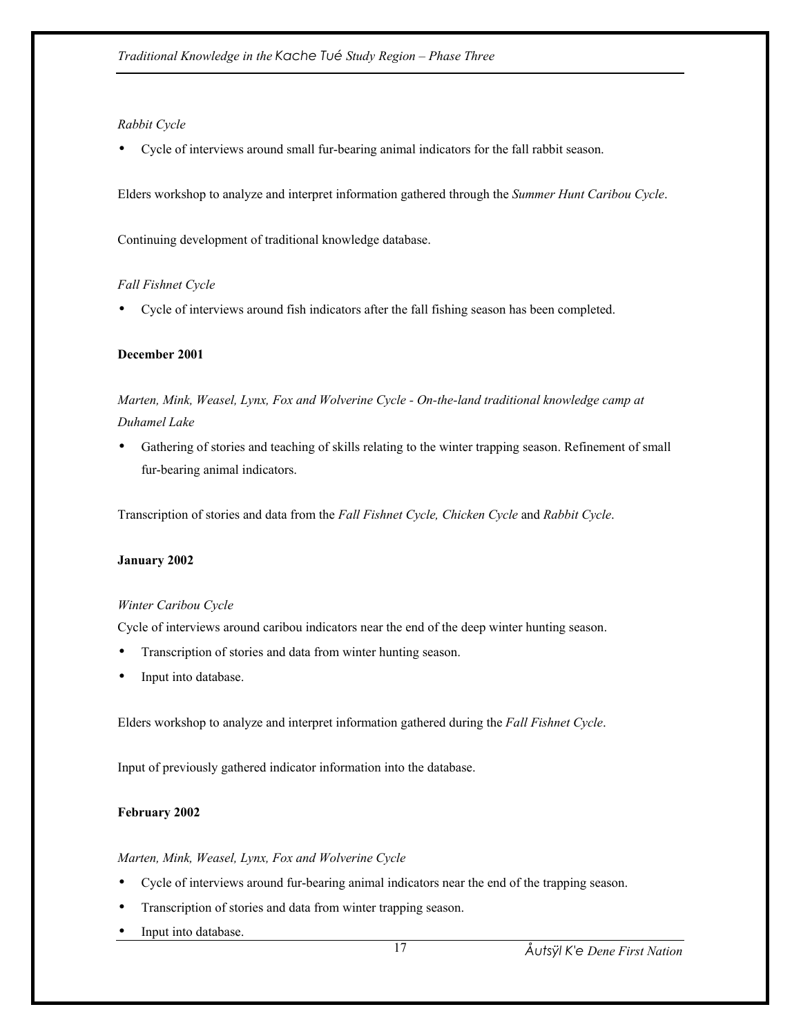## *Rabbit Cycle*

• Cycle of interviews around small fur-bearing animal indicators for the fall rabbit season.

Elders workshop to analyze and interpret information gathered through the *Summer Hunt Caribou Cycle*.

Continuing development of traditional knowledge database.

## *Fall Fishnet Cycle*

• Cycle of interviews around fish indicators after the fall fishing season has been completed.

#### **December 2001**

*Marten, Mink, Weasel, Lynx, Fox and Wolverine Cycle - On-the-land traditional knowledge camp at Duhamel Lake* 

• Gathering of stories and teaching of skills relating to the winter trapping season. Refinement of small fur-bearing animal indicators.

Transcription of stories and data from the *Fall Fishnet Cycle, Chicken Cycle* and *Rabbit Cycle*.

## **January 2002**

#### *Winter Caribou Cycle*

Cycle of interviews around caribou indicators near the end of the deep winter hunting season.

- Transcription of stories and data from winter hunting season.
- Input into database.

Elders workshop to analyze and interpret information gathered during the *Fall Fishnet Cycle*.

Input of previously gathered indicator information into the database.

#### **February 2002**

#### *Marten, Mink, Weasel, Lynx, Fox and Wolverine Cycle*

- Cycle of interviews around fur-bearing animal indicators near the end of the trapping season.
- Transcription of stories and data from winter trapping season.
- Input into database.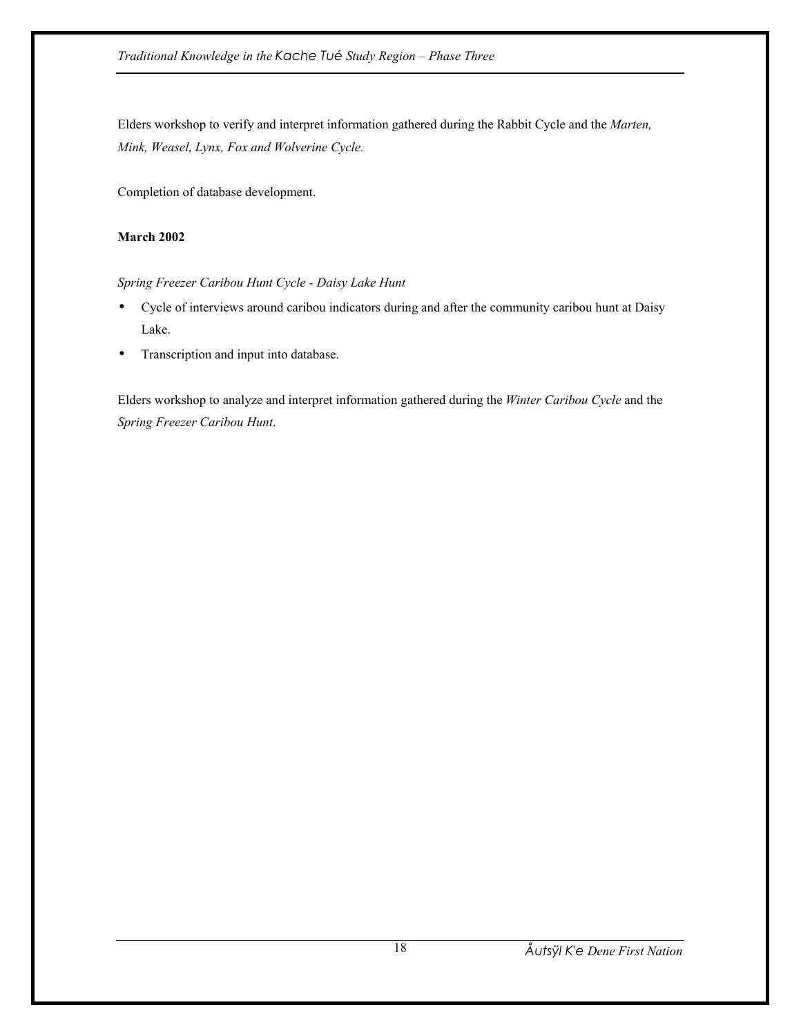Elders workshop to verify and interpret information gathered during the Rabbit Cycle and the *Marten, Mink, Weasel, Lynx, Fox and Wolverine Cycle.*

Completion of database development.

## **March 2002**

*Spring Freezer Caribou Hunt Cycle - Daisy Lake Hunt* 

- Cycle of interviews around caribou indicators during and after the community caribou hunt at Daisy Lake.
- Transcription and input into database.

Elders workshop to analyze and interpret information gathered during the *Winter Caribou Cycle* and the *Spring Freezer Caribou Hunt*.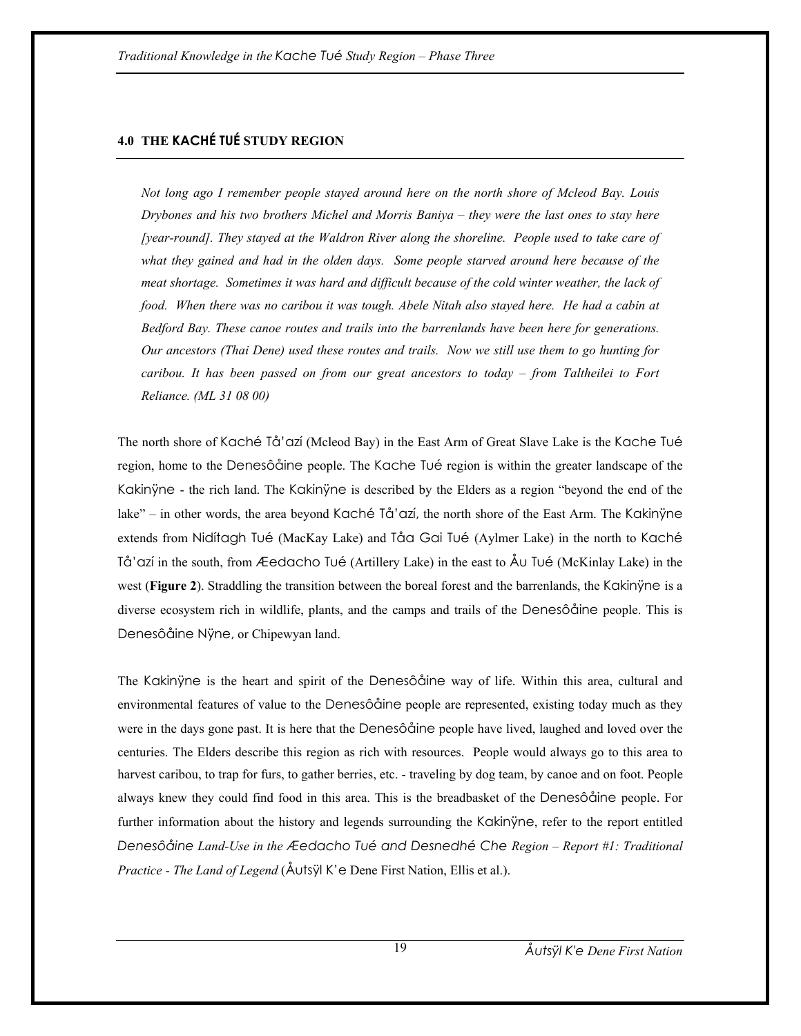# **4.0 THE KACHÉ TUÉ STUDY REGION**

*Not long ago I remember people stayed around here on the north shore of Mcleod Bay. Louis Drybones and his two brothers Michel and Morris Baniya – they were the last ones to stay here [year-round]. They stayed at the Waldron River along the shoreline. People used to take care of what they gained and had in the olden days. Some people starved around here because of the meat shortage. Sometimes it was hard and difficult because of the cold winter weather, the lack of food. When there was no caribou it was tough. Abele Nitah also stayed here. He had a cabin at Bedford Bay. These canoe routes and trails into the barrenlands have been here for generations. Our ancestors (Thai Dene) used these routes and trails. Now we still use them to go hunting for caribou. It has been passed on from our great ancestors to today – from Taltheilei to Fort Reliance. (ML 31 08 00)* 

The north shore of Kaché Tå'azí (Mcleod Bay) in the East Arm of Great Slave Lake is the Kache Tué region, home to the Denesôåine people. The Kache Tué region is within the greater landscape of the Kakinÿne - the rich land. The Kakinÿne is described by the Elders as a region "beyond the end of the lake" – in other words, the area beyond Kaché Tå'azí, the north shore of the East Arm. The Kakinÿne extends from Nidítagh Tué (MacKay Lake) and Tåa Gai Tué (Aylmer Lake) in the north to Kaché Tå'azí in the south, from Æedacho Tué (Artillery Lake) in the east to Åu Tué (McKinlay Lake) in the west (**Figure 2**). Straddling the transition between the boreal forest and the barrenlands, the Kakinyne is a diverse ecosystem rich in wildlife, plants, and the camps and trails of the Denesôåine people. This is Denesôåine Nÿne, or Chipewyan land.

The Kakinÿne is the heart and spirit of the Denesôåine way of life. Within this area, cultural and environmental features of value to the Denesôåine people are represented, existing today much as they were in the days gone past. It is here that the Denesôåine people have lived, laughed and loved over the centuries. The Elders describe this region as rich with resources. People would always go to this area to harvest caribou, to trap for furs, to gather berries, etc. - traveling by dog team, by canoe and on foot. People always knew they could find food in this area. This is the breadbasket of the Denesôåine people. For further information about the history and legends surrounding the Kakinÿne, refer to the report entitled *Denesôåine Land-Use in the Æedacho Tué and Desnedhé Che Region – Report #1: Traditional Practice - The Land of Legend* (Åutsÿl K'e Dene First Nation, Ellis et al.).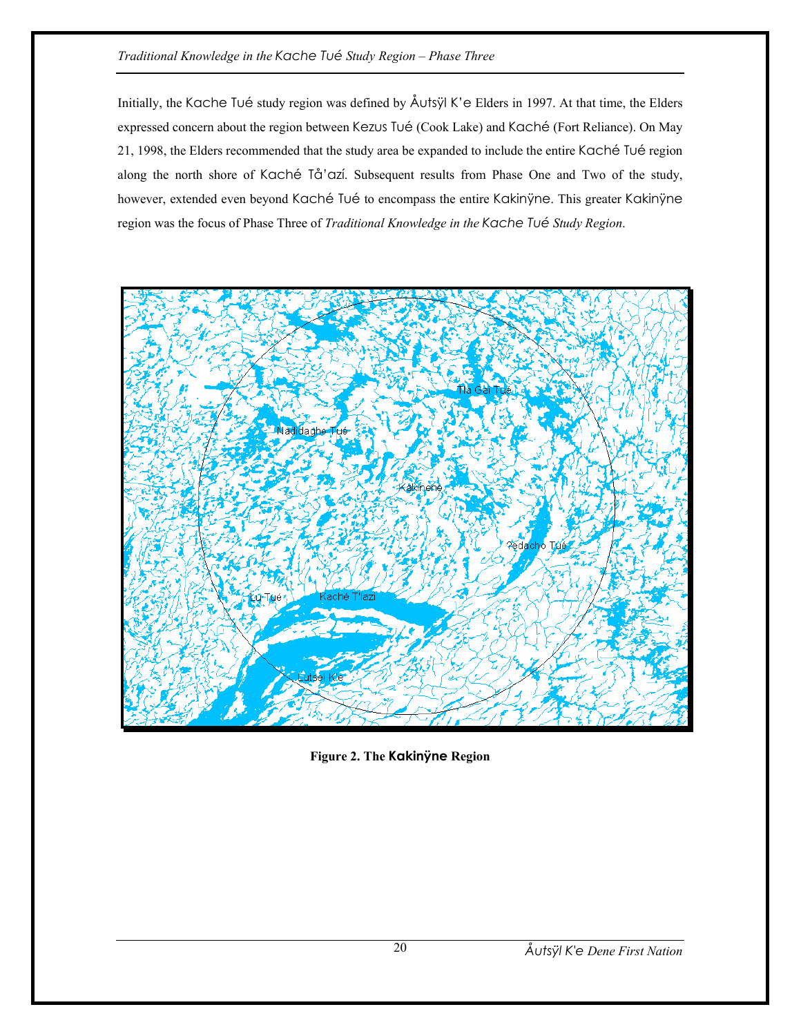Initially, the Kache Tué study region was defined by Åutsÿl K'e Elders in 1997. At that time, the Elders expressed concern about the region between Kezus Tué (Cook Lake) and Kaché (Fort Reliance). On May 21, 1998, the Elders recommended that the study area be expanded to include the entire Kaché Tué region along the north shore of Kaché Tå'azí. Subsequent results from Phase One and Two of the study, however, extended even beyond Kaché Tué to encompass the entire Kakinÿne. This greater Kakinÿne region was the focus of Phase Three of *Traditional Knowledge in the Kache Tué Study Region*.



**Figure 2. The Kakinÿne Region**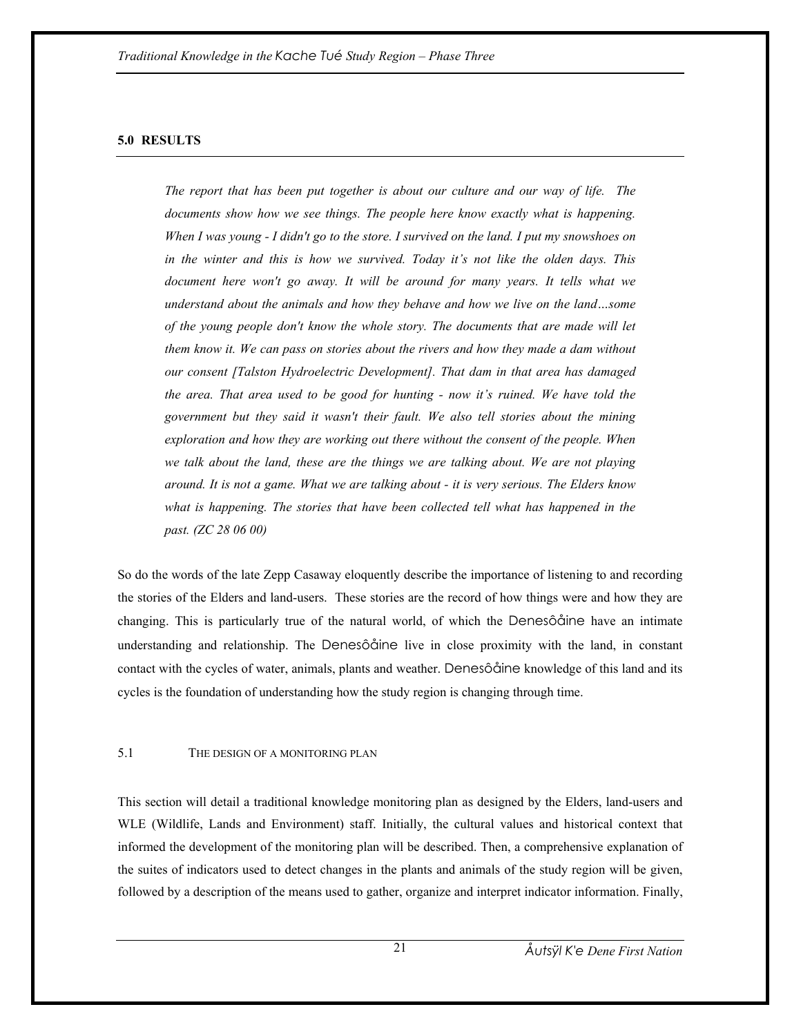#### **5.0 RESULTS**

*The report that has been put together is about our culture and our way of life. The*  documents show how we see things. The people here know exactly what is happening. *When I was young - I didn't go to the store. I survived on the land. I put my snowshoes on in the winter and this is how we survived. Today it's not like the olden days. This*  document here won't go away. It will be around for many years. It tells what we *understand about the animals and how they behave and how we live on the land…some of the young people don't know the whole story. The documents that are made will let them know it. We can pass on stories about the rivers and how they made a dam without our consent [Talston Hydroelectric Development]. That dam in that area has damaged the area. That area used to be good for hunting - now it's ruined. We have told the government but they said it wasn't their fault. We also tell stories about the mining exploration and how they are working out there without the consent of the people. When we talk about the land, these are the things we are talking about. We are not playing around. It is not a game. What we are talking about - it is very serious. The Elders know*  what is happening. The stories that have been collected tell what has happened in the *past. (ZC 28 06 00)* 

So do the words of the late Zepp Casaway eloquently describe the importance of listening to and recording the stories of the Elders and land-users. These stories are the record of how things were and how they are changing. This is particularly true of the natural world, of which the Denesôåine have an intimate understanding and relationship. The Denesôåine live in close proximity with the land, in constant contact with the cycles of water, animals, plants and weather. Denesôåine knowledge of this land and its cycles is the foundation of understanding how the study region is changing through time.

#### 5.1 THE DESIGN OF A MONITORING PLAN

This section will detail a traditional knowledge monitoring plan as designed by the Elders, land-users and WLE (Wildlife, Lands and Environment) staff. Initially, the cultural values and historical context that informed the development of the monitoring plan will be described. Then, a comprehensive explanation of the suites of indicators used to detect changes in the plants and animals of the study region will be given, followed by a description of the means used to gather, organize and interpret indicator information. Finally,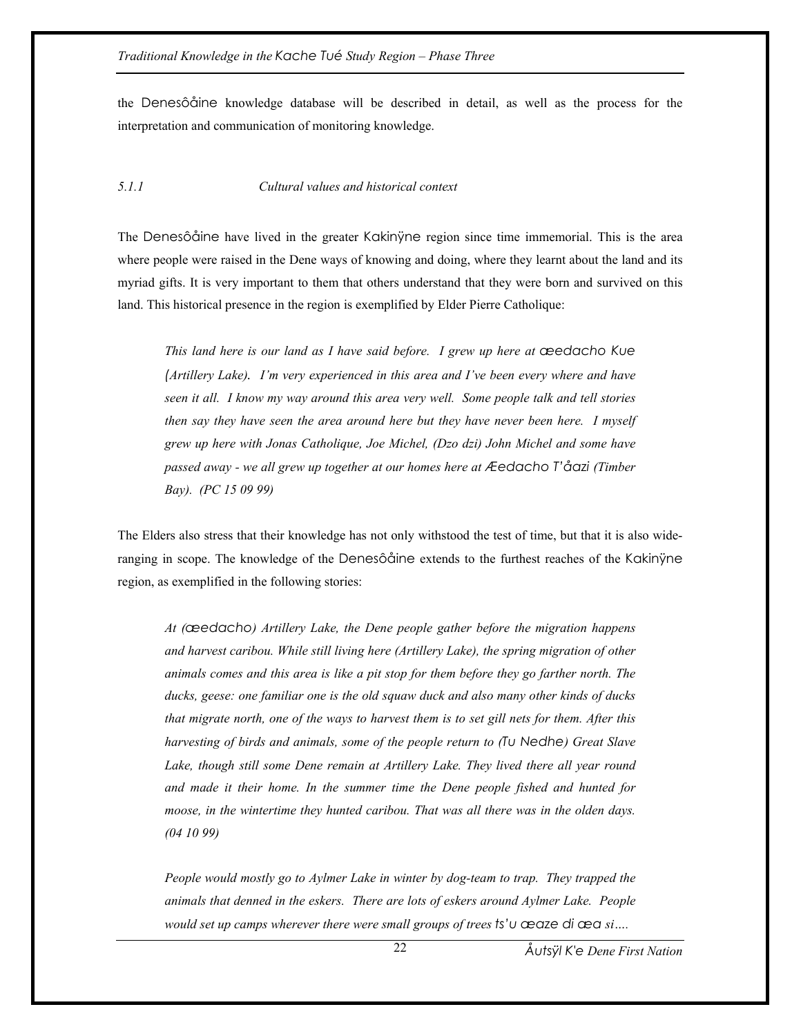the Denesôåine knowledge database will be described in detail, as well as the process for the interpretation and communication of monitoring knowledge.

## *5.1.1 Cultural values and historical context*

The Denesôåine have lived in the greater Kakinÿne region since time immemorial. This is the area where people were raised in the Dene ways of knowing and doing, where they learnt about the land and its myriad gifts. It is very important to them that others understand that they were born and survived on this land. This historical presence in the region is exemplified by Elder Pierre Catholique:

*This land here is our land as I have said before. I grew up here at æedacho Kue (Artillery Lake). I'm very experienced in this area and I've been every where and have seen it all. I know my way around this area very well. Some people talk and tell stories then say they have seen the area around here but they have never been here. I myself grew up here with Jonas Catholique, Joe Michel, (Dzo dzi) John Michel and some have passed away - we all grew up together at our homes here at Æedacho T'åazi (Timber Bay). (PC 15 09 99)* 

The Elders also stress that their knowledge has not only withstood the test of time, but that it is also wideranging in scope. The knowledge of the Denesôåine extends to the furthest reaches of the Kakinÿne region, as exemplified in the following stories:

*At (æedacho) Artillery Lake, the Dene people gather before the migration happens and harvest caribou. While still living here (Artillery Lake), the spring migration of other animals comes and this area is like a pit stop for them before they go farther north. The ducks, geese: one familiar one is the old squaw duck and also many other kinds of ducks that migrate north, one of the ways to harvest them is to set gill nets for them. After this harvesting of birds and animals, some of the people return to (Tu Nedhe) Great Slave Lake, though still some Dene remain at Artillery Lake. They lived there all year round and made it their home. In the summer time the Dene people fished and hunted for moose, in the wintertime they hunted caribou. That was all there was in the olden days. (04 10 99)* 

*People would mostly go to Aylmer Lake in winter by dog-team to trap. They trapped the animals that denned in the eskers. There are lots of eskers around Aylmer Lake. People would set up camps wherever there were small groups of trees ts'u æaze di æa si….* 

22

*Åutsÿl K'e Dene First Nation*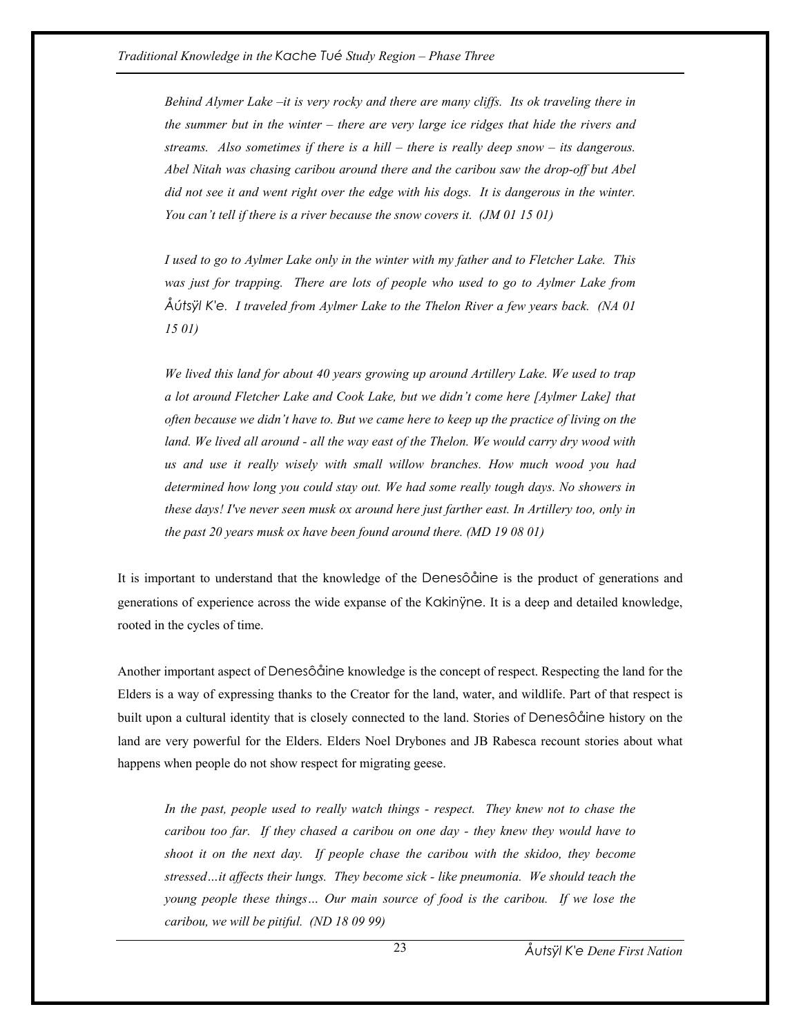*Behind Alymer Lake –it is very rocky and there are many cliffs. Its ok traveling there in the summer but in the winter – there are very large ice ridges that hide the rivers and streams. Also sometimes if there is a hill – there is really deep snow – its dangerous. Abel Nitah was chasing caribou around there and the caribou saw the drop-off but Abel did not see it and went right over the edge with his dogs. It is dangerous in the winter. You can't tell if there is a river because the snow covers it. (JM 01 15 01)* 

*I used to go to Aylmer Lake only in the winter with my father and to Fletcher Lake. This was just for trapping. There are lots of people who used to go to Aylmer Lake from Åútsÿl K'e. I traveled from Aylmer Lake to the Thelon River a few years back. (NA 01 15 01)* 

*We lived this land for about 40 years growing up around Artillery Lake. We used to trap a lot around Fletcher Lake and Cook Lake, but we didn't come here [Aylmer Lake] that often because we didn't have to. But we came here to keep up the practice of living on the*  land. We lived all around - all the way east of the Thelon. We would carry dry wood with *us and use it really wisely with small willow branches. How much wood you had determined how long you could stay out. We had some really tough days. No showers in these days! I've never seen musk ox around here just farther east. In Artillery too, only in the past 20 years musk ox have been found around there. (MD 19 08 01)* 

It is important to understand that the knowledge of the Denesôåine is the product of generations and generations of experience across the wide expanse of the Kakinÿne. It is a deep and detailed knowledge, rooted in the cycles of time.

Another important aspect of Denesôåine knowledge is the concept of respect. Respecting the land for the Elders is a way of expressing thanks to the Creator for the land, water, and wildlife. Part of that respect is built upon a cultural identity that is closely connected to the land. Stories of Denesôåine history on the land are very powerful for the Elders. Elders Noel Drybones and JB Rabesca recount stories about what happens when people do not show respect for migrating geese.

*In the past, people used to really watch things - respect. They knew not to chase the caribou too far. If they chased a caribou on one day - they knew they would have to shoot it on the next day. If people chase the caribou with the skidoo, they become stressed…it affects their lungs. They become sick - like pneumonia. We should teach the young people these things… Our main source of food is the caribou. If we lose the caribou, we will be pitiful. (ND 18 09 99)*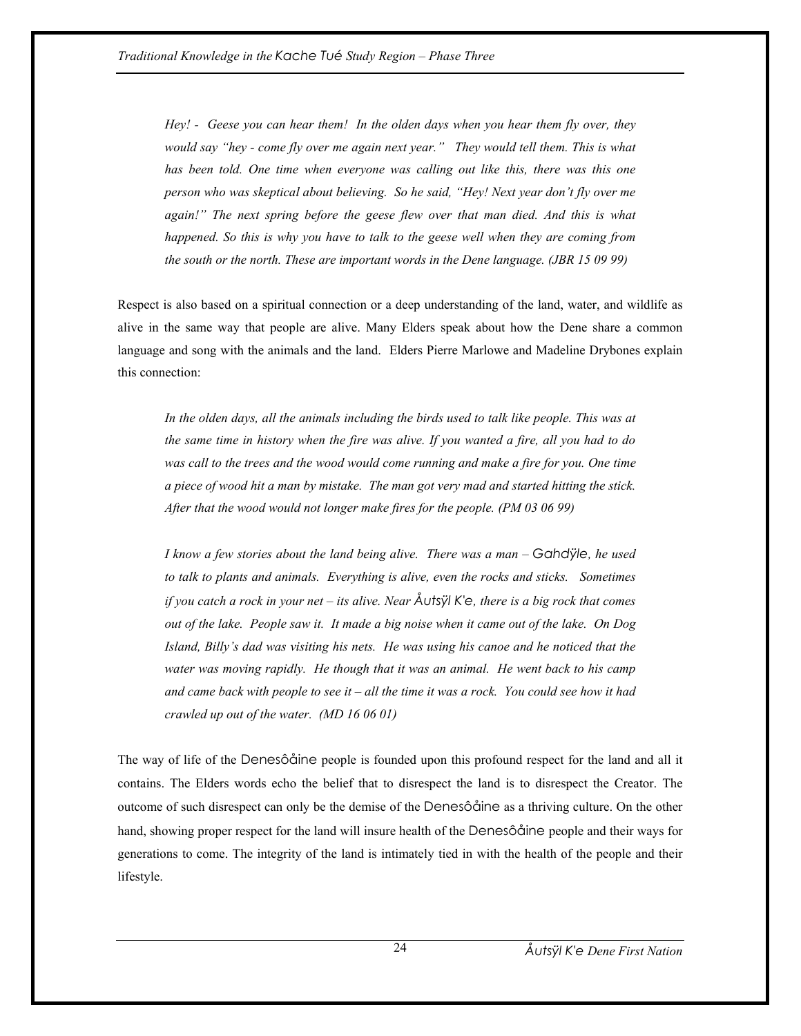*Hey! - Geese you can hear them! In the olden days when you hear them fly over, they would say "hey - come fly over me again next year." They would tell them. This is what has been told. One time when everyone was calling out like this, there was this one person who was skeptical about believing. So he said, "Hey! Next year don't fly over me*  again!" The next spring before the geese flew over that man died. And this is what *happened. So this is why you have to talk to the geese well when they are coming from the south or the north. These are important words in the Dene language. (JBR 15 09 99)* 

Respect is also based on a spiritual connection or a deep understanding of the land, water, and wildlife as alive in the same way that people are alive. Many Elders speak about how the Dene share a common language and song with the animals and the land. Elders Pierre Marlowe and Madeline Drybones explain this connection:

*In the olden days, all the animals including the birds used to talk like people. This was at the same time in history when the fire was alive. If you wanted a fire, all you had to do was call to the trees and the wood would come running and make a fire for you. One time a piece of wood hit a man by mistake. The man got very mad and started hitting the stick. After that the wood would not longer make fires for the people. (PM 03 06 99)* 

*I know a few stories about the land being alive. There was a man – Gahdÿle, he used to talk to plants and animals. Everything is alive, even the rocks and sticks. Sometimes if you catch a rock in your net – its alive. Near Åutsÿl K'e, there is a big rock that comes out of the lake. People saw it. It made a big noise when it came out of the lake. On Dog Island, Billy's dad was visiting his nets. He was using his canoe and he noticed that the*  water was moving rapidly. He though that it was an animal. He went back to his camp *and came back with people to see it – all the time it was a rock. You could see how it had crawled up out of the water. (MD 16 06 01)* 

The way of life of the Denesôåine people is founded upon this profound respect for the land and all it contains. The Elders words echo the belief that to disrespect the land is to disrespect the Creator. The outcome of such disrespect can only be the demise of the Denesôåine as a thriving culture. On the other hand, showing proper respect for the land will insure health of the Denesôåine people and their ways for generations to come. The integrity of the land is intimately tied in with the health of the people and their lifestyle.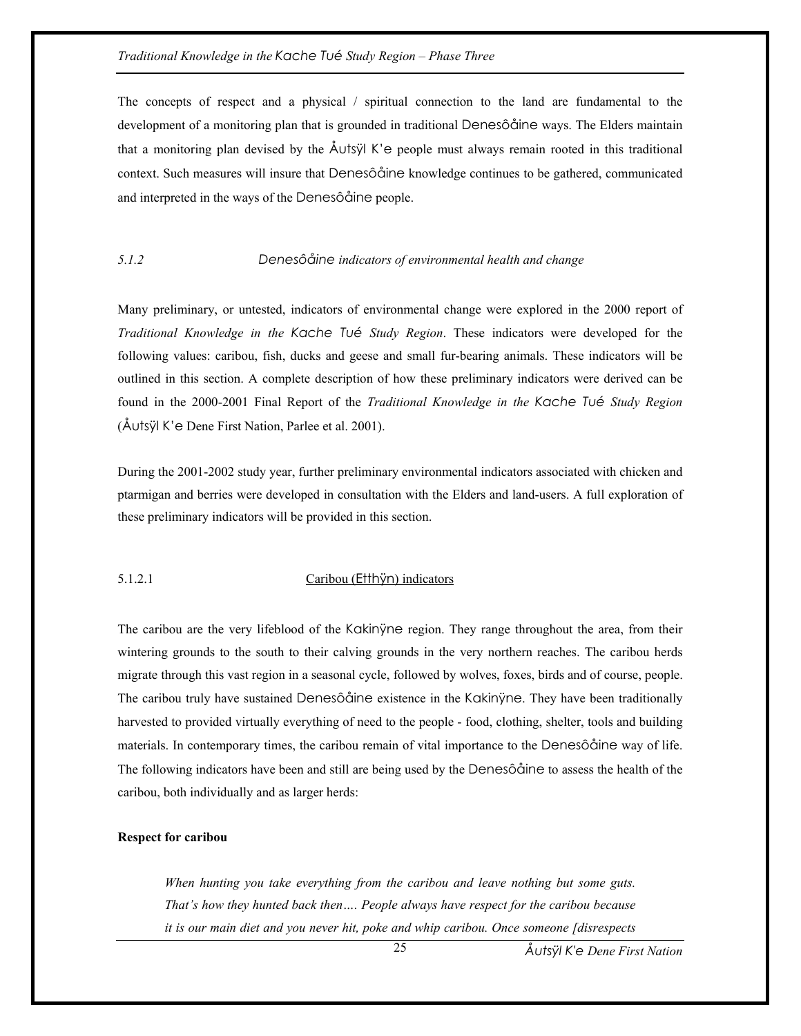The concepts of respect and a physical / spiritual connection to the land are fundamental to the development of a monitoring plan that is grounded in traditional Denesôåine ways. The Elders maintain that a monitoring plan devised by the Åutsÿl K'e people must always remain rooted in this traditional context. Such measures will insure that Denesôåine knowledge continues to be gathered, communicated and interpreted in the ways of the Denesôåine people.

#### *5.1.2 Denesôåine indicators of environmental health and change*

Many preliminary, or untested, indicators of environmental change were explored in the 2000 report of *Traditional Knowledge in the Kache Tué Study Region*. These indicators were developed for the following values: caribou, fish, ducks and geese and small fur-bearing animals. These indicators will be outlined in this section. A complete description of how these preliminary indicators were derived can be found in the 2000-2001 Final Report of the *Traditional Knowledge in the Kache Tué Study Region*  (Åutsÿl K'e Dene First Nation, Parlee et al. 2001).

During the 2001-2002 study year, further preliminary environmental indicators associated with chicken and ptarmigan and berries were developed in consultation with the Elders and land-users. A full exploration of these preliminary indicators will be provided in this section.

#### 5.1.2.1 Caribou (Etthÿn) indicators

The caribou are the very lifeblood of the Kakinÿne region. They range throughout the area, from their wintering grounds to the south to their calving grounds in the very northern reaches. The caribou herds migrate through this vast region in a seasonal cycle, followed by wolves, foxes, birds and of course, people. The caribou truly have sustained Denesôåine existence in the Kakinyne. They have been traditionally harvested to provided virtually everything of need to the people - food, clothing, shelter, tools and building materials. In contemporary times, the caribou remain of vital importance to the Denesôåine way of life. The following indicators have been and still are being used by the Denesôåine to assess the health of the caribou, both individually and as larger herds:

#### **Respect for caribou**

*When hunting you take everything from the caribou and leave nothing but some guts. That's how they hunted back then…. People always have respect for the caribou because it is our main diet and you never hit, poke and whip caribou. Once someone [disrespects* 

 $25$ 

*Åutsÿl K'e Dene First Nation*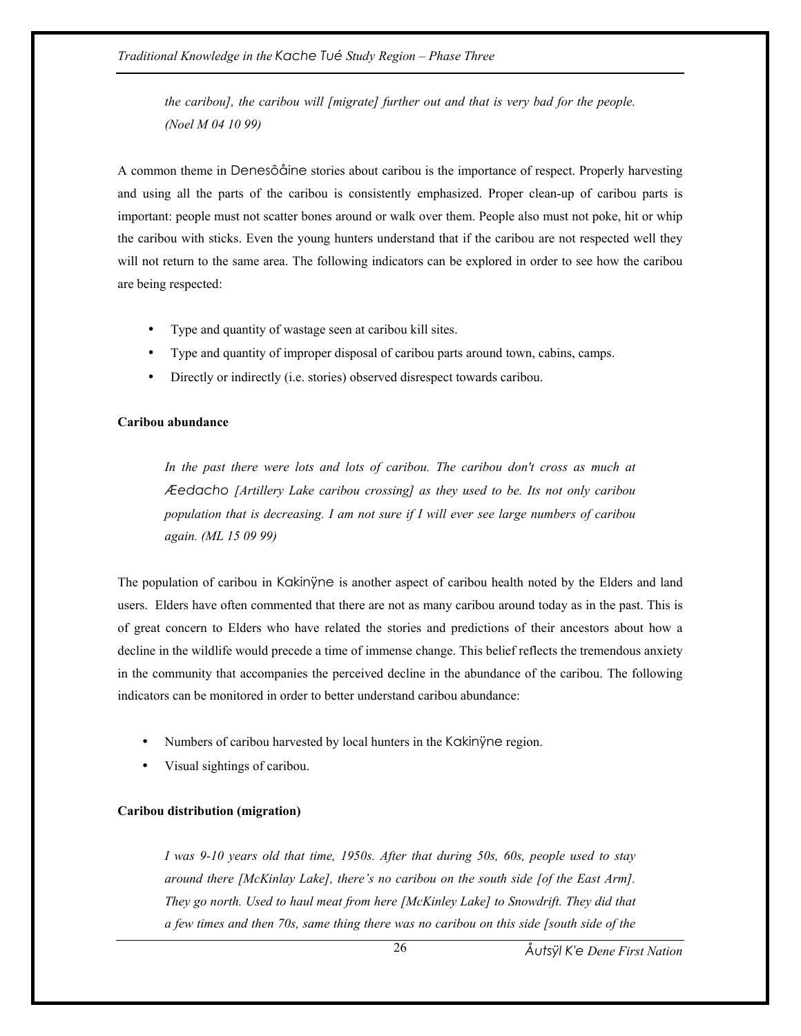*the caribou], the caribou will [migrate] further out and that is very bad for the people. (Noel M 04 10 99)* 

A common theme in Denesôåine stories about caribou is the importance of respect. Properly harvesting and using all the parts of the caribou is consistently emphasized. Proper clean-up of caribou parts is important: people must not scatter bones around or walk over them. People also must not poke, hit or whip the caribou with sticks. Even the young hunters understand that if the caribou are not respected well they will not return to the same area. The following indicators can be explored in order to see how the caribou are being respected:

- Type and quantity of wastage seen at caribou kill sites.
- Type and quantity of improper disposal of caribou parts around town, cabins, camps.
- Directly or indirectly (i.e. stories) observed disrespect towards caribou.

#### **Caribou abundance**

*In the past there were lots and lots of caribou. The caribou don't cross as much at Æedacho [Artillery Lake caribou crossing] as they used to be. Its not only caribou population that is decreasing. I am not sure if I will ever see large numbers of caribou again. (ML 15 09 99)* 

The population of caribou in Kakinÿne is another aspect of caribou health noted by the Elders and land users. Elders have often commented that there are not as many caribou around today as in the past. This is of great concern to Elders who have related the stories and predictions of their ancestors about how a decline in the wildlife would precede a time of immense change. This belief reflects the tremendous anxiety in the community that accompanies the perceived decline in the abundance of the caribou. The following indicators can be monitored in order to better understand caribou abundance:

- Numbers of caribou harvested by local hunters in the Kakinÿne region.
- Visual sightings of caribou.

#### **Caribou distribution (migration)**

*I was 9-10 years old that time, 1950s. After that during 50s, 60s, people used to stay around there [McKinlay Lake], there's no caribou on the south side [of the East Arm]. They go north. Used to haul meat from here [McKinley Lake] to Snowdrift. They did that a few times and then 70s, same thing there was no caribou on this side [south side of the* 

*Åutsÿl K'e Dene First Nation*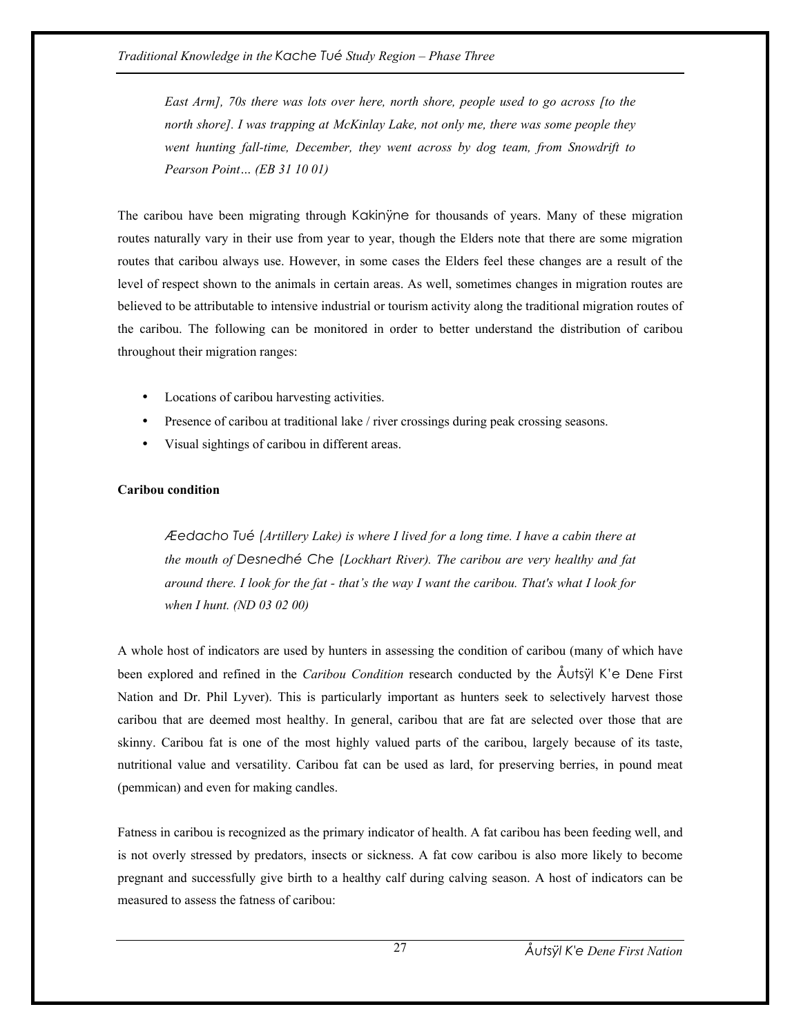*East Arm], 70s there was lots over here, north shore, people used to go across [to the north shore]. I was trapping at McKinlay Lake, not only me, there was some people they went hunting fall-time, December, they went across by dog team, from Snowdrift to Pearson Point… (EB 31 10 01)* 

The caribou have been migrating through Kakinÿne for thousands of years. Many of these migration routes naturally vary in their use from year to year, though the Elders note that there are some migration routes that caribou always use. However, in some cases the Elders feel these changes are a result of the level of respect shown to the animals in certain areas. As well, sometimes changes in migration routes are believed to be attributable to intensive industrial or tourism activity along the traditional migration routes of the caribou. The following can be monitored in order to better understand the distribution of caribou throughout their migration ranges:

- Locations of caribou harvesting activities.
- Presence of caribou at traditional lake / river crossings during peak crossing seasons.
- Visual sightings of caribou in different areas.

## **Caribou condition**

*Æedacho Tué (Artillery Lake) is where I lived for a long time. I have a cabin there at the mouth of Desnedhé Che (Lockhart River). The caribou are very healthy and fat around there. I look for the fat - that's the way I want the caribou. That's what I look for when I hunt. (ND 03 02 00)* 

A whole host of indicators are used by hunters in assessing the condition of caribou (many of which have been explored and refined in the *Caribou Condition* research conducted by the Åutsÿl K'e Dene First Nation and Dr. Phil Lyver). This is particularly important as hunters seek to selectively harvest those caribou that are deemed most healthy. In general, caribou that are fat are selected over those that are skinny. Caribou fat is one of the most highly valued parts of the caribou, largely because of its taste, nutritional value and versatility. Caribou fat can be used as lard, for preserving berries, in pound meat (pemmican) and even for making candles.

Fatness in caribou is recognized as the primary indicator of health. A fat caribou has been feeding well, and is not overly stressed by predators, insects or sickness. A fat cow caribou is also more likely to become pregnant and successfully give birth to a healthy calf during calving season. A host of indicators can be measured to assess the fatness of caribou: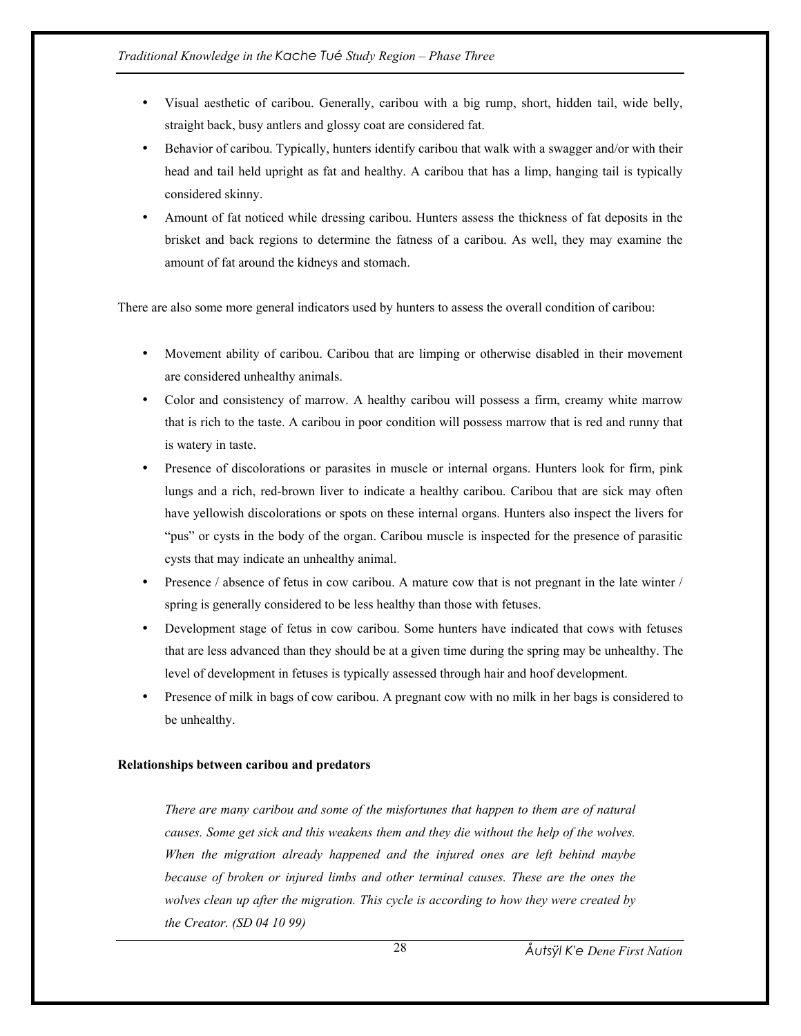- Visual aesthetic of caribou. Generally, caribou with a big rump, short, hidden tail, wide belly, straight back, busy antlers and glossy coat are considered fat.
- Behavior of caribou. Typically, hunters identify caribou that walk with a swagger and/or with their head and tail held upright as fat and healthy. A caribou that has a limp, hanging tail is typically considered skinny.
- Amount of fat noticed while dressing caribou. Hunters assess the thickness of fat deposits in the brisket and back regions to determine the fatness of a caribou. As well, they may examine the amount of fat around the kidneys and stomach.

There are also some more general indicators used by hunters to assess the overall condition of caribou:

- Movement ability of caribou. Caribou that are limping or otherwise disabled in their movement are considered unhealthy animals.
- Color and consistency of marrow. A healthy caribou will possess a firm, creamy white marrow that is rich to the taste. A caribou in poor condition will possess marrow that is red and runny that is watery in taste.
- Presence of discolorations or parasites in muscle or internal organs. Hunters look for firm, pink lungs and a rich, red-brown liver to indicate a healthy caribou. Caribou that are sick may often have yellowish discolorations or spots on these internal organs. Hunters also inspect the livers for "pus" or cysts in the body of the organ. Caribou muscle is inspected for the presence of parasitic cysts that may indicate an unhealthy animal.
- Presence / absence of fetus in cow caribou. A mature cow that is not pregnant in the late winter / spring is generally considered to be less healthy than those with fetuses.
- Development stage of fetus in cow caribou. Some hunters have indicated that cows with fetuses that are less advanced than they should be at a given time during the spring may be unhealthy. The level of development in fetuses is typically assessed through hair and hoof development.
- Presence of milk in bags of cow caribou. A pregnant cow with no milk in her bags is considered to be unhealthy.

## **Relationships between caribou and predators**

*There are many caribou and some of the misfortunes that happen to them are of natural causes. Some get sick and this weakens them and they die without the help of the wolves. When the migration already happened and the injured ones are left behind maybe because of broken or injured limbs and other terminal causes. These are the ones the wolves clean up after the migration. This cycle is according to how they were created by the Creator. (SD 04 10 99)*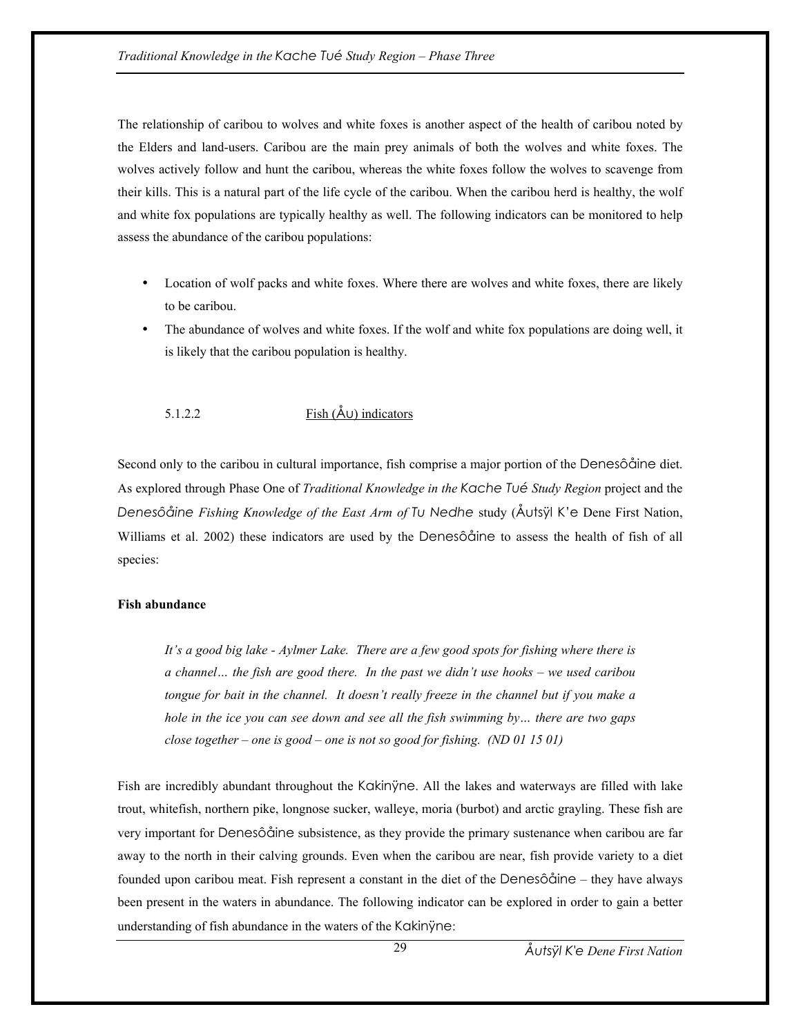The relationship of caribou to wolves and white foxes is another aspect of the health of caribou noted by the Elders and land-users. Caribou are the main prey animals of both the wolves and white foxes. The wolves actively follow and hunt the caribou, whereas the white foxes follow the wolves to scavenge from their kills. This is a natural part of the life cycle of the caribou. When the caribou herd is healthy, the wolf and white fox populations are typically healthy as well. The following indicators can be monitored to help assess the abundance of the caribou populations:

- Location of wolf packs and white foxes. Where there are wolves and white foxes, there are likely to be caribou.
- The abundance of wolves and white foxes. If the wolf and white fox populations are doing well, it is likely that the caribou population is healthy.

5.1.2.2 Fish  $(\mathring{A} \cup)$  indicators

Second only to the caribou in cultural importance, fish comprise a major portion of the Denesôåine diet. As explored through Phase One of *Traditional Knowledge in the Kache Tué Study Region* project and the *Denesôåine Fishing Knowledge of the East Arm of Tu Nedhe* study (Åutsÿl K'e Dene First Nation, Williams et al. 2002) these indicators are used by the Denesôåine to assess the health of fish of all species:

## **Fish abundance**

*It's a good big lake - Aylmer Lake. There are a few good spots for fishing where there is a channel… the fish are good there. In the past we didn't use hooks – we used caribou tongue for bait in the channel. It doesn't really freeze in the channel but if you make a hole in the ice you can see down and see all the fish swimming by… there are two gaps close together – one is good – one is not so good for fishing. (ND 01 15 01)* 

Fish are incredibly abundant throughout the Kakinÿne. All the lakes and waterways are filled with lake trout, whitefish, northern pike, longnose sucker, walleye, moria (burbot) and arctic grayling. These fish are very important for Denesôåine subsistence, as they provide the primary sustenance when caribou are far away to the north in their calving grounds. Even when the caribou are near, fish provide variety to a diet founded upon caribou meat. Fish represent a constant in the diet of the Denesôåine – they have always been present in the waters in abundance. The following indicator can be explored in order to gain a better understanding of fish abundance in the waters of the Kakinÿne: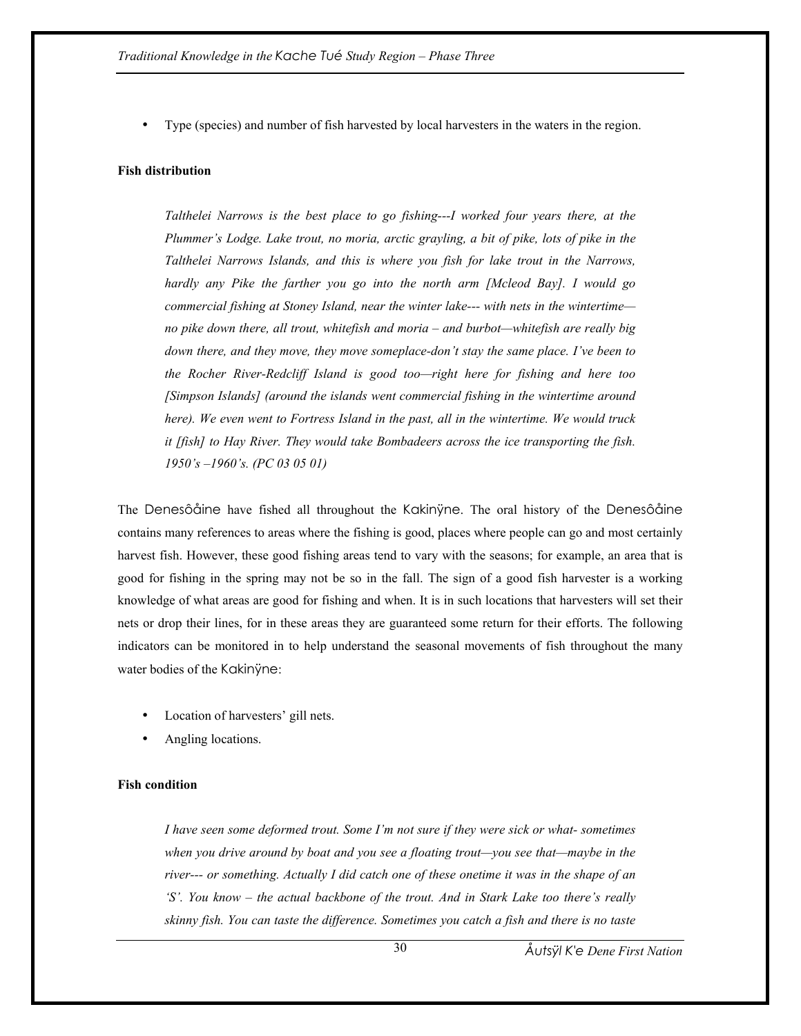• Type (species) and number of fish harvested by local harvesters in the waters in the region.

#### **Fish distribution**

*Talthelei Narrows is the best place to go fishing---I worked four years there, at the Plummer's Lodge. Lake trout, no moria, arctic grayling, a bit of pike, lots of pike in the Talthelei Narrows Islands, and this is where you fish for lake trout in the Narrows, hardly any Pike the farther you go into the north arm [Mcleod Bay]. I would go commercial fishing at Stoney Island, near the winter lake--- with nets in the wintertime no pike down there, all trout, whitefish and moria – and burbot—whitefish are really big down there, and they move, they move someplace-don't stay the same place. I've been to the Rocher River-Redcliff Island is good too—right here for fishing and here too [Simpson Islands] (around the islands went commercial fishing in the wintertime around here). We even went to Fortress Island in the past, all in the wintertime. We would truck it [fish] to Hay River. They would take Bombadeers across the ice transporting the fish. 1950's –1960's. (PC 03 05 01)* 

The Denesôåine have fished all throughout the Kakinÿne. The oral history of the Denesôåine contains many references to areas where the fishing is good, places where people can go and most certainly harvest fish. However, these good fishing areas tend to vary with the seasons; for example, an area that is good for fishing in the spring may not be so in the fall. The sign of a good fish harvester is a working knowledge of what areas are good for fishing and when. It is in such locations that harvesters will set their nets or drop their lines, for in these areas they are guaranteed some return for their efforts. The following indicators can be monitored in to help understand the seasonal movements of fish throughout the many water bodies of the Kakinÿne:

- Location of harvesters' gill nets.
- Angling locations.

## **Fish condition**

*I have seen some deformed trout. Some I'm not sure if they were sick or what- sometimes when you drive around by boat and you see a floating trout—you see that—maybe in the river--- or something. Actually I did catch one of these onetime it was in the shape of an 'S'. You know – the actual backbone of the trout. And in Stark Lake too there's really skinny fish. You can taste the difference. Sometimes you catch a fish and there is no taste* 

*Åutsÿl K'e Dene First Nation*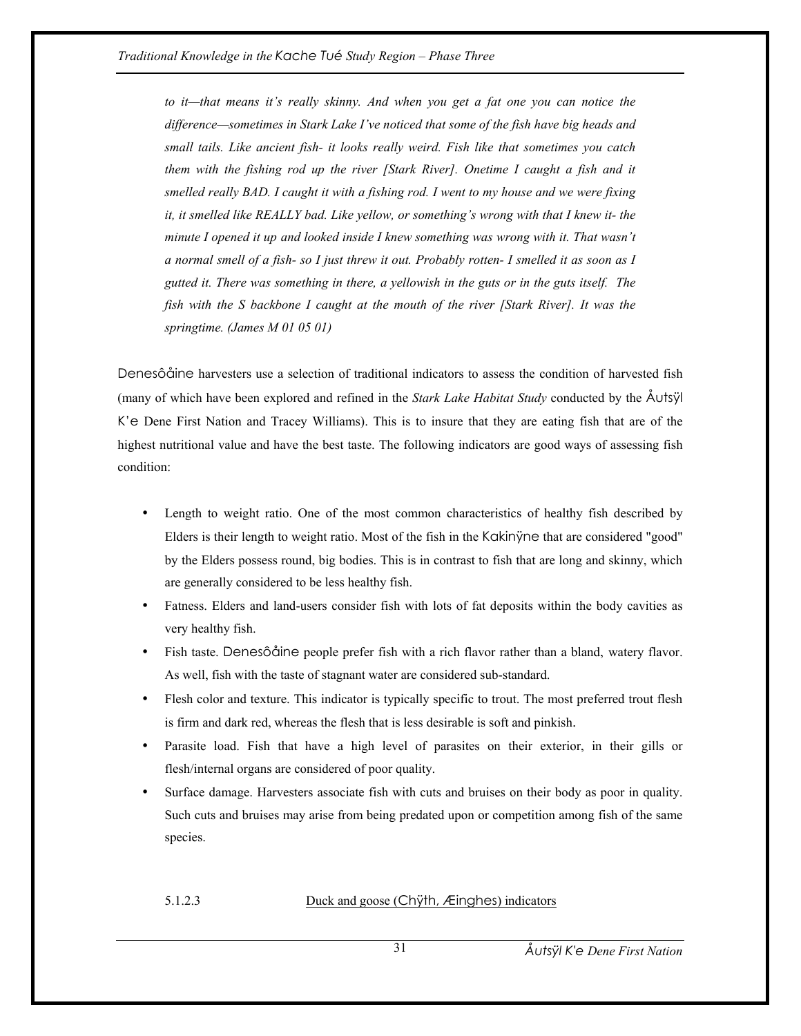*to it—that means it's really skinny. And when you get a fat one you can notice the difference—sometimes in Stark Lake I've noticed that some of the fish have big heads and small tails. Like ancient fish- it looks really weird. Fish like that sometimes you catch them with the fishing rod up the river [Stark River]. Onetime I caught a fish and it smelled really BAD. I caught it with a fishing rod. I went to my house and we were fixing it, it smelled like REALLY bad. Like yellow, or something's wrong with that I knew it- the minute I opened it up and looked inside I knew something was wrong with it. That wasn't a normal smell of a fish- so I just threw it out. Probably rotten- I smelled it as soon as I gutted it. There was something in there, a yellowish in the guts or in the guts itself. The fish with the S backbone I caught at the mouth of the river [Stark River]. It was the springtime. (James M 01 05 01)* 

Denesôåine harvesters use a selection of traditional indicators to assess the condition of harvested fish (many of which have been explored and refined in the *Stark Lake Habitat Study* conducted by the Åutsÿl K'e Dene First Nation and Tracey Williams). This is to insure that they are eating fish that are of the highest nutritional value and have the best taste. The following indicators are good ways of assessing fish condition:

- Length to weight ratio. One of the most common characteristics of healthy fish described by Elders is their length to weight ratio. Most of the fish in the Kakinÿne that are considered "good" by the Elders possess round, big bodies. This is in contrast to fish that are long and skinny, which are generally considered to be less healthy fish.
- Fatness. Elders and land-users consider fish with lots of fat deposits within the body cavities as very healthy fish.
- Fish taste. Denesôåine people prefer fish with a rich flavor rather than a bland, watery flavor. As well, fish with the taste of stagnant water are considered sub-standard.
- Flesh color and texture. This indicator is typically specific to trout. The most preferred trout flesh is firm and dark red, whereas the flesh that is less desirable is soft and pinkish.
- Parasite load. Fish that have a high level of parasites on their exterior, in their gills or flesh/internal organs are considered of poor quality.
- Surface damage. Harvesters associate fish with cuts and bruises on their body as poor in quality. Such cuts and bruises may arise from being predated upon or competition among fish of the same species.

#### 5.1.2.3 Duck and goose (Chÿth, Æinghes) indicators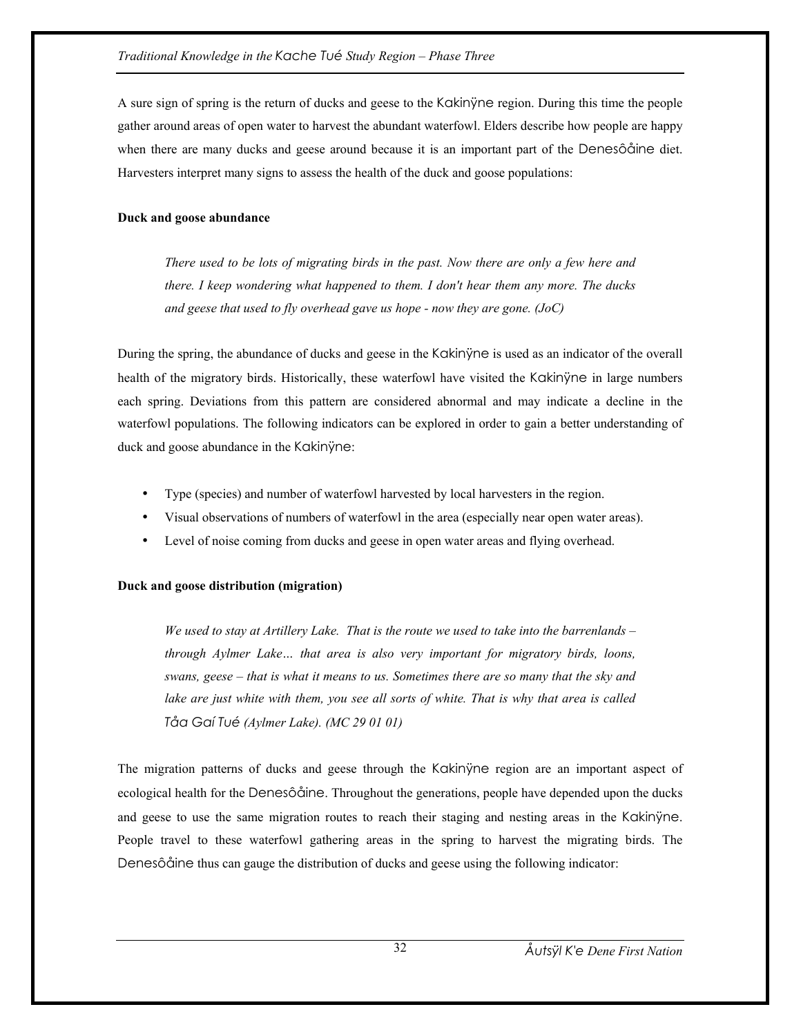A sure sign of spring is the return of ducks and geese to the Kakinÿne region. During this time the people gather around areas of open water to harvest the abundant waterfowl. Elders describe how people are happy when there are many ducks and geese around because it is an important part of the Denesôåine diet. Harvesters interpret many signs to assess the health of the duck and goose populations:

## **Duck and goose abundance**

*There used to be lots of migrating birds in the past. Now there are only a few here and there. I keep wondering what happened to them. I don't hear them any more. The ducks and geese that used to fly overhead gave us hope - now they are gone. (JoC)* 

During the spring, the abundance of ducks and geese in the Kakinÿne is used as an indicator of the overall health of the migratory birds. Historically, these waterfowl have visited the Kakinÿne in large numbers each spring. Deviations from this pattern are considered abnormal and may indicate a decline in the waterfowl populations. The following indicators can be explored in order to gain a better understanding of duck and goose abundance in the Kakinÿne:

- Type (species) and number of waterfowl harvested by local harvesters in the region.
- Visual observations of numbers of waterfowl in the area (especially near open water areas).
- Level of noise coming from ducks and geese in open water areas and flying overhead.

## **Duck and goose distribution (migration)**

*We used to stay at Artillery Lake. That is the route we used to take into the barrenlands – through Aylmer Lake… that area is also very important for migratory birds, loons, swans, geese – that is what it means to us. Sometimes there are so many that the sky and lake are just white with them, you see all sorts of white. That is why that area is called Tåa Gaí Tué (Aylmer Lake). (MC 29 01 01)* 

The migration patterns of ducks and geese through the Kakinÿne region are an important aspect of ecological health for the Denesôåine. Throughout the generations, people have depended upon the ducks and geese to use the same migration routes to reach their staging and nesting areas in the Kakinÿne. People travel to these waterfowl gathering areas in the spring to harvest the migrating birds. The Denesôåine thus can gauge the distribution of ducks and geese using the following indicator: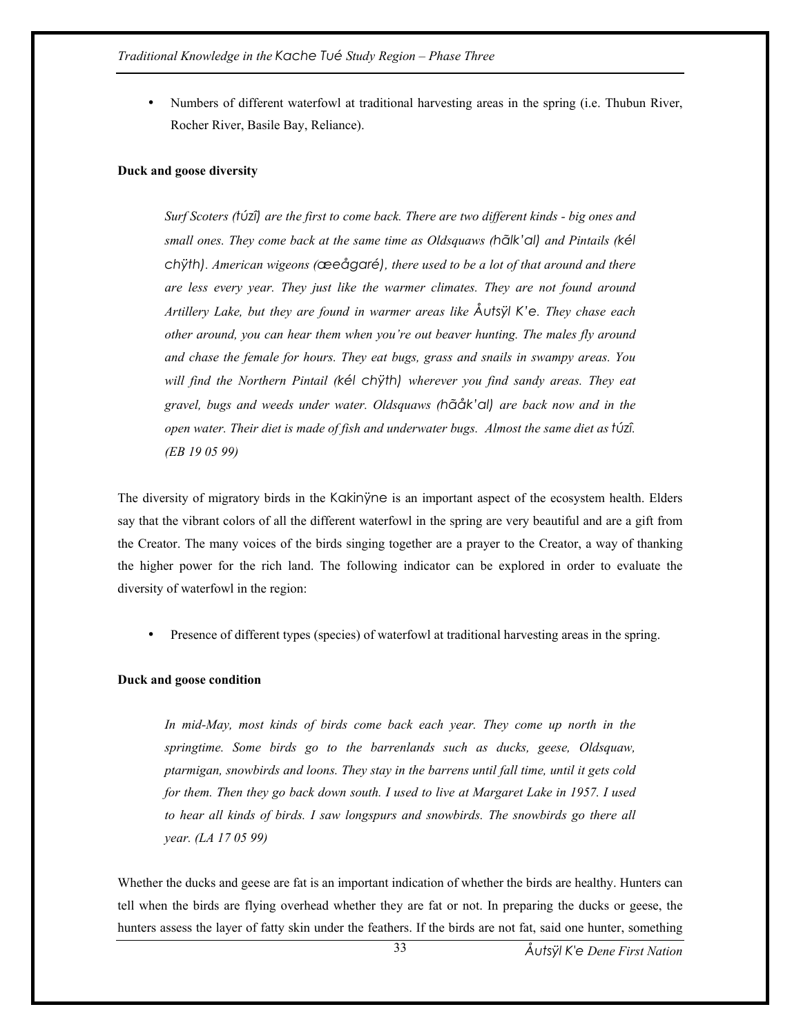• Numbers of different waterfowl at traditional harvesting areas in the spring (i.e. Thubun River, Rocher River, Basile Bay, Reliance).

#### **Duck and goose diversity**

*Surf Scoters (túzî) are the first to come back. There are two different kinds - big ones and small ones. They come back at the same time as Oldsquaws (hãlk'al) and Pintails (kél chÿth). American wigeons (æeågaré), there used to be a lot of that around and there are less every year. They just like the warmer climates. They are not found around Artillery Lake, but they are found in warmer areas like Åutsÿl K'e. They chase each other around, you can hear them when you're out beaver hunting. The males fly around and chase the female for hours. They eat bugs, grass and snails in swampy areas. You will find the Northern Pintail (kél chÿth) wherever you find sandy areas. They eat gravel, bugs and weeds under water. Oldsquaws (hãåk'al) are back now and in the open water. Their diet is made of fish and underwater bugs. Almost the same diet as túzî. (EB 19 05 99)* 

The diversity of migratory birds in the Kakinÿne is an important aspect of the ecosystem health. Elders say that the vibrant colors of all the different waterfowl in the spring are very beautiful and are a gift from the Creator. The many voices of the birds singing together are a prayer to the Creator, a way of thanking the higher power for the rich land. The following indicator can be explored in order to evaluate the diversity of waterfowl in the region:

• Presence of different types (species) of waterfowl at traditional harvesting areas in the spring.

#### **Duck and goose condition**

*In mid-May, most kinds of birds come back each year. They come up north in the springtime. Some birds go to the barrenlands such as ducks, geese, Oldsquaw, ptarmigan, snowbirds and loons. They stay in the barrens until fall time, until it gets cold for them. Then they go back down south. I used to live at Margaret Lake in 1957. I used to hear all kinds of birds. I saw longspurs and snowbirds. The snowbirds go there all year. (LA 17 05 99)* 

Whether the ducks and geese are fat is an important indication of whether the birds are healthy. Hunters can tell when the birds are flying overhead whether they are fat or not. In preparing the ducks or geese, the hunters assess the layer of fatty skin under the feathers. If the birds are not fat, said one hunter, something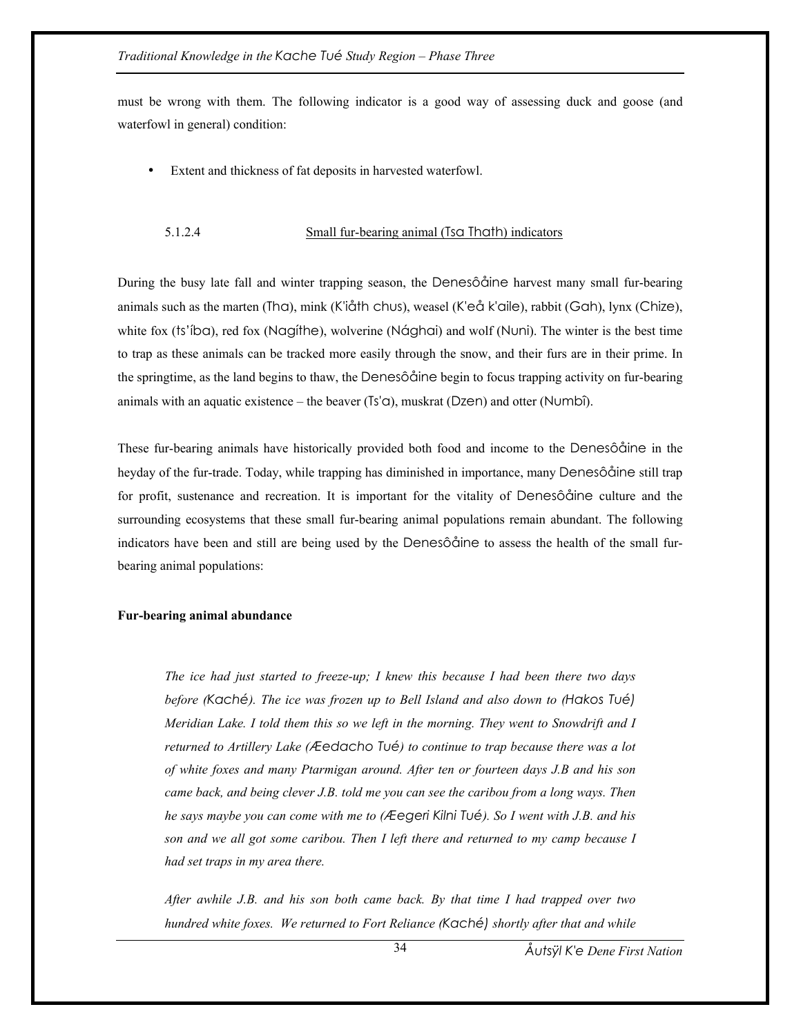must be wrong with them. The following indicator is a good way of assessing duck and goose (and waterfowl in general) condition:

Extent and thickness of fat deposits in harvested waterfowl.

### 5.1.2.4 Small fur-bearing animal (Tsa Thath) indicators

During the busy late fall and winter trapping season, the Denesôåine harvest many small fur-bearing animals such as the marten (Tha), mink (K'iåth chus), weasel (K'eå k'aile), rabbit (Gah), lynx (Chize), white fox (ts'iba), red fox (Nagithe), wolverine (Nághai) and wolf (Nuni). The winter is the best time to trap as these animals can be tracked more easily through the snow, and their furs are in their prime. In the springtime, as the land begins to thaw, the Denesôåine begin to focus trapping activity on fur-bearing animals with an aquatic existence – the beaver  $(Ts' \alpha)$ , muskrat (Dzen) and otter (Numbî).

These fur-bearing animals have historically provided both food and income to the Denesôåine in the heyday of the fur-trade. Today, while trapping has diminished in importance, many Denesôåine still trap for profit, sustenance and recreation. It is important for the vitality of Denesôåine culture and the surrounding ecosystems that these small fur-bearing animal populations remain abundant. The following indicators have been and still are being used by the Denesôåine to assess the health of the small furbearing animal populations:

### **Fur-bearing animal abundance**

*The ice had just started to freeze-up; I knew this because I had been there two days before (Kaché). The ice was frozen up to Bell Island and also down to (Hakos Tué) Meridian Lake. I told them this so we left in the morning. They went to Snowdrift and I returned to Artillery Lake (Æedacho Tué) to continue to trap because there was a lot of white foxes and many Ptarmigan around. After ten or fourteen days J.B and his son came back, and being clever J.B. told me you can see the caribou from a long ways. Then he says maybe you can come with me to (Æegeri Kilni Tué). So I went with J.B. and his son and we all got some caribou. Then I left there and returned to my camp because I had set traps in my area there.* 

*After awhile J.B. and his son both came back. By that time I had trapped over two hundred white foxes. We returned to Fort Reliance (Kaché) shortly after that and while*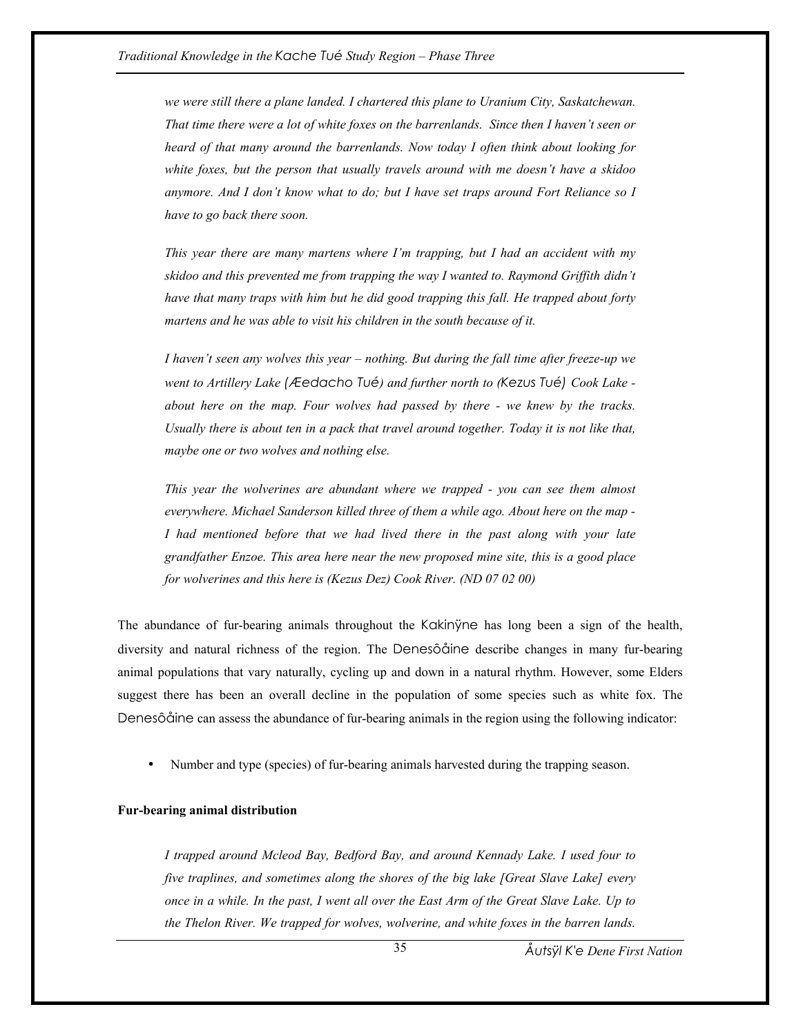*we were still there a plane landed. I chartered this plane to Uranium City, Saskatchewan. That time there were a lot of white foxes on the barrenlands. Since then I haven't seen or heard of that many around the barrenlands. Now today I often think about looking for white foxes, but the person that usually travels around with me doesn't have a skidoo anymore. And I don't know what to do; but I have set traps around Fort Reliance so I have to go back there soon.* 

*This year there are many martens where I'm trapping, but I had an accident with my skidoo and this prevented me from trapping the way I wanted to. Raymond Griffith didn't have that many traps with him but he did good trapping this fall. He trapped about forty martens and he was able to visit his children in the south because of it.* 

*I haven't seen any wolves this year – nothing. But during the fall time after freeze-up we went to Artillery Lake (Æedacho Tué) and further north to (Kezus Tué) Cook Lake about here on the map. Four wolves had passed by there - we knew by the tracks. Usually there is about ten in a pack that travel around together. Today it is not like that, maybe one or two wolves and nothing else.* 

*This year the wolverines are abundant where we trapped - you can see them almost everywhere. Michael Sanderson killed three of them a while ago. About here on the map - I had mentioned before that we had lived there in the past along with your late grandfather Enzoe. This area here near the new proposed mine site, this is a good place for wolverines and this here is (Kezus Dez) Cook River. (ND 07 02 00)* 

The abundance of fur-bearing animals throughout the Kakinyne has long been a sign of the health, diversity and natural richness of the region. The Denesôåine describe changes in many fur-bearing animal populations that vary naturally, cycling up and down in a natural rhythm. However, some Elders suggest there has been an overall decline in the population of some species such as white fox. The Denesôåine can assess the abundance of fur-bearing animals in the region using the following indicator:

• Number and type (species) of fur-bearing animals harvested during the trapping season.

#### **Fur-bearing animal distribution**

*I trapped around Mcleod Bay, Bedford Bay, and around Kennady Lake. I used four to five traplines, and sometimes along the shores of the big lake [Great Slave Lake] every once in a while. In the past, I went all over the East Arm of the Great Slave Lake. Up to the Thelon River. We trapped for wolves, wolverine, and white foxes in the barren lands.* 

35

*Åutsÿl K'e Dene First Nation*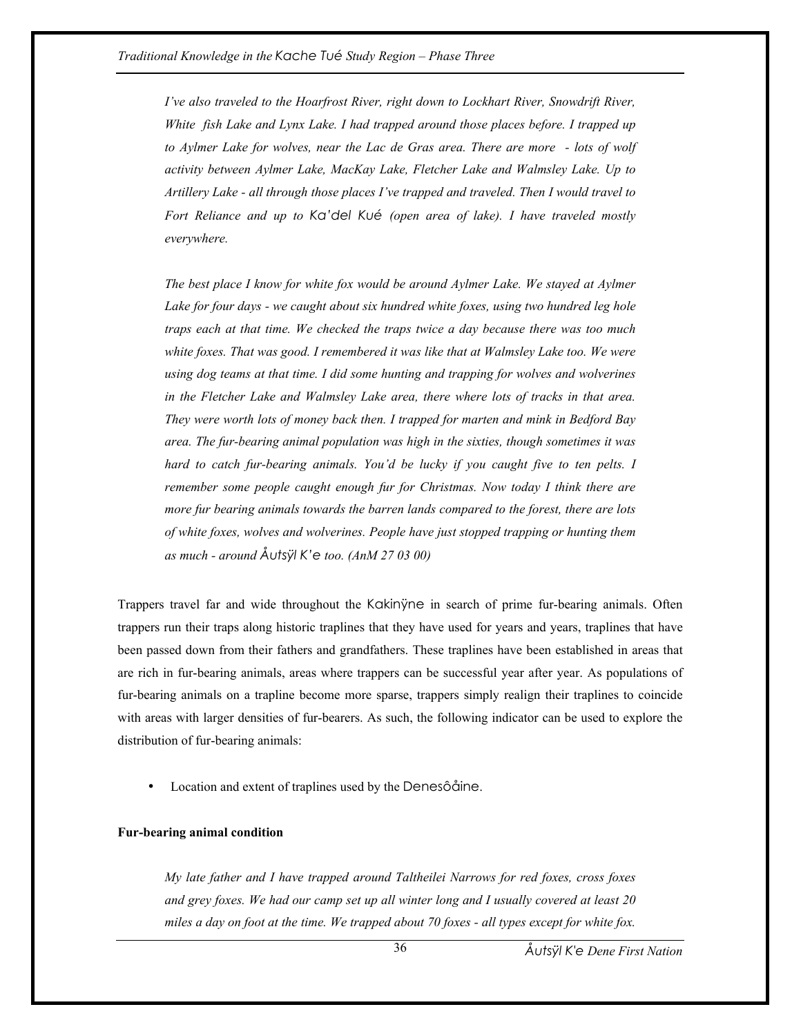*I've also traveled to the Hoarfrost River, right down to Lockhart River, Snowdrift River, White fish Lake and Lynx Lake. I had trapped around those places before. I trapped up to Aylmer Lake for wolves, near the Lac de Gras area. There are more - lots of wolf activity between Aylmer Lake, MacKay Lake, Fletcher Lake and Walmsley Lake. Up to Artillery Lake - all through those places I've trapped and traveled. Then I would travel to Fort Reliance and up to Ka'del Kué (open area of lake). I have traveled mostly everywhere.* 

*The best place I know for white fox would be around Aylmer Lake. We stayed at Aylmer Lake for four days - we caught about six hundred white foxes, using two hundred leg hole traps each at that time. We checked the traps twice a day because there was too much white foxes. That was good. I remembered it was like that at Walmsley Lake too. We were using dog teams at that time. I did some hunting and trapping for wolves and wolverines in the Fletcher Lake and Walmsley Lake area, there where lots of tracks in that area. They were worth lots of money back then. I trapped for marten and mink in Bedford Bay area. The fur-bearing animal population was high in the sixties, though sometimes it was hard to catch fur-bearing animals. You'd be lucky if you caught five to ten pelts. I remember some people caught enough fur for Christmas. Now today I think there are more fur bearing animals towards the barren lands compared to the forest, there are lots of white foxes, wolves and wolverines. People have just stopped trapping or hunting them as much - around Åutsÿl K'e too. (AnM 27 03 00)* 

Trappers travel far and wide throughout the Kakinÿne in search of prime fur-bearing animals. Often trappers run their traps along historic traplines that they have used for years and years, traplines that have been passed down from their fathers and grandfathers. These traplines have been established in areas that are rich in fur-bearing animals, areas where trappers can be successful year after year. As populations of fur-bearing animals on a trapline become more sparse, trappers simply realign their traplines to coincide with areas with larger densities of fur-bearers. As such, the following indicator can be used to explore the distribution of fur-bearing animals:

• Location and extent of traplines used by the Denesôåine.

### **Fur-bearing animal condition**

*My late father and I have trapped around Taltheilei Narrows for red foxes, cross foxes and grey foxes. We had our camp set up all winter long and I usually covered at least 20 miles a day on foot at the time. We trapped about 70 foxes - all types except for white fox.* 

36

*Åutsÿl K'e Dene First Nation*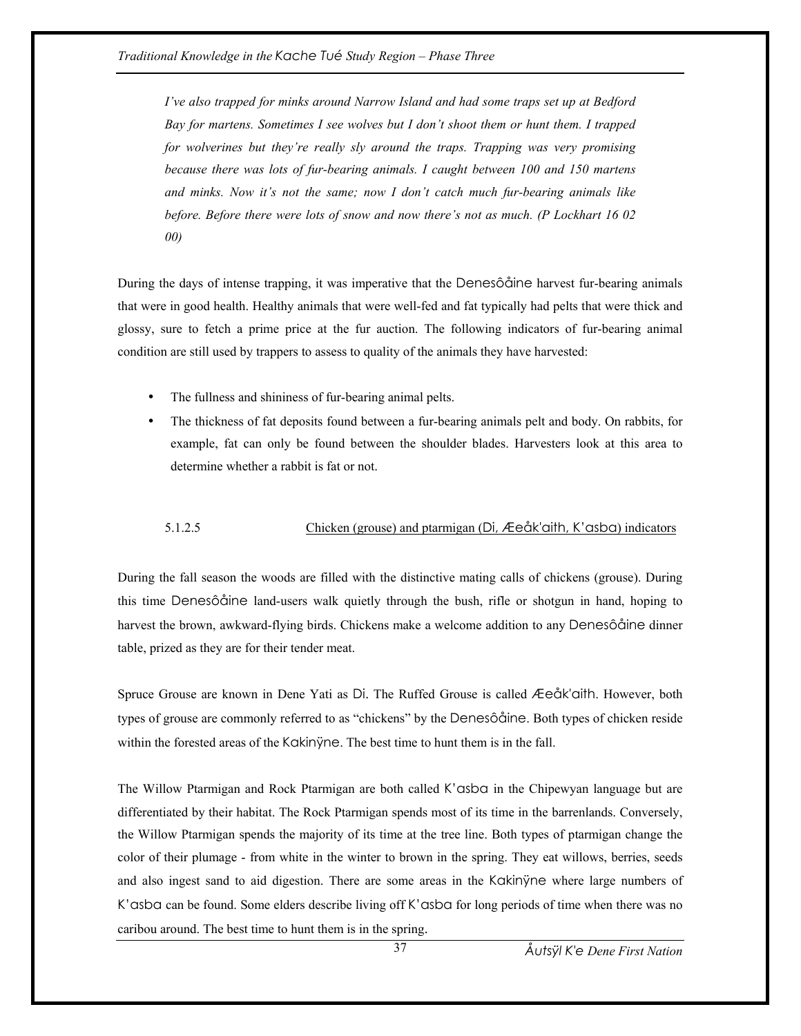*I've also trapped for minks around Narrow Island and had some traps set up at Bedford Bay for martens. Sometimes I see wolves but I don't shoot them or hunt them. I trapped for wolverines but they're really sly around the traps. Trapping was very promising because there was lots of fur-bearing animals. I caught between 100 and 150 martens and minks. Now it's not the same; now I don't catch much fur-bearing animals like before. Before there were lots of snow and now there's not as much. (P Lockhart 16 02 00)* 

During the days of intense trapping, it was imperative that the Denesôåine harvest fur-bearing animals that were in good health. Healthy animals that were well-fed and fat typically had pelts that were thick and glossy, sure to fetch a prime price at the fur auction. The following indicators of fur-bearing animal condition are still used by trappers to assess to quality of the animals they have harvested:

- The fullness and shininess of fur-bearing animal pelts.
- The thickness of fat deposits found between a fur-bearing animals pelt and body. On rabbits, for example, fat can only be found between the shoulder blades. Harvesters look at this area to determine whether a rabbit is fat or not.

# 5.1.2.5 Chicken (grouse) and ptarmigan (Di, Æeåk'aith, K'asba) indicators

During the fall season the woods are filled with the distinctive mating calls of chickens (grouse). During this time Denesôåine land-users walk quietly through the bush, rifle or shotgun in hand, hoping to harvest the brown, awkward-flying birds. Chickens make a welcome addition to any Denesôåine dinner table, prized as they are for their tender meat.

Spruce Grouse are known in Dene Yati as Di. The Ruffed Grouse is called Æeåk'aith. However, both types of grouse are commonly referred to as "chickens" by the Denesôåine. Both types of chicken reside within the forested areas of the Kakinÿne. The best time to hunt them is in the fall.

The Willow Ptarmigan and Rock Ptarmigan are both called K'asba in the Chipewyan language but are differentiated by their habitat. The Rock Ptarmigan spends most of its time in the barrenlands. Conversely, the Willow Ptarmigan spends the majority of its time at the tree line. Both types of ptarmigan change the color of their plumage - from white in the winter to brown in the spring. They eat willows, berries, seeds and also ingest sand to aid digestion. There are some areas in the Kakinÿne where large numbers of K'asba can be found. Some elders describe living off K'asba for long periods of time when there was no caribou around. The best time to hunt them is in the spring.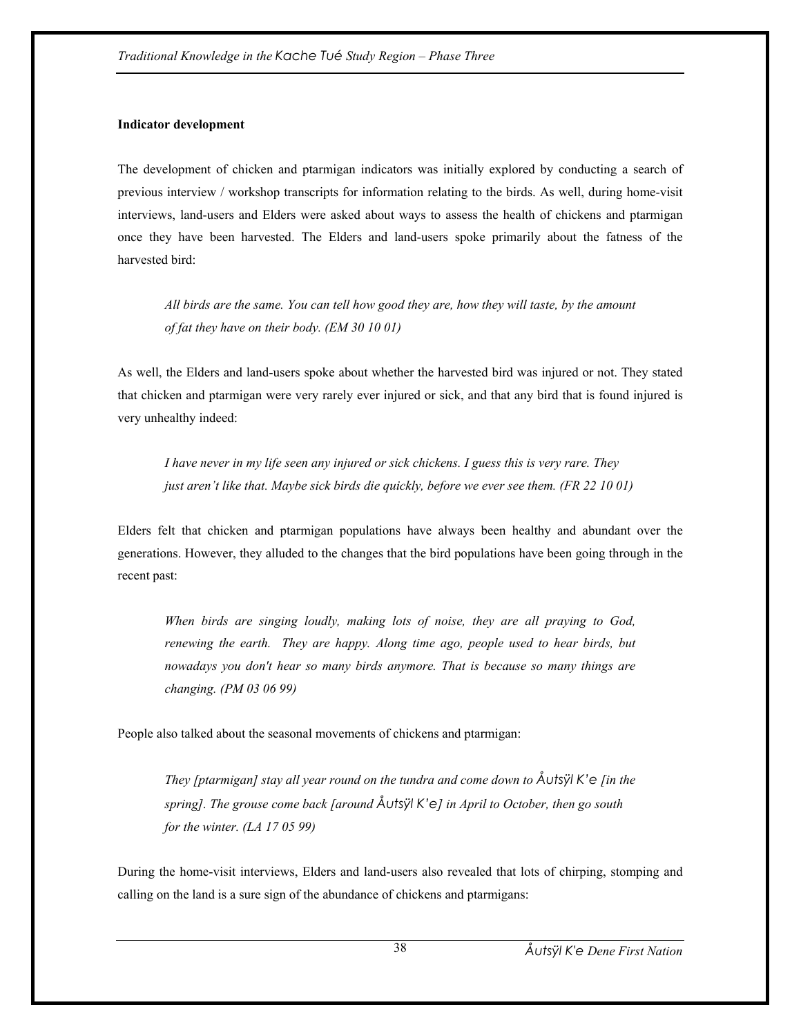## **Indicator development**

The development of chicken and ptarmigan indicators was initially explored by conducting a search of previous interview / workshop transcripts for information relating to the birds. As well, during home-visit interviews, land-users and Elders were asked about ways to assess the health of chickens and ptarmigan once they have been harvested. The Elders and land-users spoke primarily about the fatness of the harvested bird:

*All birds are the same. You can tell how good they are, how they will taste, by the amount of fat they have on their body. (EM 30 10 01)* 

As well, the Elders and land-users spoke about whether the harvested bird was injured or not. They stated that chicken and ptarmigan were very rarely ever injured or sick, and that any bird that is found injured is very unhealthy indeed:

*I have never in my life seen any injured or sick chickens. I guess this is very rare. They just aren't like that. Maybe sick birds die quickly, before we ever see them. (FR 22 10 01)* 

Elders felt that chicken and ptarmigan populations have always been healthy and abundant over the generations. However, they alluded to the changes that the bird populations have been going through in the recent past:

*When birds are singing loudly, making lots of noise, they are all praying to God, renewing the earth. They are happy. Along time ago, people used to hear birds, but nowadays you don't hear so many birds anymore. That is because so many things are changing. (PM 03 06 99)* 

People also talked about the seasonal movements of chickens and ptarmigan:

*They [ptarmigan] stay all year round on the tundra and come down to Åutsÿl K'e [in the spring]. The grouse come back [around Åutsÿl K'e] in April to October, then go south for the winter. (LA 17 05 99)*

During the home-visit interviews, Elders and land-users also revealed that lots of chirping, stomping and calling on the land is a sure sign of the abundance of chickens and ptarmigans: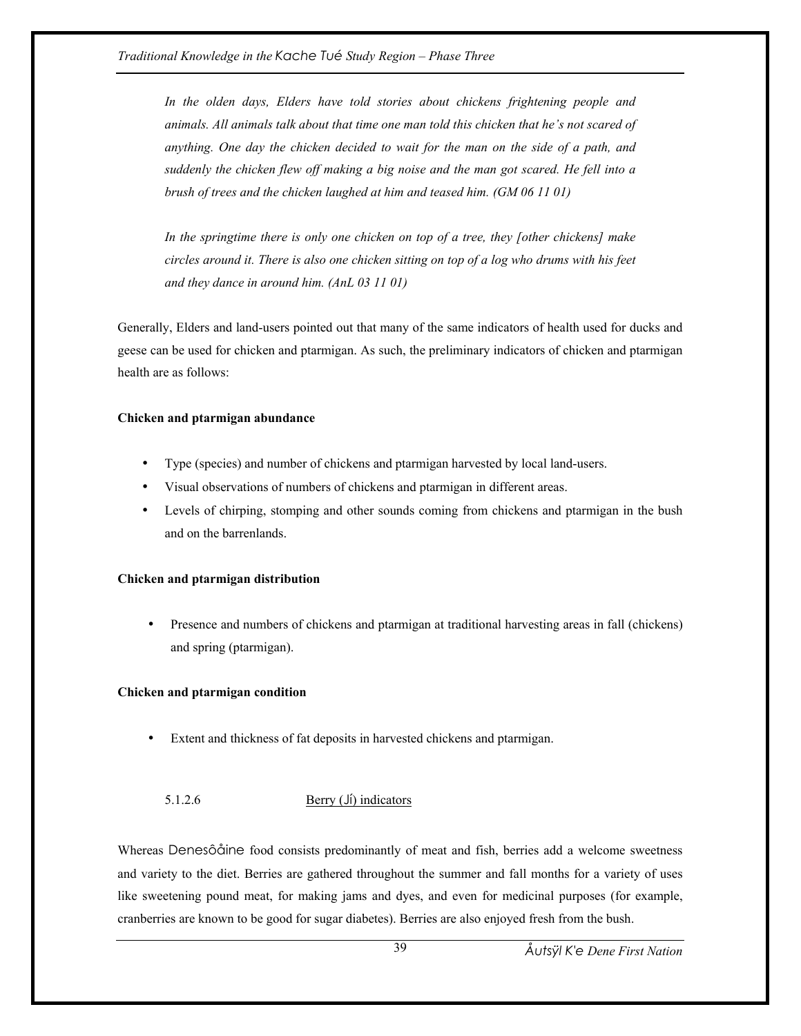*In the olden days, Elders have told stories about chickens frightening people and animals. All animals talk about that time one man told this chicken that he's not scared of anything. One day the chicken decided to wait for the man on the side of a path, and suddenly the chicken flew off making a big noise and the man got scared. He fell into a brush of trees and the chicken laughed at him and teased him. (GM 06 11 01)* 

*In the springtime there is only one chicken on top of a tree, they [other chickens] make circles around it. There is also one chicken sitting on top of a log who drums with his feet and they dance in around him. (AnL 03 11 01)* 

Generally, Elders and land-users pointed out that many of the same indicators of health used for ducks and geese can be used for chicken and ptarmigan. As such, the preliminary indicators of chicken and ptarmigan health are as follows:

# **Chicken and ptarmigan abundance**

- Type (species) and number of chickens and ptarmigan harvested by local land-users.
- Visual observations of numbers of chickens and ptarmigan in different areas.
- Levels of chirping, stomping and other sounds coming from chickens and ptarmigan in the bush and on the barrenlands.

# **Chicken and ptarmigan distribution**

• Presence and numbers of chickens and ptarmigan at traditional harvesting areas in fall (chickens) and spring (ptarmigan).

# **Chicken and ptarmigan condition**

Extent and thickness of fat deposits in harvested chickens and ptarmigan.

# 5.1.2.6 Berry (Jí) indicators

Whereas Denesôåine food consists predominantly of meat and fish, berries add a welcome sweetness and variety to the diet. Berries are gathered throughout the summer and fall months for a variety of uses like sweetening pound meat, for making jams and dyes, and even for medicinal purposes (for example, cranberries are known to be good for sugar diabetes). Berries are also enjoyed fresh from the bush.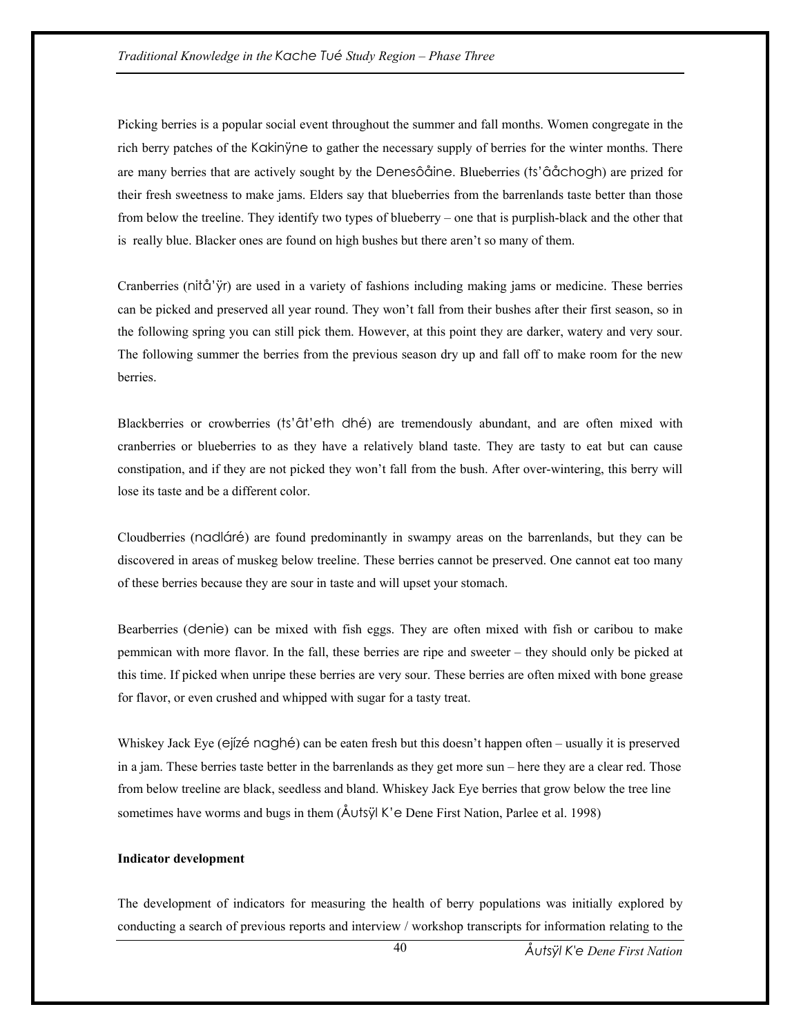Picking berries is a popular social event throughout the summer and fall months. Women congregate in the rich berry patches of the Kakinÿne to gather the necessary supply of berries for the winter months. There are many berries that are actively sought by the Denesôåine. Blueberries (ts'âåchogh) are prized for their fresh sweetness to make jams. Elders say that blueberries from the barrenlands taste better than those from below the treeline. They identify two types of blueberry – one that is purplish-black and the other that is really blue. Blacker ones are found on high bushes but there aren't so many of them.

Cranberries (nitå'ÿr) are used in a variety of fashions including making jams or medicine. These berries can be picked and preserved all year round. They won't fall from their bushes after their first season, so in the following spring you can still pick them. However, at this point they are darker, watery and very sour. The following summer the berries from the previous season dry up and fall off to make room for the new berries.

Blackberries or crowberries (ts'ât'eth dhé) are tremendously abundant, and are often mixed with cranberries or blueberries to as they have a relatively bland taste. They are tasty to eat but can cause constipation, and if they are not picked they won't fall from the bush. After over-wintering, this berry will lose its taste and be a different color.

Cloudberries (nadláré) are found predominantly in swampy areas on the barrenlands, but they can be discovered in areas of muskeg below treeline. These berries cannot be preserved. One cannot eat too many of these berries because they are sour in taste and will upset your stomach.

Bearberries (denie) can be mixed with fish eggs. They are often mixed with fish or caribou to make pemmican with more flavor. In the fall, these berries are ripe and sweeter – they should only be picked at this time. If picked when unripe these berries are very sour. These berries are often mixed with bone grease for flavor, or even crushed and whipped with sugar for a tasty treat.

Whiskey Jack Eye (ejízé naghé) can be eaten fresh but this doesn't happen often – usually it is preserved in a jam. These berries taste better in the barrenlands as they get more sun – here they are a clear red. Those from below treeline are black, seedless and bland. Whiskey Jack Eye berries that grow below the tree line sometimes have worms and bugs in them (Åutsÿl K'e Dene First Nation, Parlee et al. 1998)

### **Indicator development**

The development of indicators for measuring the health of berry populations was initially explored by conducting a search of previous reports and interview / workshop transcripts for information relating to the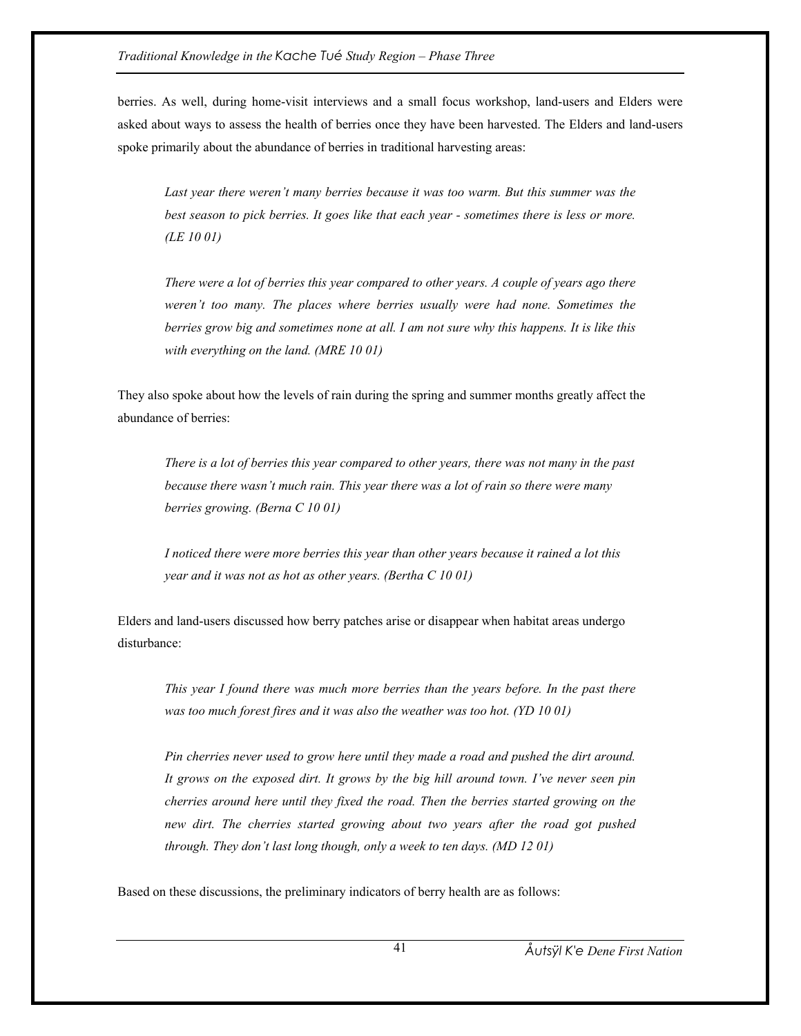berries. As well, during home-visit interviews and a small focus workshop, land-users and Elders were asked about ways to assess the health of berries once they have been harvested. The Elders and land-users spoke primarily about the abundance of berries in traditional harvesting areas:

*Last year there weren't many berries because it was too warm. But this summer was the best season to pick berries. It goes like that each year - sometimes there is less or more. (LE 10 01)* 

*There were a lot of berries this year compared to other years. A couple of years ago there weren't too many. The places where berries usually were had none. Sometimes the berries grow big and sometimes none at all. I am not sure why this happens. It is like this with everything on the land. (MRE 10 01)* 

They also spoke about how the levels of rain during the spring and summer months greatly affect the abundance of berries:

*There is a lot of berries this year compared to other years, there was not many in the past because there wasn't much rain. This year there was a lot of rain so there were many berries growing. (Berna C 10 01)* 

*I noticed there were more berries this year than other years because it rained a lot this year and it was not as hot as other years. (Bertha C 10 01)* 

Elders and land-users discussed how berry patches arise or disappear when habitat areas undergo disturbance:

*This year I found there was much more berries than the years before. In the past there was too much forest fires and it was also the weather was too hot. (YD 10 01)* 

*Pin cherries never used to grow here until they made a road and pushed the dirt around. It grows on the exposed dirt. It grows by the big hill around town. I've never seen pin cherries around here until they fixed the road. Then the berries started growing on the new dirt. The cherries started growing about two years after the road got pushed through. They don't last long though, only a week to ten days. (MD 12 01)* 

Based on these discussions, the preliminary indicators of berry health are as follows: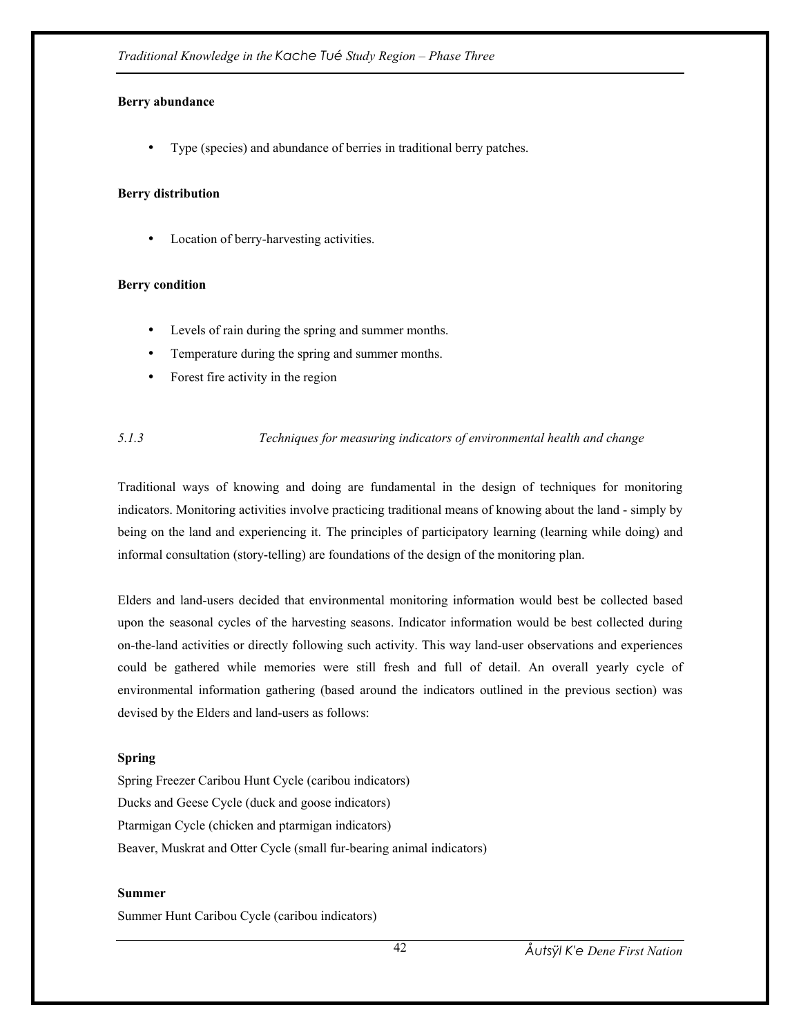# **Berry abundance**

• Type (species) and abundance of berries in traditional berry patches.

# **Berry distribution**

Location of berry-harvesting activities.

## **Berry condition**

- Levels of rain during the spring and summer months.
- Temperature during the spring and summer months.
- Forest fire activity in the region

# *5.1.3 Techniques for measuring indicators of environmental health and change*

Traditional ways of knowing and doing are fundamental in the design of techniques for monitoring indicators. Monitoring activities involve practicing traditional means of knowing about the land - simply by being on the land and experiencing it. The principles of participatory learning (learning while doing) and informal consultation (story-telling) are foundations of the design of the monitoring plan.

Elders and land-users decided that environmental monitoring information would best be collected based upon the seasonal cycles of the harvesting seasons. Indicator information would be best collected during on-the-land activities or directly following such activity. This way land-user observations and experiences could be gathered while memories were still fresh and full of detail. An overall yearly cycle of environmental information gathering (based around the indicators outlined in the previous section) was devised by the Elders and land-users as follows:

# **Spring**

Spring Freezer Caribou Hunt Cycle (caribou indicators) Ducks and Geese Cycle (duck and goose indicators) Ptarmigan Cycle (chicken and ptarmigan indicators) Beaver, Muskrat and Otter Cycle (small fur-bearing animal indicators)

### **Summer**

Summer Hunt Caribou Cycle (caribou indicators)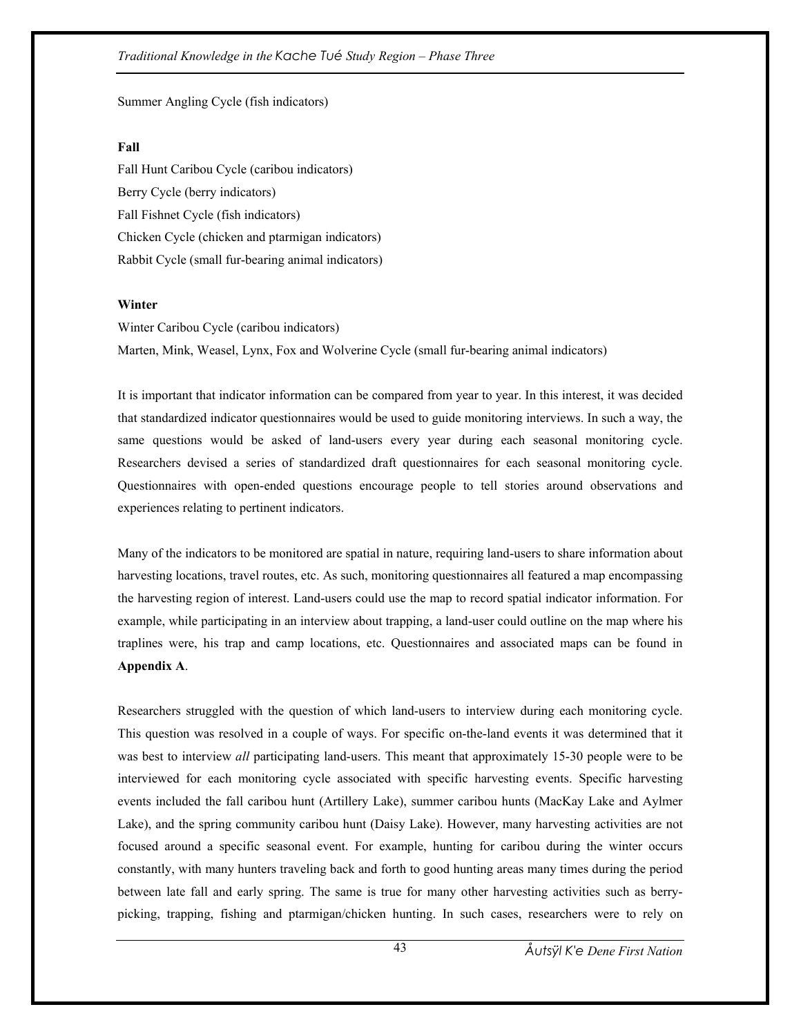## *Traditional Knowledge in the Kache Tué Study Region – Phase Three*

# Summer Angling Cycle (fish indicators)

### **Fall**

Fall Hunt Caribou Cycle (caribou indicators) Berry Cycle (berry indicators) Fall Fishnet Cycle (fish indicators) Chicken Cycle (chicken and ptarmigan indicators) Rabbit Cycle (small fur-bearing animal indicators)

## **Winter**

Winter Caribou Cycle (caribou indicators) Marten, Mink, Weasel, Lynx, Fox and Wolverine Cycle (small fur-bearing animal indicators)

It is important that indicator information can be compared from year to year. In this interest, it was decided that standardized indicator questionnaires would be used to guide monitoring interviews. In such a way, the same questions would be asked of land-users every year during each seasonal monitoring cycle. Researchers devised a series of standardized draft questionnaires for each seasonal monitoring cycle. Questionnaires with open-ended questions encourage people to tell stories around observations and experiences relating to pertinent indicators.

Many of the indicators to be monitored are spatial in nature, requiring land-users to share information about harvesting locations, travel routes, etc. As such, monitoring questionnaires all featured a map encompassing the harvesting region of interest. Land-users could use the map to record spatial indicator information. For example, while participating in an interview about trapping, a land-user could outline on the map where his traplines were, his trap and camp locations, etc. Questionnaires and associated maps can be found in **Appendix A**.

Researchers struggled with the question of which land-users to interview during each monitoring cycle. This question was resolved in a couple of ways. For specific on-the-land events it was determined that it was best to interview *all* participating land-users. This meant that approximately 15-30 people were to be interviewed for each monitoring cycle associated with specific harvesting events. Specific harvesting events included the fall caribou hunt (Artillery Lake), summer caribou hunts (MacKay Lake and Aylmer Lake), and the spring community caribou hunt (Daisy Lake). However, many harvesting activities are not focused around a specific seasonal event. For example, hunting for caribou during the winter occurs constantly, with many hunters traveling back and forth to good hunting areas many times during the period between late fall and early spring. The same is true for many other harvesting activities such as berrypicking, trapping, fishing and ptarmigan/chicken hunting. In such cases, researchers were to rely on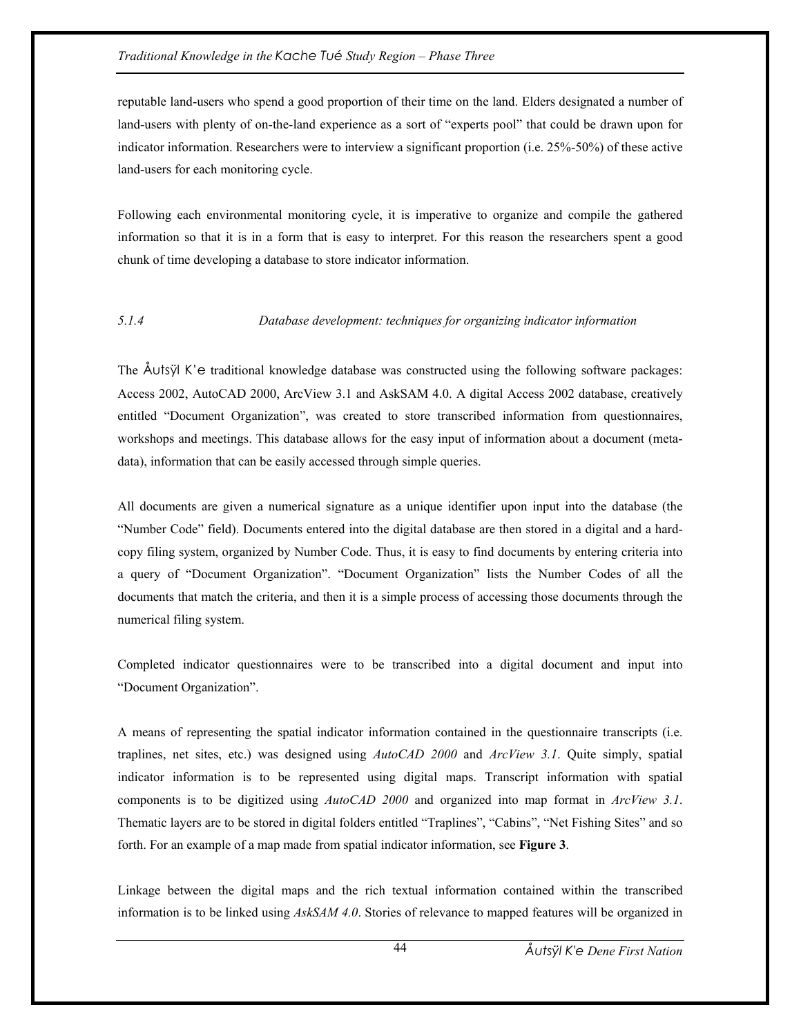reputable land-users who spend a good proportion of their time on the land. Elders designated a number of land-users with plenty of on-the-land experience as a sort of "experts pool" that could be drawn upon for indicator information. Researchers were to interview a significant proportion (i.e. 25%-50%) of these active land-users for each monitoring cycle.

Following each environmental monitoring cycle, it is imperative to organize and compile the gathered information so that it is in a form that is easy to interpret. For this reason the researchers spent a good chunk of time developing a database to store indicator information.

### *5.1.4 Database development: techniques for organizing indicator information*

The Åutsÿl K'e traditional knowledge database was constructed using the following software packages: Access 2002, AutoCAD 2000, ArcView 3.1 and AskSAM 4.0. A digital Access 2002 database, creatively entitled "Document Organization", was created to store transcribed information from questionnaires, workshops and meetings. This database allows for the easy input of information about a document (metadata), information that can be easily accessed through simple queries.

All documents are given a numerical signature as a unique identifier upon input into the database (the "Number Code" field). Documents entered into the digital database are then stored in a digital and a hardcopy filing system, organized by Number Code. Thus, it is easy to find documents by entering criteria into a query of "Document Organization". "Document Organization" lists the Number Codes of all the documents that match the criteria, and then it is a simple process of accessing those documents through the numerical filing system.

Completed indicator questionnaires were to be transcribed into a digital document and input into "Document Organization".

A means of representing the spatial indicator information contained in the questionnaire transcripts (i.e. traplines, net sites, etc.) was designed using *AutoCAD 2000* and *ArcView 3.1*. Quite simply, spatial indicator information is to be represented using digital maps. Transcript information with spatial components is to be digitized using *AutoCAD 2000* and organized into map format in *ArcView 3.1*. Thematic layers are to be stored in digital folders entitled "Traplines", "Cabins", "Net Fishing Sites" and so forth. For an example of a map made from spatial indicator information, see **Figure 3**.

Linkage between the digital maps and the rich textual information contained within the transcribed information is to be linked using *AskSAM 4.0*. Stories of relevance to mapped features will be organized in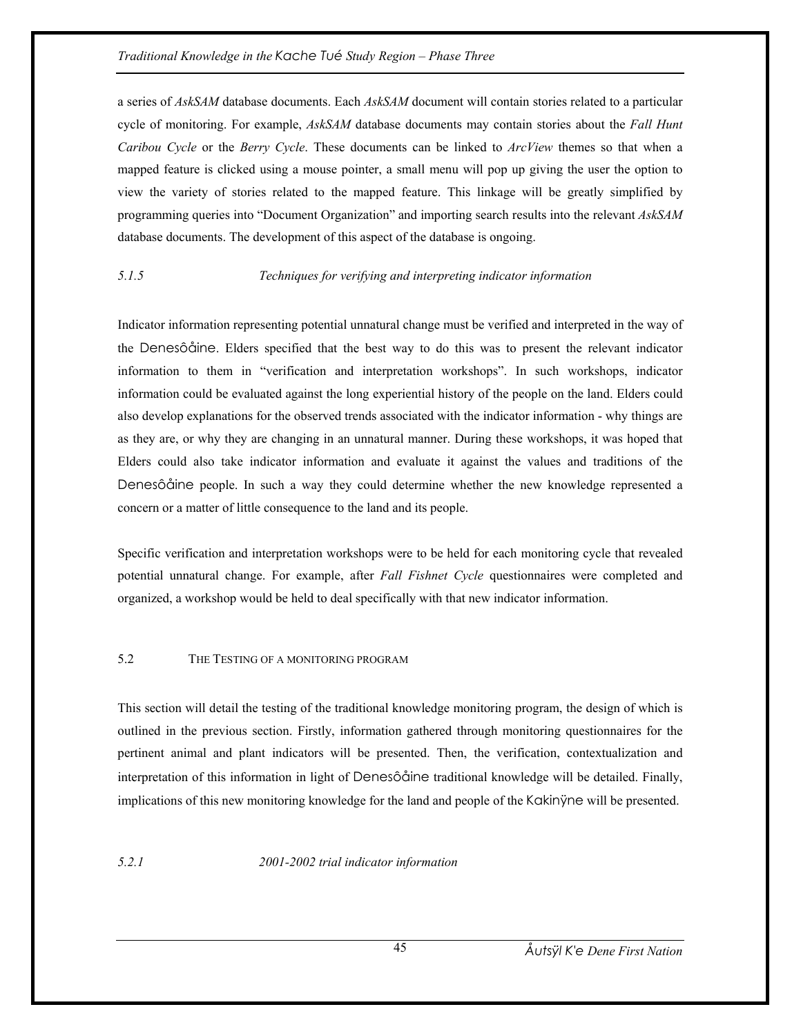a series of *AskSAM* database documents. Each *AskSAM* document will contain stories related to a particular cycle of monitoring. For example, *AskSAM* database documents may contain stories about the *Fall Hunt Caribou Cycle* or the *Berry Cycle*. These documents can be linked to *ArcView* themes so that when a mapped feature is clicked using a mouse pointer, a small menu will pop up giving the user the option to view the variety of stories related to the mapped feature. This linkage will be greatly simplified by programming queries into "Document Organization" and importing search results into the relevant *AskSAM*  database documents. The development of this aspect of the database is ongoing.

# *5.1.5 Techniques for verifying and interpreting indicator information*

Indicator information representing potential unnatural change must be verified and interpreted in the way of the Denesôåine. Elders specified that the best way to do this was to present the relevant indicator information to them in "verification and interpretation workshops". In such workshops, indicator information could be evaluated against the long experiential history of the people on the land. Elders could also develop explanations for the observed trends associated with the indicator information - why things are as they are, or why they are changing in an unnatural manner. During these workshops, it was hoped that Elders could also take indicator information and evaluate it against the values and traditions of the Denesôåine people. In such a way they could determine whether the new knowledge represented a concern or a matter of little consequence to the land and its people.

Specific verification and interpretation workshops were to be held for each monitoring cycle that revealed potential unnatural change. For example, after *Fall Fishnet Cycle* questionnaires were completed and organized, a workshop would be held to deal specifically with that new indicator information.

# 5.2 THE TESTING OF A MONITORING PROGRAM

This section will detail the testing of the traditional knowledge monitoring program, the design of which is outlined in the previous section. Firstly, information gathered through monitoring questionnaires for the pertinent animal and plant indicators will be presented. Then, the verification, contextualization and interpretation of this information in light of Denesôåine traditional knowledge will be detailed. Finally, implications of this new monitoring knowledge for the land and people of the Kakinÿne will be presented.

*5.2.1 2001-2002 trial indicator information*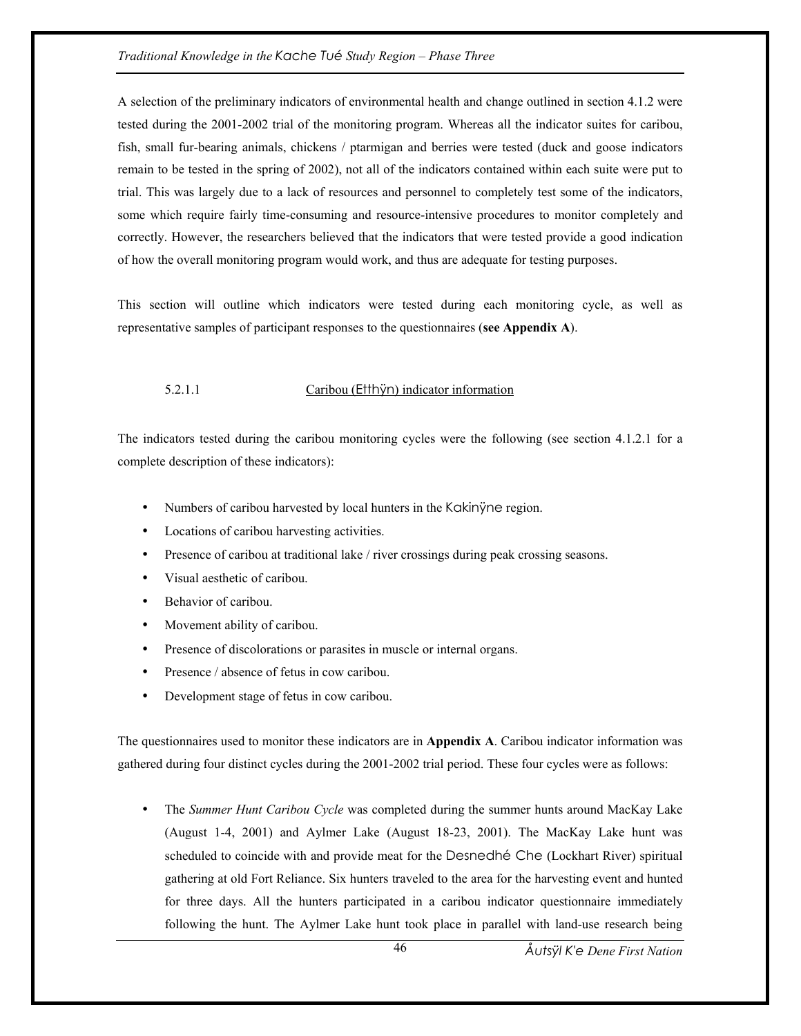### *Traditional Knowledge in the Kache Tué Study Region – Phase Three*

A selection of the preliminary indicators of environmental health and change outlined in section 4.1.2 were tested during the 2001-2002 trial of the monitoring program. Whereas all the indicator suites for caribou, fish, small fur-bearing animals, chickens / ptarmigan and berries were tested (duck and goose indicators remain to be tested in the spring of 2002), not all of the indicators contained within each suite were put to trial. This was largely due to a lack of resources and personnel to completely test some of the indicators, some which require fairly time-consuming and resource-intensive procedures to monitor completely and correctly. However, the researchers believed that the indicators that were tested provide a good indication of how the overall monitoring program would work, and thus are adequate for testing purposes.

This section will outline which indicators were tested during each monitoring cycle, as well as representative samples of participant responses to the questionnaires (**see Appendix A**).

# 5.2.1.1 Caribou (Etthÿn) indicator information

The indicators tested during the caribou monitoring cycles were the following (see section 4.1.2.1 for a complete description of these indicators):

- Numbers of caribou harvested by local hunters in the Kakinÿne region.
- Locations of caribou harvesting activities.
- Presence of caribou at traditional lake / river crossings during peak crossing seasons.
- Visual aesthetic of caribou.
- Behavior of caribou
- Movement ability of caribou.
- Presence of discolorations or parasites in muscle or internal organs.
- Presence / absence of fetus in cow caribou.
- Development stage of fetus in cow caribou.

The questionnaires used to monitor these indicators are in **Appendix A**. Caribou indicator information was gathered during four distinct cycles during the 2001-2002 trial period. These four cycles were as follows:

• The *Summer Hunt Caribou Cycle* was completed during the summer hunts around MacKay Lake (August 1-4, 2001) and Aylmer Lake (August 18-23, 2001). The MacKay Lake hunt was scheduled to coincide with and provide meat for the Desnedhé Che (Lockhart River) spiritual gathering at old Fort Reliance. Six hunters traveled to the area for the harvesting event and hunted for three days. All the hunters participated in a caribou indicator questionnaire immediately following the hunt. The Aylmer Lake hunt took place in parallel with land-use research being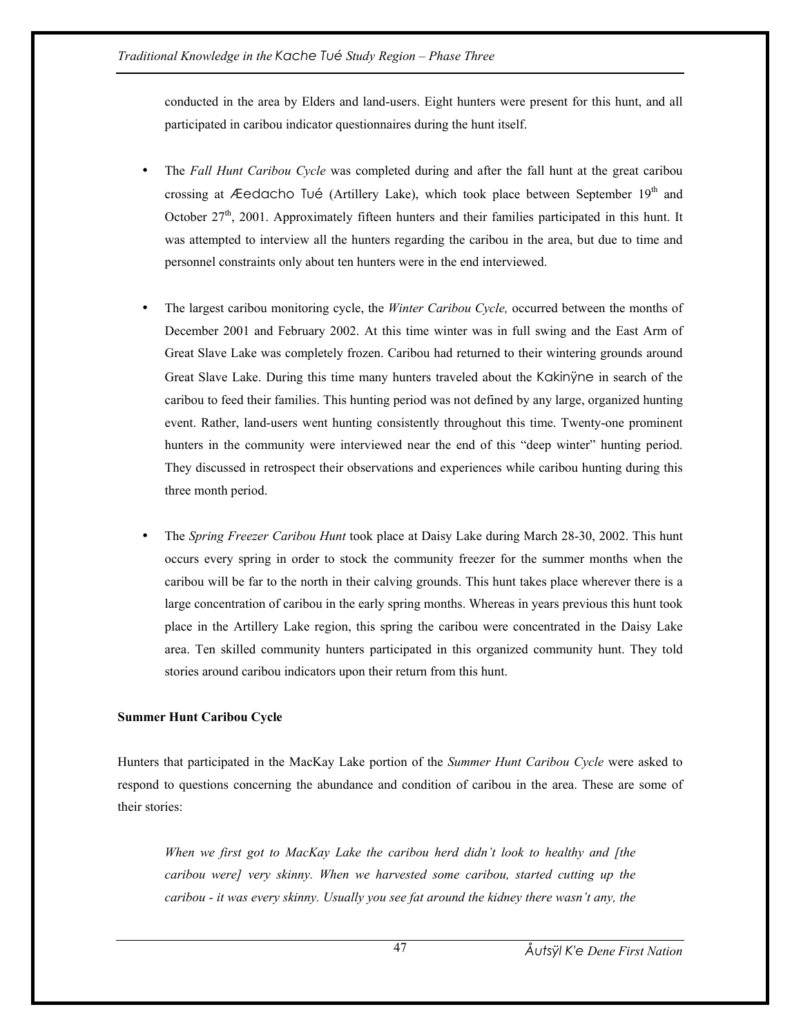conducted in the area by Elders and land-users. Eight hunters were present for this hunt, and all participated in caribou indicator questionnaires during the hunt itself.

- The *Fall Hunt Caribou Cycle* was completed during and after the fall hunt at the great caribou crossing at Æedacho Tué (Artillery Lake), which took place between September  $19<sup>th</sup>$  and October 27<sup>th</sup>, 2001. Approximately fifteen hunters and their families participated in this hunt. It was attempted to interview all the hunters regarding the caribou in the area, but due to time and personnel constraints only about ten hunters were in the end interviewed.
- The largest caribou monitoring cycle, the *Winter Caribou Cycle,* occurred between the months of December 2001 and February 2002. At this time winter was in full swing and the East Arm of Great Slave Lake was completely frozen. Caribou had returned to their wintering grounds around Great Slave Lake. During this time many hunters traveled about the Kakinÿne in search of the caribou to feed their families. This hunting period was not defined by any large, organized hunting event. Rather, land-users went hunting consistently throughout this time. Twenty-one prominent hunters in the community were interviewed near the end of this "deep winter" hunting period. They discussed in retrospect their observations and experiences while caribou hunting during this three month period.
- The *Spring Freezer Caribou Hunt* took place at Daisy Lake during March 28-30, 2002. This hunt occurs every spring in order to stock the community freezer for the summer months when the caribou will be far to the north in their calving grounds. This hunt takes place wherever there is a large concentration of caribou in the early spring months. Whereas in years previous this hunt took place in the Artillery Lake region, this spring the caribou were concentrated in the Daisy Lake area. Ten skilled community hunters participated in this organized community hunt. They told stories around caribou indicators upon their return from this hunt.

# **Summer Hunt Caribou Cycle**

Hunters that participated in the MacKay Lake portion of the *Summer Hunt Caribou Cycle* were asked to respond to questions concerning the abundance and condition of caribou in the area. These are some of their stories:

*When we first got to MacKay Lake the caribou herd didn't look to healthy and [the caribou were] very skinny. When we harvested some caribou, started cutting up the caribou - it was every skinny. Usually you see fat around the kidney there wasn't any, the*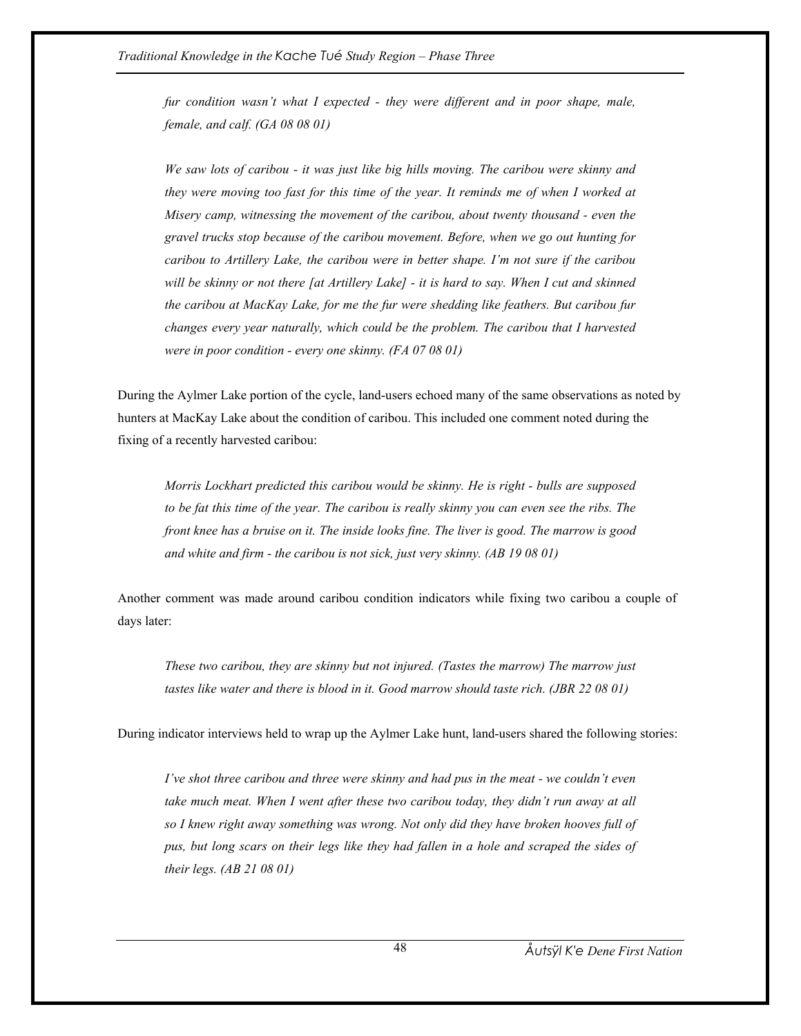*fur condition wasn't what I expected - they were different and in poor shape, male, female, and calf. (GA 08 08 01)* 

*We saw lots of caribou - it was just like big hills moving. The caribou were skinny and they were moving too fast for this time of the year. It reminds me of when I worked at Misery camp, witnessing the movement of the caribou, about twenty thousand - even the gravel trucks stop because of the caribou movement. Before, when we go out hunting for caribou to Artillery Lake, the caribou were in better shape. I'm not sure if the caribou will be skinny or not there [at Artillery Lake] - it is hard to say. When I cut and skinned the caribou at MacKay Lake, for me the fur were shedding like feathers. But caribou fur changes every year naturally, which could be the problem. The caribou that I harvested were in poor condition - every one skinny. (FA 07 08 01)* 

During the Aylmer Lake portion of the cycle, land-users echoed many of the same observations as noted by hunters at MacKay Lake about the condition of caribou. This included one comment noted during the fixing of a recently harvested caribou:

*Morris Lockhart predicted this caribou would be skinny. He is right - bulls are supposed to be fat this time of the year. The caribou is really skinny you can even see the ribs. The front knee has a bruise on it. The inside looks fine. The liver is good. The marrow is good and white and firm - the caribou is not sick, just very skinny. (AB 19 08 01)* 

Another comment was made around caribou condition indicators while fixing two caribou a couple of days later:

*These two caribou, they are skinny but not injured. (Tastes the marrow) The marrow just tastes like water and there is blood in it. Good marrow should taste rich. (JBR 22 08 01)* 

During indicator interviews held to wrap up the Aylmer Lake hunt, land-users shared the following stories:

*I've shot three caribou and three were skinny and had pus in the meat - we couldn't even take much meat. When I went after these two caribou today, they didn't run away at all so I knew right away something was wrong. Not only did they have broken hooves full of pus, but long scars on their legs like they had fallen in a hole and scraped the sides of their legs. (AB 21 08 01)*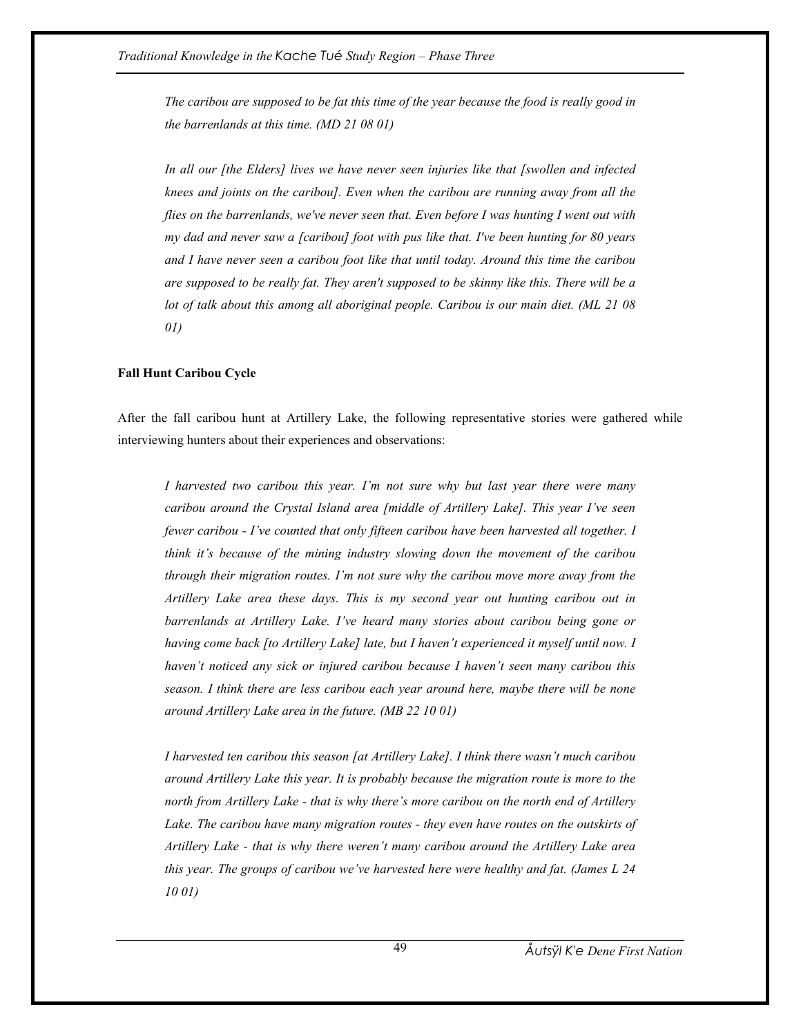*The caribou are supposed to be fat this time of the year because the food is really good in the barrenlands at this time. (MD 21 08 01)* 

*In all our [the Elders] lives we have never seen injuries like that [swollen and infected knees and joints on the caribou]. Even when the caribou are running away from all the flies on the barrenlands, we've never seen that. Even before I was hunting I went out with my dad and never saw a [caribou] foot with pus like that. I've been hunting for 80 years and I have never seen a caribou foot like that until today. Around this time the caribou are supposed to be really fat. They aren't supposed to be skinny like this. There will be a lot of talk about this among all aboriginal people. Caribou is our main diet. (ML 21 08 01)* 

#### **Fall Hunt Caribou Cycle**

After the fall caribou hunt at Artillery Lake, the following representative stories were gathered while interviewing hunters about their experiences and observations:

*I harvested two caribou this year. I'm not sure why but last year there were many caribou around the Crystal Island area [middle of Artillery Lake]. This year I've seen fewer caribou - I've counted that only fifteen caribou have been harvested all together. I think it's because of the mining industry slowing down the movement of the caribou through their migration routes. I'm not sure why the caribou move more away from the Artillery Lake area these days. This is my second year out hunting caribou out in barrenlands at Artillery Lake. I've heard many stories about caribou being gone or having come back [to Artillery Lake] late, but I haven't experienced it myself until now. I haven't noticed any sick or injured caribou because I haven't seen many caribou this season. I think there are less caribou each year around here, maybe there will be none around Artillery Lake area in the future. (MB 22 10 01)* 

*I harvested ten caribou this season [at Artillery Lake]. I think there wasn't much caribou around Artillery Lake this year. It is probably because the migration route is more to the north from Artillery Lake - that is why there's more caribou on the north end of Artillery Lake. The caribou have many migration routes - they even have routes on the outskirts of Artillery Lake - that is why there weren't many caribou around the Artillery Lake area this year. The groups of caribou we've harvested here were healthy and fat. (James L 24 10 01)*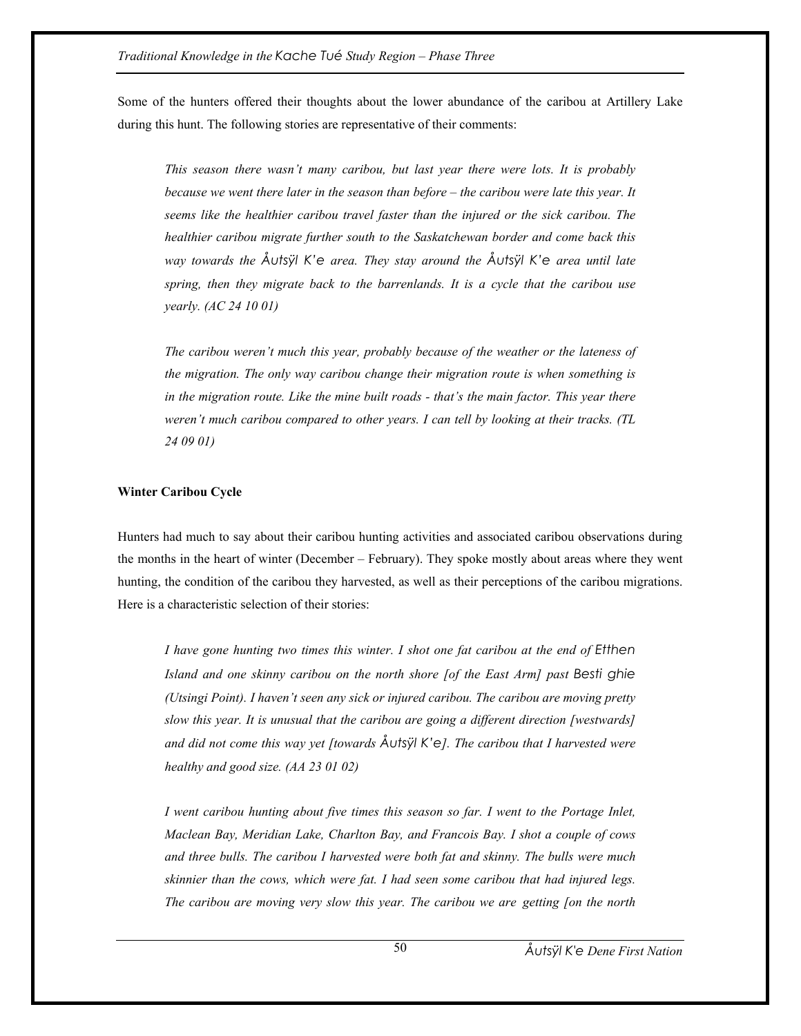Some of the hunters offered their thoughts about the lower abundance of the caribou at Artillery Lake during this hunt. The following stories are representative of their comments:

*This season there wasn't many caribou, but last year there were lots. It is probably because we went there later in the season than before – the caribou were late this year. It seems like the healthier caribou travel faster than the injured or the sick caribou. The healthier caribou migrate further south to the Saskatchewan border and come back this way towards the Åutsÿl K'e area. They stay around the Åutsÿl K'e area until late spring, then they migrate back to the barrenlands. It is a cycle that the caribou use yearly. (AC 24 10 01)* 

*The caribou weren't much this year, probably because of the weather or the lateness of the migration. The only way caribou change their migration route is when something is in the migration route. Like the mine built roads - that's the main factor. This year there weren't much caribou compared to other years. I can tell by looking at their tracks. (TL 24 09 01)* 

### **Winter Caribou Cycle**

Hunters had much to say about their caribou hunting activities and associated caribou observations during the months in the heart of winter (December – February). They spoke mostly about areas where they went hunting, the condition of the caribou they harvested, as well as their perceptions of the caribou migrations. Here is a characteristic selection of their stories:

*I have gone hunting two times this winter. I shot one fat caribou at the end of Etthen Island and one skinny caribou on the north shore [of the East Arm] past Besti ghie (Utsingi Point). I haven't seen any sick or injured caribou. The caribou are moving pretty slow this year. It is unusual that the caribou are going a different direction [westwards] and did not come this way yet [towards Åutsÿl K'e]. The caribou that I harvested were healthy and good size. (AA 23 01 02)* 

*I went caribou hunting about five times this season so far. I went to the Portage Inlet, Maclean Bay, Meridian Lake, Charlton Bay, and Francois Bay. I shot a couple of cows and three bulls. The caribou I harvested were both fat and skinny. The bulls were much skinnier than the cows, which were fat. I had seen some caribou that had injured legs. The caribou are moving very slow this year. The caribou we are getting [on the north*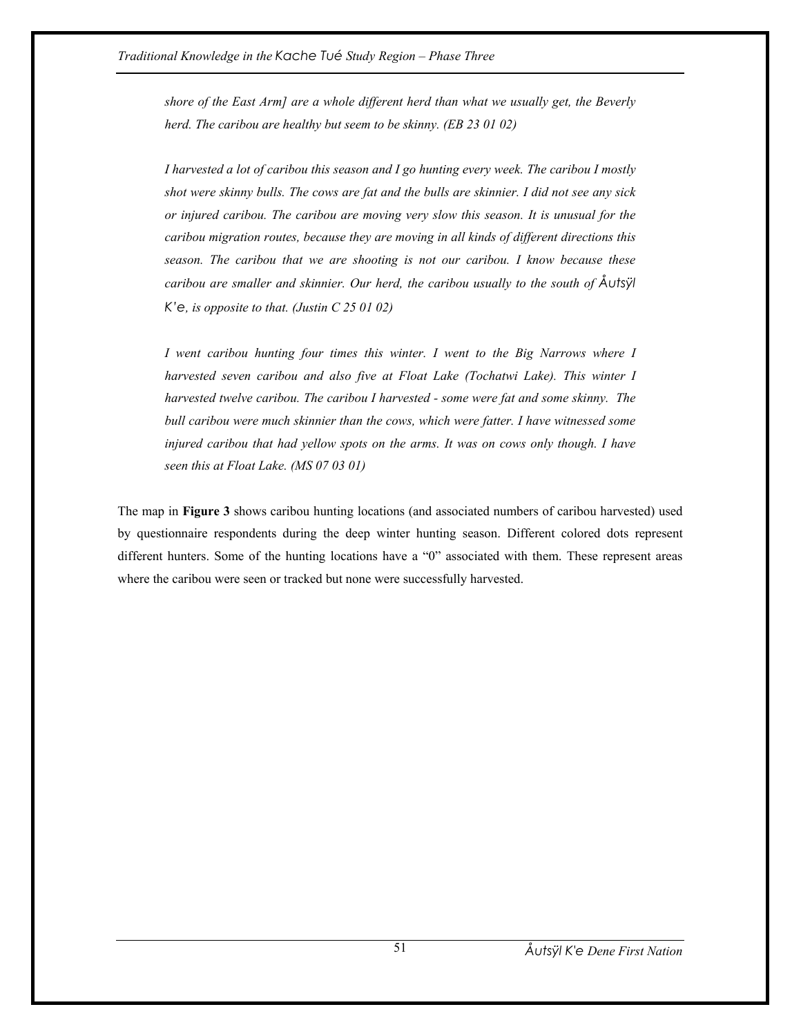*shore of the East Arm] are a whole different herd than what we usually get, the Beverly herd. The caribou are healthy but seem to be skinny. (EB 23 01 02)* 

*I harvested a lot of caribou this season and I go hunting every week. The caribou I mostly shot were skinny bulls. The cows are fat and the bulls are skinnier. I did not see any sick or injured caribou. The caribou are moving very slow this season. It is unusual for the caribou migration routes, because they are moving in all kinds of different directions this season. The caribou that we are shooting is not our caribou. I know because these caribou are smaller and skinnier. Our herd, the caribou usually to the south of Åutsÿl K'e, is opposite to that. (Justin C 25 01 02)* 

*I* went caribou hunting four times this winter. *I went to the Big Narrows where I harvested seven caribou and also five at Float Lake (Tochatwi Lake). This winter I harvested twelve caribou. The caribou I harvested - some were fat and some skinny. The bull caribou were much skinnier than the cows, which were fatter. I have witnessed some injured caribou that had yellow spots on the arms. It was on cows only though. I have seen this at Float Lake. (MS 07 03 01)* 

The map in **Figure 3** shows caribou hunting locations (and associated numbers of caribou harvested) used by questionnaire respondents during the deep winter hunting season. Different colored dots represent different hunters. Some of the hunting locations have a "0" associated with them. These represent areas where the caribou were seen or tracked but none were successfully harvested.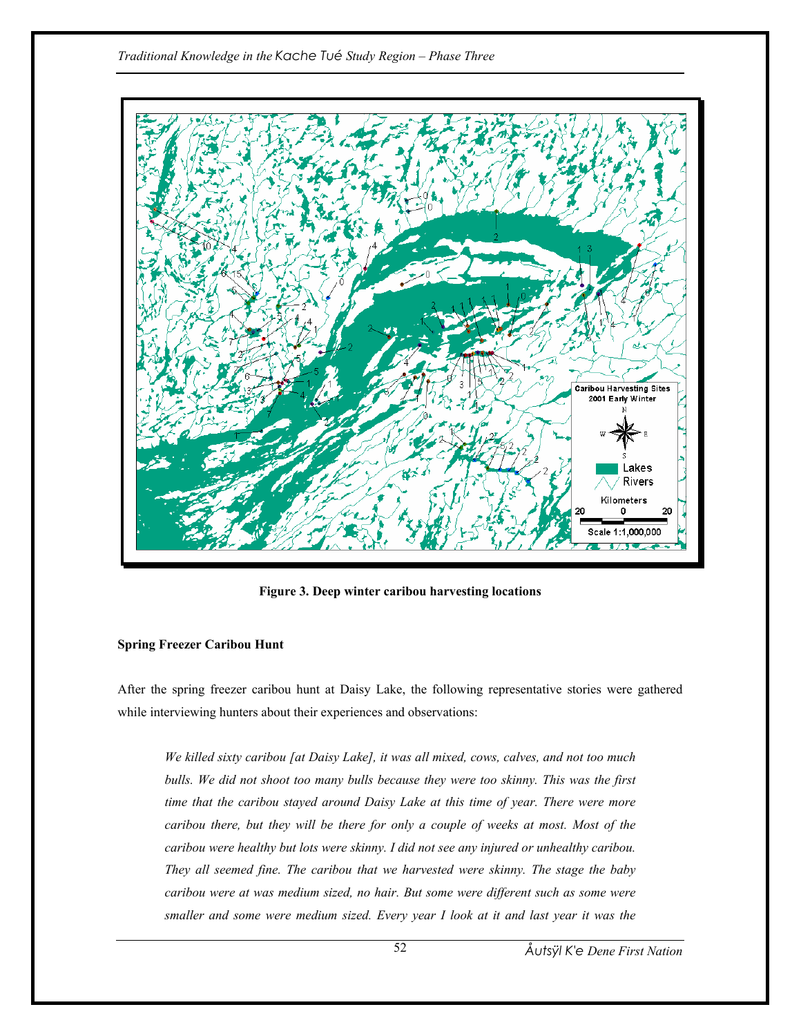

**Figure 3. Deep winter caribou harvesting locations** 

# **Spring Freezer Caribou Hunt**

After the spring freezer caribou hunt at Daisy Lake, the following representative stories were gathered while interviewing hunters about their experiences and observations:

*We killed sixty caribou [at Daisy Lake], it was all mixed, cows, calves, and not too much bulls. We did not shoot too many bulls because they were too skinny. This was the first time that the caribou stayed around Daisy Lake at this time of year. There were more caribou there, but they will be there for only a couple of weeks at most. Most of the caribou were healthy but lots were skinny. I did not see any injured or unhealthy caribou. They all seemed fine. The caribou that we harvested were skinny. The stage the baby caribou were at was medium sized, no hair. But some were different such as some were smaller and some were medium sized. Every year I look at it and last year it was the*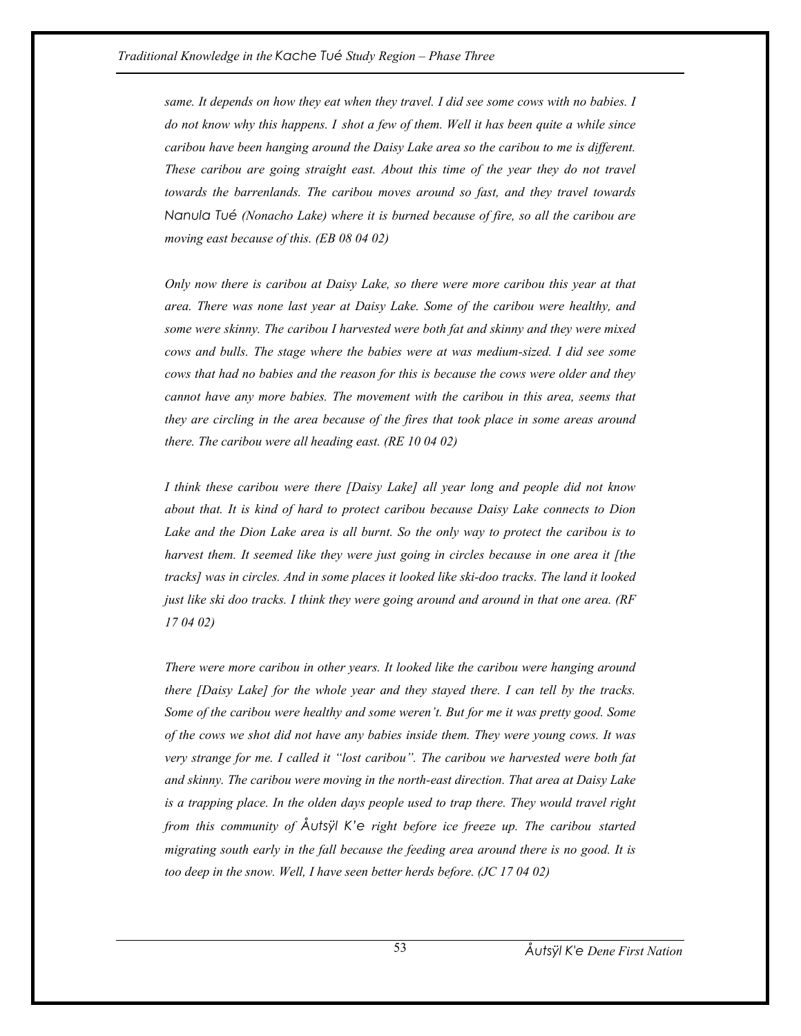*same. It depends on how they eat when they travel. I did see some cows with no babies. I do not know why this happens. I shot a few of them. Well it has been quite a while since caribou have been hanging around the Daisy Lake area so the caribou to me is different. These caribou are going straight east. About this time of the year they do not travel towards the barrenlands. The caribou moves around so fast, and they travel towards Nanula Tué (Nonacho Lake) where it is burned because of fire, so all the caribou are moving east because of this. (EB 08 04 02)* 

*Only now there is caribou at Daisy Lake, so there were more caribou this year at that area. There was none last year at Daisy Lake. Some of the caribou were healthy, and some were skinny. The caribou I harvested were both fat and skinny and they were mixed cows and bulls. The stage where the babies were at was medium-sized. I did see some cows that had no babies and the reason for this is because the cows were older and they cannot have any more babies. The movement with the caribou in this area, seems that they are circling in the area because of the fires that took place in some areas around there. The caribou were all heading east. (RE 10 04 02)* 

*I think these caribou were there [Daisy Lake] all year long and people did not know about that. It is kind of hard to protect caribou because Daisy Lake connects to Dion Lake and the Dion Lake area is all burnt. So the only way to protect the caribou is to harvest them. It seemed like they were just going in circles because in one area it [the tracks] was in circles. And in some places it looked like ski-doo tracks. The land it looked just like ski doo tracks. I think they were going around and around in that one area. (RF 17 04 02)* 

*There were more caribou in other years. It looked like the caribou were hanging around there [Daisy Lake] for the whole year and they stayed there. I can tell by the tracks. Some of the caribou were healthy and some weren't. But for me it was pretty good. Some of the cows we shot did not have any babies inside them. They were young cows. It was very strange for me. I called it "lost caribou". The caribou we harvested were both fat and skinny. The caribou were moving in the north-east direction. That area at Daisy Lake is a trapping place. In the olden days people used to trap there. They would travel right from this community of Åutsÿl K'e right before ice freeze up. The caribou started migrating south early in the fall because the feeding area around there is no good. It is too deep in the snow. Well, I have seen better herds before. (JC 17 04 02)*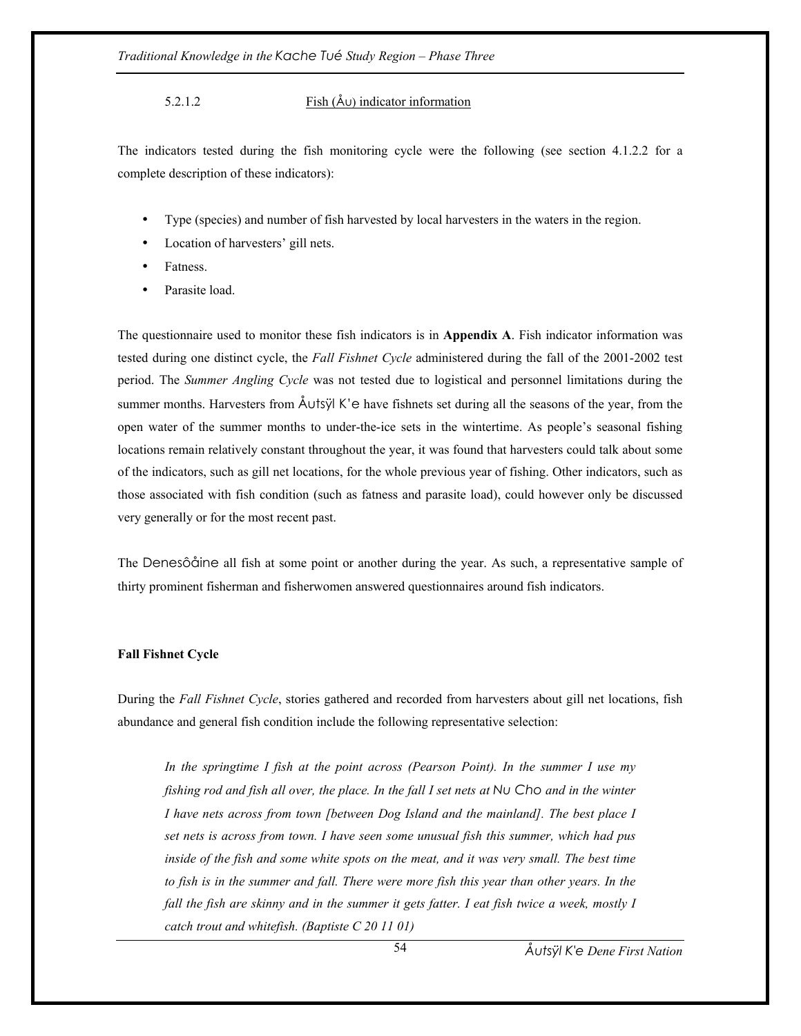## 5.2.1.2 Fish (Åu) indicator information

The indicators tested during the fish monitoring cycle were the following (see section 4.1.2.2 for a complete description of these indicators):

- Type (species) and number of fish harvested by local harvesters in the waters in the region.
- Location of harvesters' gill nets.
- Fatness.
- Parasite load.

The questionnaire used to monitor these fish indicators is in **Appendix A**. Fish indicator information was tested during one distinct cycle, the *Fall Fishnet Cycle* administered during the fall of the 2001-2002 test period. The *Summer Angling Cycle* was not tested due to logistical and personnel limitations during the summer months. Harvesters from  $\AA$ Utsÿl K'e have fishnets set during all the seasons of the year, from the open water of the summer months to under-the-ice sets in the wintertime. As people's seasonal fishing locations remain relatively constant throughout the year, it was found that harvesters could talk about some of the indicators, such as gill net locations, for the whole previous year of fishing. Other indicators, such as those associated with fish condition (such as fatness and parasite load), could however only be discussed very generally or for the most recent past.

The Denesôåine all fish at some point or another during the year. As such, a representative sample of thirty prominent fisherman and fisherwomen answered questionnaires around fish indicators.

### **Fall Fishnet Cycle**

During the *Fall Fishnet Cycle*, stories gathered and recorded from harvesters about gill net locations, fish abundance and general fish condition include the following representative selection:

*In the springtime I fish at the point across (Pearson Point). In the summer I use my fishing rod and fish all over, the place. In the fall I set nets at Nu Cho and in the winter I have nets across from town [between Dog Island and the mainland]. The best place I set nets is across from town. I have seen some unusual fish this summer, which had pus inside of the fish and some white spots on the meat, and it was very small. The best time* to fish is in the summer and fall. There were more fish this year than other years. In the *fall the fish are skinny and in the summer it gets fatter. I eat fish twice a week, mostly I catch trout and whitefish. (Baptiste C 20 11 01)*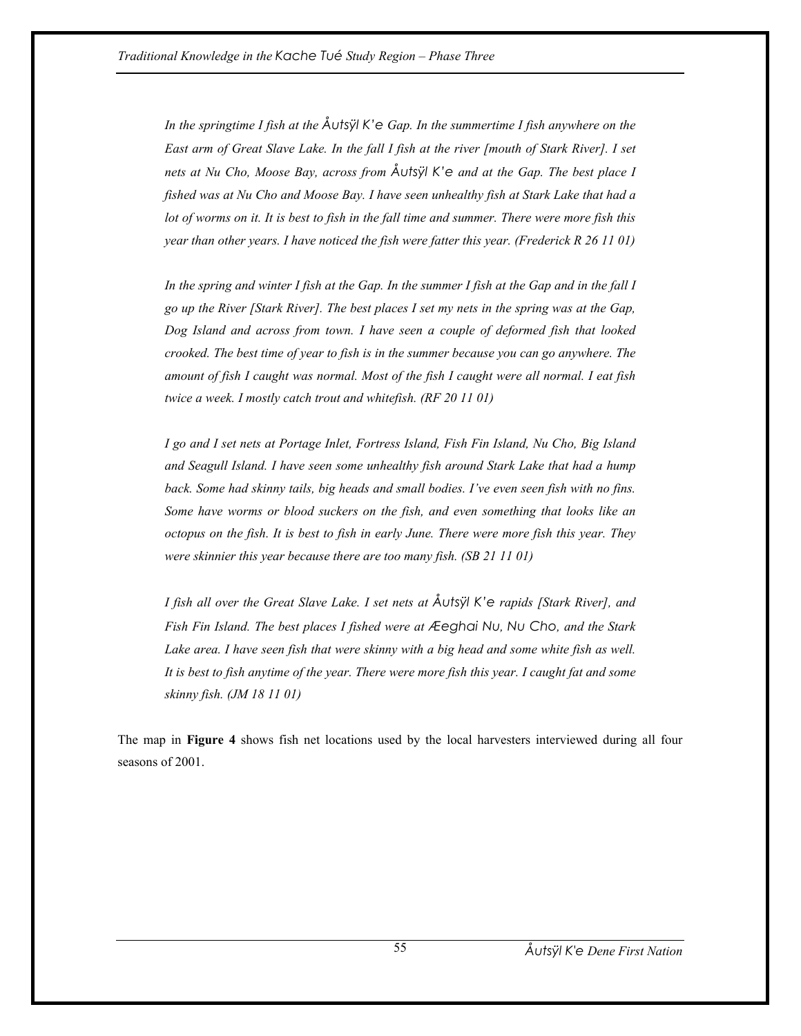*In the springtime I fish at the Åutsÿl K'e Gap. In the summertime I fish anywhere on the East arm of Great Slave Lake. In the fall I fish at the river [mouth of Stark River]. I set nets at Nu Cho, Moose Bay, across from Åutsÿl K'e and at the Gap. The best place I fished was at Nu Cho and Moose Bay. I have seen unhealthy fish at Stark Lake that had a lot of worms on it. It is best to fish in the fall time and summer. There were more fish this year than other years. I have noticed the fish were fatter this year. (Frederick R 26 11 01)* 

*In the spring and winter I fish at the Gap. In the summer I fish at the Gap and in the fall I go up the River [Stark River]. The best places I set my nets in the spring was at the Gap, Dog Island and across from town. I have seen a couple of deformed fish that looked crooked. The best time of year to fish is in the summer because you can go anywhere. The amount of fish I caught was normal. Most of the fish I caught were all normal. I eat fish twice a week. I mostly catch trout and whitefish. (RF 20 11 01)* 

*I go and I set nets at Portage Inlet, Fortress Island, Fish Fin Island, Nu Cho, Big Island and Seagull Island. I have seen some unhealthy fish around Stark Lake that had a hump back. Some had skinny tails, big heads and small bodies. I've even seen fish with no fins. Some have worms or blood suckers on the fish, and even something that looks like an octopus on the fish. It is best to fish in early June. There were more fish this year. They were skinnier this year because there are too many fish. (SB 21 11 01)* 

*I fish all over the Great Slave Lake. I set nets at Åutsÿl K'e rapids [Stark River], and Fish Fin Island. The best places I fished were at Æeghai Nu, Nu Cho, and the Stark*  Lake area. I have seen fish that were skinny with a big head and some white fish as well. *It is best to fish anytime of the year. There were more fish this year. I caught fat and some skinny fish. (JM 18 11 01)* 

The map in **Figure 4** shows fish net locations used by the local harvesters interviewed during all four seasons of 2001.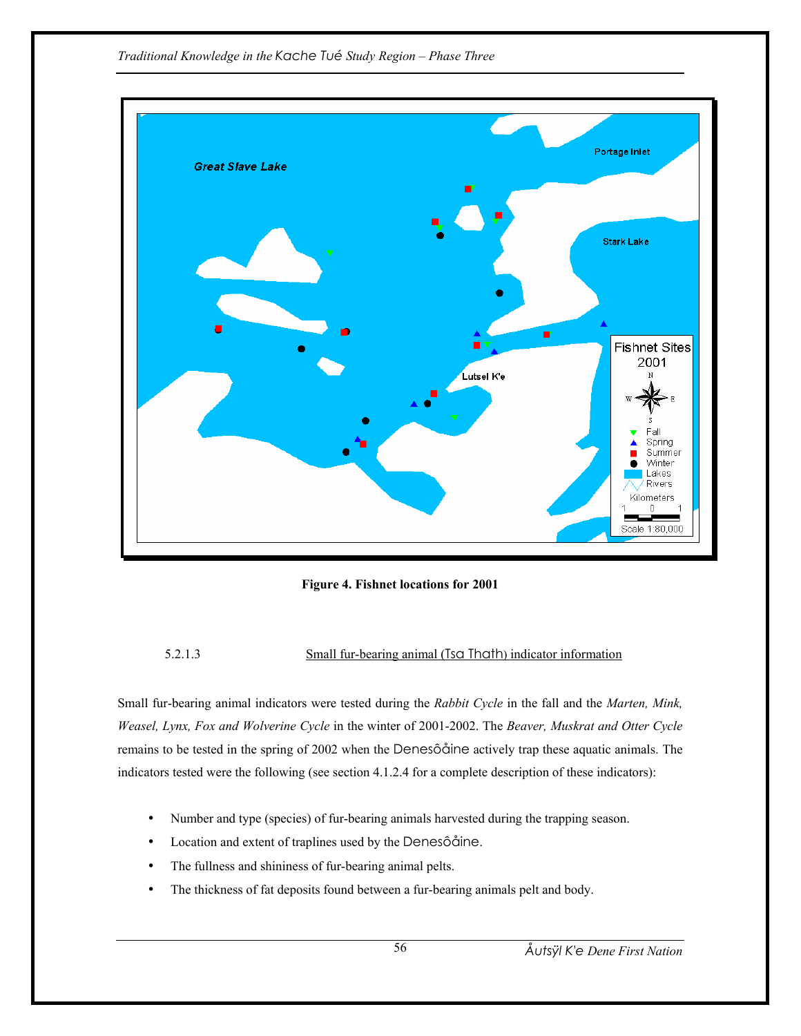*Traditional Knowledge in the Kache Tué Study Region – Phase Three* 



**Figure 4. Fishnet locations for 2001** 

# 5.2.1.3 Small fur-bearing animal (Tsa Thath) indicator information

Small fur-bearing animal indicators were tested during the *Rabbit Cycle* in the fall and the *Marten, Mink, Weasel, Lynx, Fox and Wolverine Cycle* in the winter of 2001-2002. The *Beaver, Muskrat and Otter Cycle* remains to be tested in the spring of 2002 when the Denesôåine actively trap these aquatic animals. The indicators tested were the following (see section 4.1.2.4 for a complete description of these indicators):

- Number and type (species) of fur-bearing animals harvested during the trapping season.
- Location and extent of traplines used by the Denesôåine.
- The fullness and shininess of fur-bearing animal pelts.
- The thickness of fat deposits found between a fur-bearing animals pelt and body.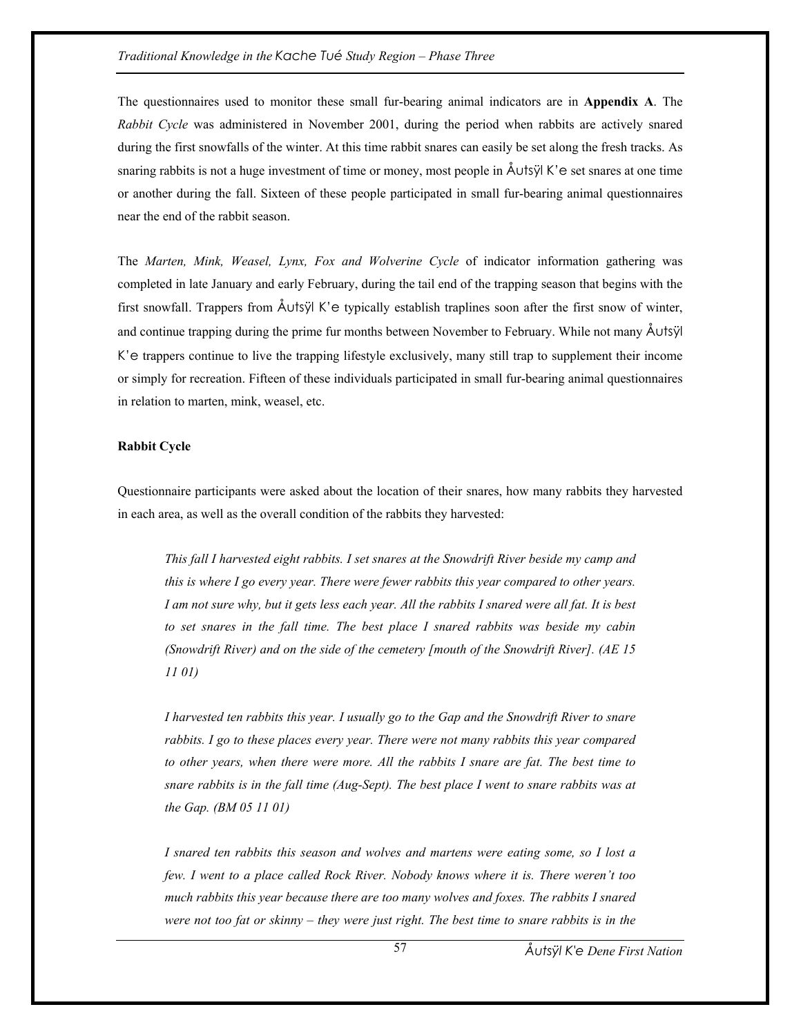The questionnaires used to monitor these small fur-bearing animal indicators are in **Appendix A**. The *Rabbit Cycle* was administered in November 2001, during the period when rabbits are actively snared during the first snowfalls of the winter. At this time rabbit snares can easily be set along the fresh tracks. As snaring rabbits is not a huge investment of time or money, most people in Åutsÿl K'e set snares at one time or another during the fall. Sixteen of these people participated in small fur-bearing animal questionnaires near the end of the rabbit season.

The *Marten, Mink, Weasel, Lynx, Fox and Wolverine Cycle* of indicator information gathering was completed in late January and early February, during the tail end of the trapping season that begins with the first snowfall. Trappers from Åutsÿl K'e typically establish traplines soon after the first snow of winter, and continue trapping during the prime fur months between November to February. While not many Åutsÿl K'e trappers continue to live the trapping lifestyle exclusively, many still trap to supplement their income or simply for recreation. Fifteen of these individuals participated in small fur-bearing animal questionnaires in relation to marten, mink, weasel, etc.

# **Rabbit Cycle**

Questionnaire participants were asked about the location of their snares, how many rabbits they harvested in each area, as well as the overall condition of the rabbits they harvested:

*This fall I harvested eight rabbits. I set snares at the Snowdrift River beside my camp and this is where I go every year. There were fewer rabbits this year compared to other years. I am not sure why, but it gets less each year. All the rabbits I snared were all fat. It is best to set snares in the fall time. The best place I snared rabbits was beside my cabin (Snowdrift River) and on the side of the cemetery [mouth of the Snowdrift River]. (AE 15 11 01)* 

*I harvested ten rabbits this year. I usually go to the Gap and the Snowdrift River to snare rabbits. I go to these places every year. There were not many rabbits this year compared to other years, when there were more. All the rabbits I snare are fat. The best time to snare rabbits is in the fall time (Aug-Sept). The best place I went to snare rabbits was at the Gap. (BM 05 11 01)* 

*I snared ten rabbits this season and wolves and martens were eating some, so I lost a few. I went to a place called Rock River. Nobody knows where it is. There weren't too much rabbits this year because there are too many wolves and foxes. The rabbits I snared were not too fat or skinny – they were just right. The best time to snare rabbits is in the*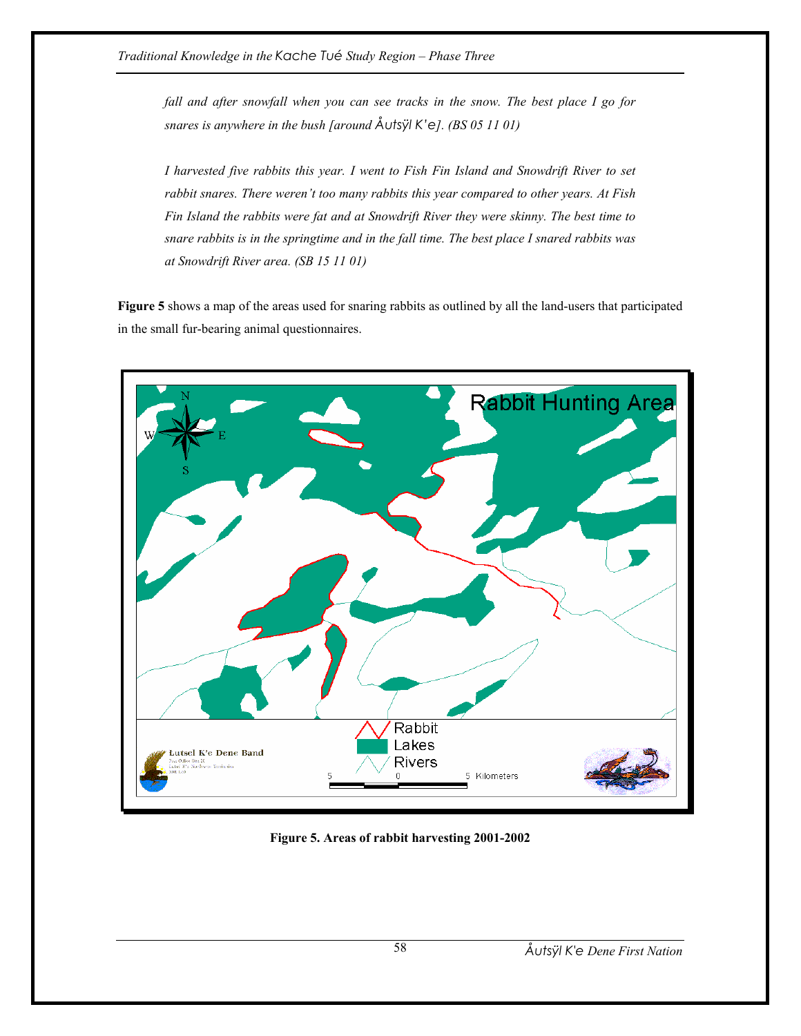*fall and after snowfall when you can see tracks in the snow. The best place I go for snares is anywhere in the bush [around Åutsÿl K'e]. (BS 05 11 01)* 

*I harvested five rabbits this year. I went to Fish Fin Island and Snowdrift River to set rabbit snares. There weren't too many rabbits this year compared to other years. At Fish Fin Island the rabbits were fat and at Snowdrift River they were skinny. The best time to snare rabbits is in the springtime and in the fall time. The best place I snared rabbits was at Snowdrift River area. (SB 15 11 01)* 

**Figure 5** shows a map of the areas used for snaring rabbits as outlined by all the land-users that participated in the small fur-bearing animal questionnaires.



**Figure 5. Areas of rabbit harvesting 2001-2002**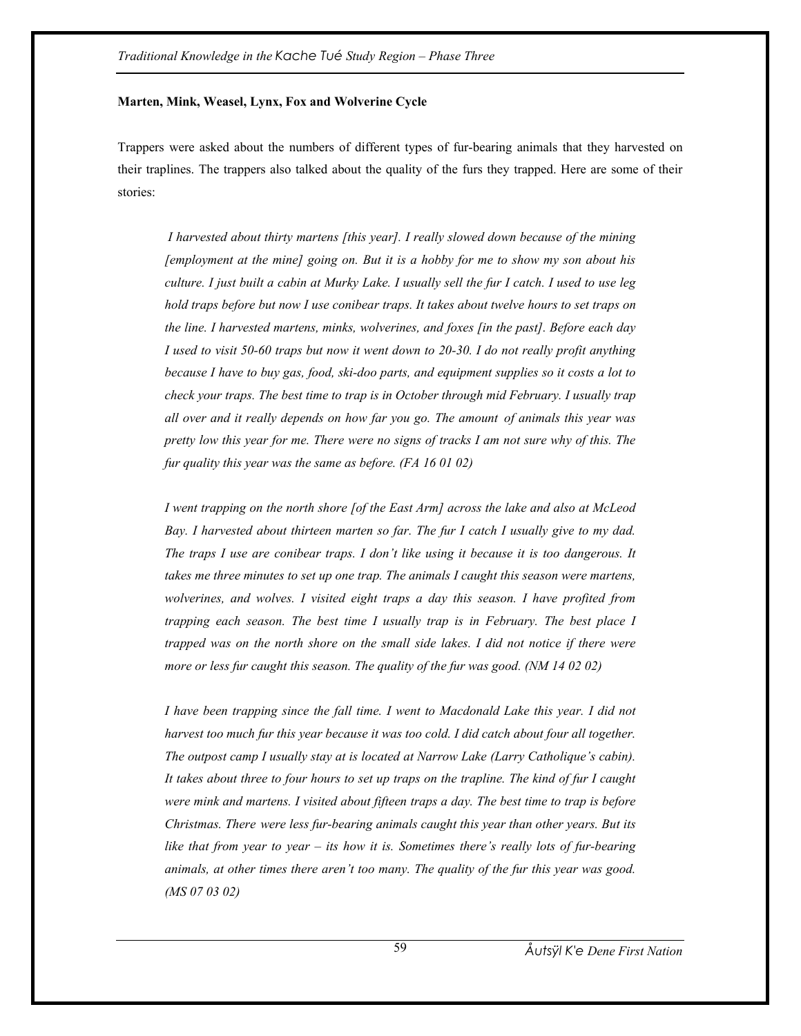### **Marten, Mink, Weasel, Lynx, Fox and Wolverine Cycle**

Trappers were asked about the numbers of different types of fur-bearing animals that they harvested on their traplines. The trappers also talked about the quality of the furs they trapped. Here are some of their stories:

 *I harvested about thirty martens [this year]. I really slowed down because of the mining [employment at the mine] going on. But it is a hobby for me to show my son about his culture. I just built a cabin at Murky Lake. I usually sell the fur I catch. I used to use leg hold traps before but now I use conibear traps. It takes about twelve hours to set traps on the line. I harvested martens, minks, wolverines, and foxes [in the past]. Before each day I used to visit 50-60 traps but now it went down to 20-30. I do not really profit anything because I have to buy gas, food, ski-doo parts, and equipment supplies so it costs a lot to check your traps. The best time to trap is in October through mid February. I usually trap all over and it really depends on how far you go. The amount of animals this year was pretty low this year for me. There were no signs of tracks I am not sure why of this. The fur quality this year was the same as before. (FA 16 01 02)* 

*I went trapping on the north shore [of the East Arm] across the lake and also at McLeod Bay. I harvested about thirteen marten so far. The fur I catch I usually give to my dad. The traps I use are conibear traps. I don't like using it because it is too dangerous. It takes me three minutes to set up one trap. The animals I caught this season were martens, wolverines, and wolves. I visited eight traps a day this season. I have profited from trapping each season. The best time I usually trap is in February. The best place I trapped was on the north shore on the small side lakes. I did not notice if there were more or less fur caught this season. The quality of the fur was good. (NM 14 02 02)* 

*I have been trapping since the fall time. I went to Macdonald Lake this year. I did not harvest too much fur this year because it was too cold. I did catch about four all together. The outpost camp I usually stay at is located at Narrow Lake (Larry Catholique's cabin). It takes about three to four hours to set up traps on the trapline. The kind of fur I caught were mink and martens. I visited about fifteen traps a day. The best time to trap is before Christmas. There were less fur-bearing animals caught this year than other years. But its like that from year to year – its how it is. Sometimes there's really lots of fur-bearing animals, at other times there aren't too many. The quality of the fur this year was good. (MS 07 03 02)*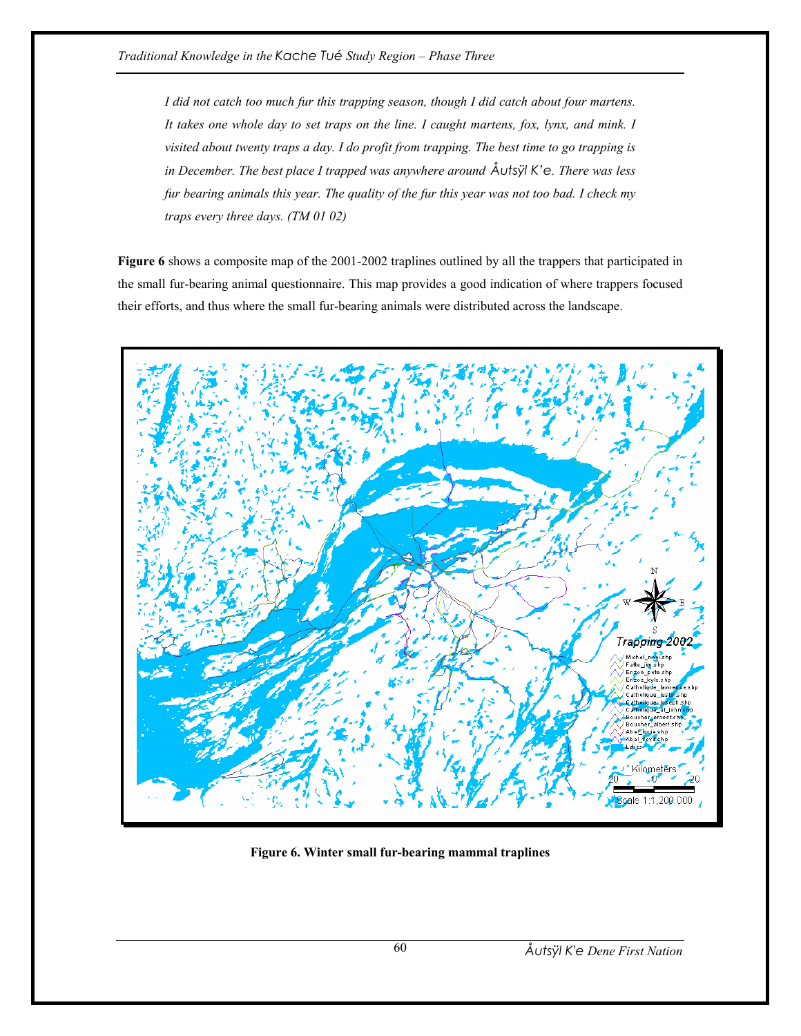*I did not catch too much fur this trapping season, though I did catch about four martens. It takes one whole day to set traps on the line. I caught martens, fox, lynx, and mink. I visited about twenty traps a day. I do profit from trapping. The best time to go trapping is in December. The best place I trapped was anywhere around Åutsÿl K'e. There was less fur bearing animals this year. The quality of the fur this year was not too bad. I check my traps every three days. (TM 01 02)* 

**Figure 6** shows a composite map of the 2001-2002 traplines outlined by all the trappers that participated in the small fur-bearing animal questionnaire. This map provides a good indication of where trappers focused their efforts, and thus where the small fur-bearing animals were distributed across the landscape.



**Figure 6. Winter small fur-bearing mammal traplines**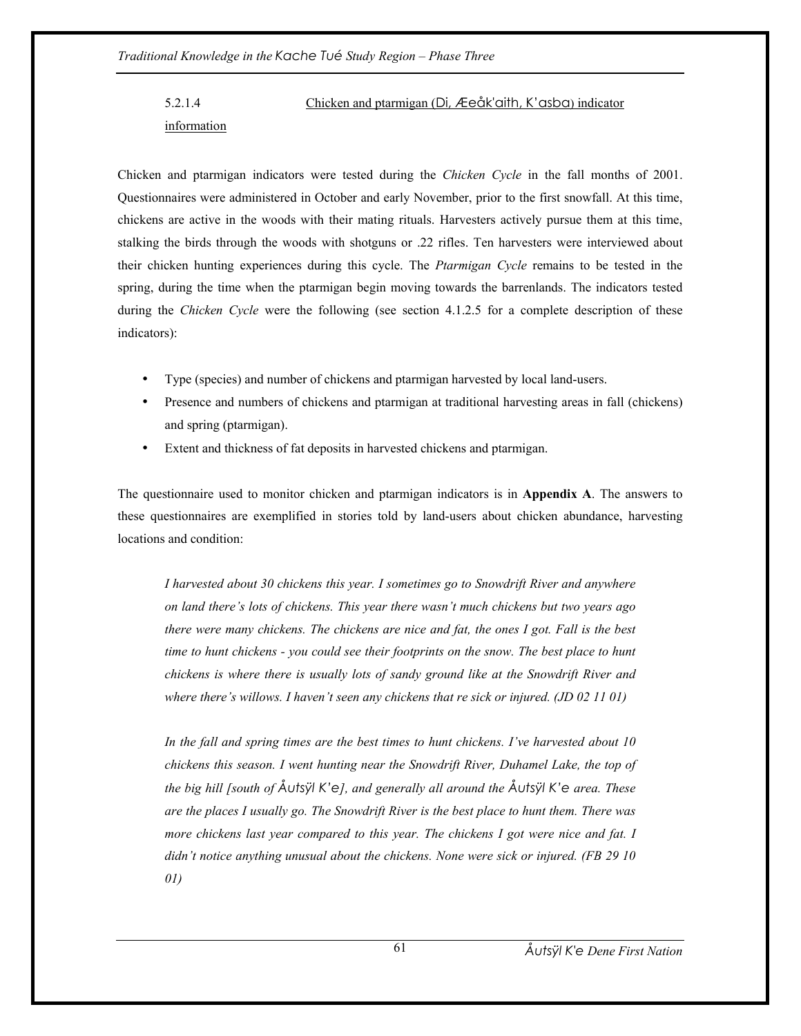5.2.1.4 Chicken and ptarmigan (Di, Æeåk'aith, K'asba) indicator information

Chicken and ptarmigan indicators were tested during the *Chicken Cycle* in the fall months of 2001. Questionnaires were administered in October and early November, prior to the first snowfall. At this time, chickens are active in the woods with their mating rituals. Harvesters actively pursue them at this time, stalking the birds through the woods with shotguns or .22 rifles. Ten harvesters were interviewed about their chicken hunting experiences during this cycle. The *Ptarmigan Cycle* remains to be tested in the spring, during the time when the ptarmigan begin moving towards the barrenlands. The indicators tested during the *Chicken Cycle* were the following (see section 4.1.2.5 for a complete description of these indicators):

- Type (species) and number of chickens and ptarmigan harvested by local land-users.
- Presence and numbers of chickens and ptarmigan at traditional harvesting areas in fall (chickens) and spring (ptarmigan).
- Extent and thickness of fat deposits in harvested chickens and ptarmigan.

The questionnaire used to monitor chicken and ptarmigan indicators is in **Appendix A**. The answers to these questionnaires are exemplified in stories told by land-users about chicken abundance, harvesting locations and condition:

*I harvested about 30 chickens this year. I sometimes go to Snowdrift River and anywhere on land there's lots of chickens. This year there wasn't much chickens but two years ago there were many chickens. The chickens are nice and fat, the ones I got. Fall is the best time to hunt chickens - you could see their footprints on the snow. The best place to hunt chickens is where there is usually lots of sandy ground like at the Snowdrift River and where there's willows. I haven't seen any chickens that re sick or injured. (JD 02 11 01)* 

*In the fall and spring times are the best times to hunt chickens. I've harvested about 10 chickens this season. I went hunting near the Snowdrift River, Duhamel Lake, the top of the big hill [south of Åutsÿl K'e], and generally all around the Åutsÿl K'e area. These are the places I usually go. The Snowdrift River is the best place to hunt them. There was more chickens last year compared to this year. The chickens I got were nice and fat. I didn't notice anything unusual about the chickens. None were sick or injured. (FB 29 10 01)*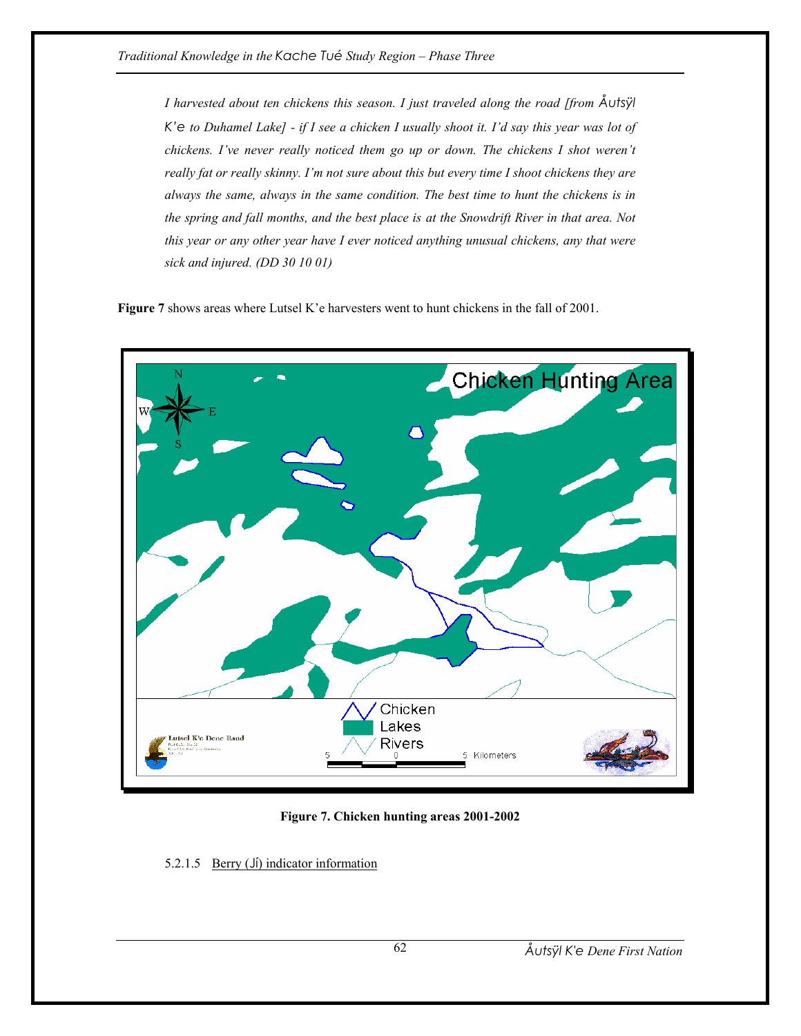*I harvested about ten chickens this season. I just traveled along the road [from Åutsÿl K'e to Duhamel Lake] - if I see a chicken I usually shoot it. I'd say this year was lot of chickens. I've never really noticed them go up or down. The chickens I shot weren't really fat or really skinny. I'm not sure about this but every time I shoot chickens they are always the same, always in the same condition. The best time to hunt the chickens is in the spring and fall months, and the best place is at the Snowdrift River in that area. Not this year or any other year have I ever noticed anything unusual chickens, any that were sick and injured. (DD 30 10 01)* 

**Figure 7** shows areas where Lutsel K'e harvesters went to hunt chickens in the fall of 2001.



**Figure 7. Chicken hunting areas 2001-2002** 

5.2.1.5 Berry (Jí) indicator information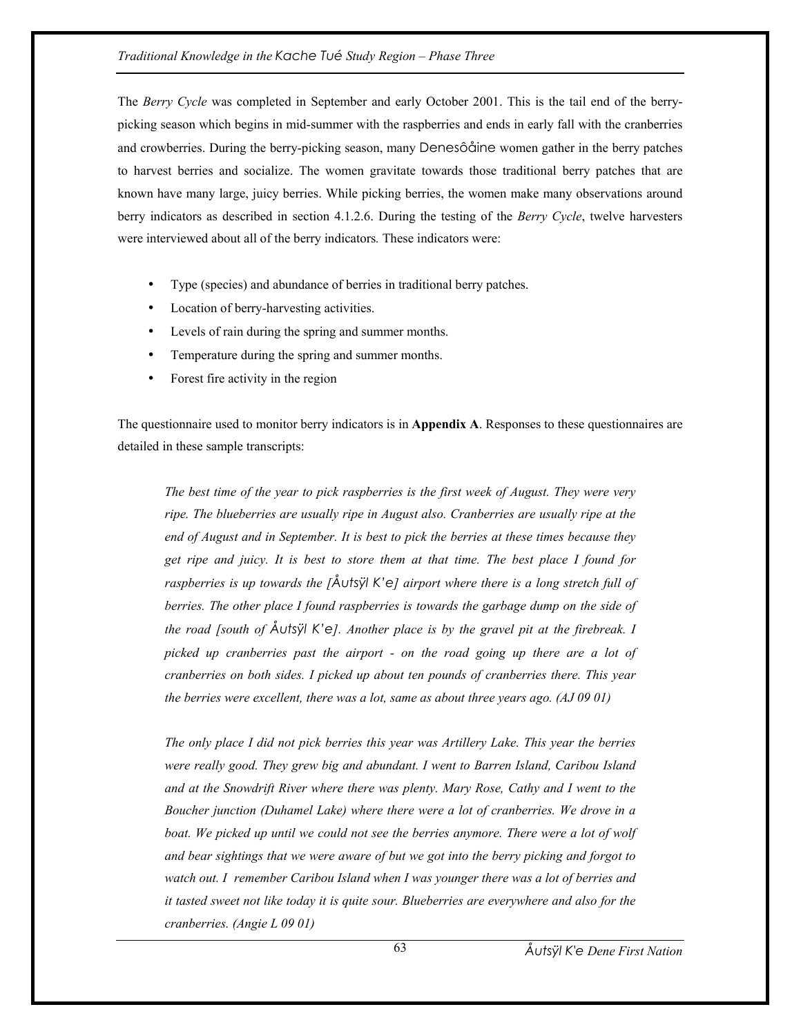The *Berry Cycle* was completed in September and early October 2001. This is the tail end of the berrypicking season which begins in mid-summer with the raspberries and ends in early fall with the cranberries and crowberries. During the berry-picking season, many Denesôåine women gather in the berry patches to harvest berries and socialize. The women gravitate towards those traditional berry patches that are known have many large, juicy berries. While picking berries, the women make many observations around berry indicators as described in section 4.1.2.6. During the testing of the *Berry Cycle*, twelve harvesters were interviewed about all of the berry indicators*.* These indicators were:

- Type (species) and abundance of berries in traditional berry patches.
- Location of berry-harvesting activities.
- Levels of rain during the spring and summer months.
- Temperature during the spring and summer months.
- Forest fire activity in the region

The questionnaire used to monitor berry indicators is in **Appendix A**. Responses to these questionnaires are detailed in these sample transcripts:

*The best time of the year to pick raspberries is the first week of August. They were very ripe. The blueberries are usually ripe in August also. Cranberries are usually ripe at the end of August and in September. It is best to pick the berries at these times because they get ripe and juicy. It is best to store them at that time. The best place I found for raspberries is up towards the [Åutsÿl K'e] airport where there is a long stretch full of berries. The other place I found raspberries is towards the garbage dump on the side of the road [south of Åutsÿl K'e]. Another place is by the gravel pit at the firebreak. I picked up cranberries past the airport - on the road going up there are a lot of cranberries on both sides. I picked up about ten pounds of cranberries there. This year the berries were excellent, there was a lot, same as about three years ago. (AJ 09 01)* 

*The only place I did not pick berries this year was Artillery Lake. This year the berries were really good. They grew big and abundant. I went to Barren Island, Caribou Island and at the Snowdrift River where there was plenty. Mary Rose, Cathy and I went to the Boucher junction (Duhamel Lake) where there were a lot of cranberries. We drove in a boat. We picked up until we could not see the berries anymore. There were a lot of wolf and bear sightings that we were aware of but we got into the berry picking and forgot to watch out. I remember Caribou Island when I was younger there was a lot of berries and it tasted sweet not like today it is quite sour. Blueberries are everywhere and also for the cranberries. (Angie L 09 01)*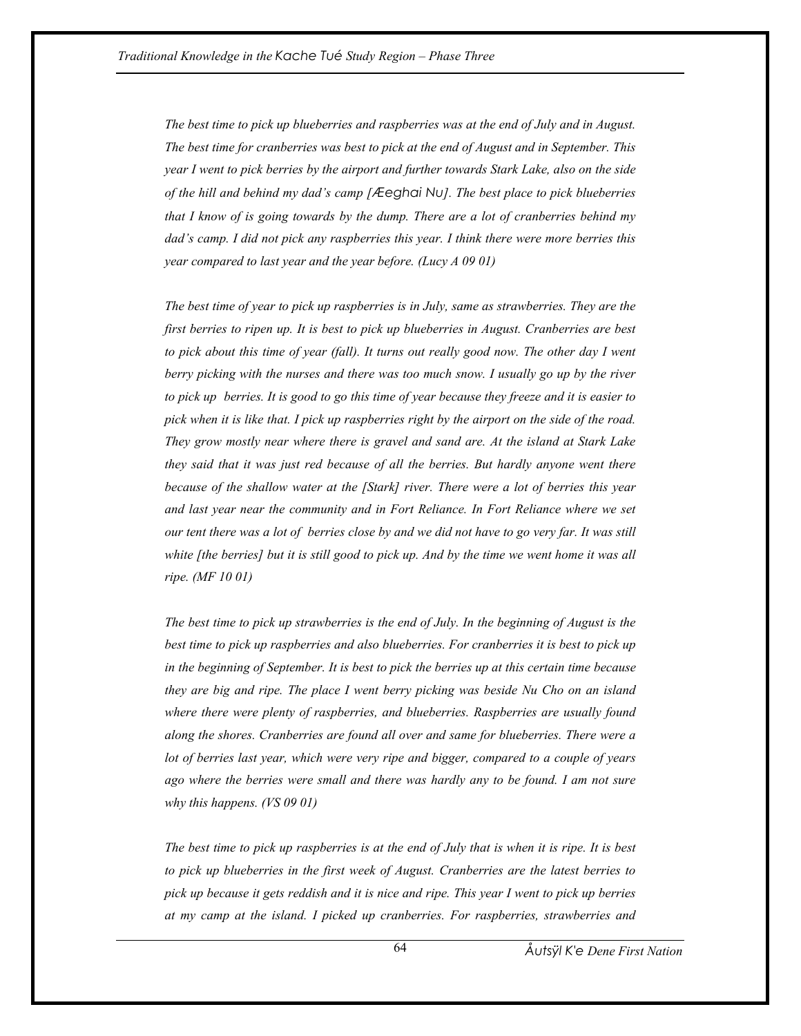*The best time to pick up blueberries and raspberries was at the end of July and in August. The best time for cranberries was best to pick at the end of August and in September. This year I went to pick berries by the airport and further towards Stark Lake, also on the side of the hill and behind my dad's camp [Æeghai Nu]. The best place to pick blueberries that I know of is going towards by the dump. There are a lot of cranberries behind my dad's camp. I did not pick any raspberries this year. I think there were more berries this year compared to last year and the year before. (Lucy A 09 01)* 

*The best time of year to pick up raspberries is in July, same as strawberries. They are the first berries to ripen up. It is best to pick up blueberries in August. Cranberries are best*  to pick about this time of year (fall). It turns out really good now. The other day I went *berry picking with the nurses and there was too much snow. I usually go up by the river to pick up berries. It is good to go this time of year because they freeze and it is easier to pick when it is like that. I pick up raspberries right by the airport on the side of the road. They grow mostly near where there is gravel and sand are. At the island at Stark Lake they said that it was just red because of all the berries. But hardly anyone went there because of the shallow water at the [Stark] river. There were a lot of berries this year and last year near the community and in Fort Reliance. In Fort Reliance where we set our tent there was a lot of berries close by and we did not have to go very far. It was still white [the berries] but it is still good to pick up. And by the time we went home it was all ripe. (MF 10 01)* 

*The best time to pick up strawberries is the end of July. In the beginning of August is the best time to pick up raspberries and also blueberries. For cranberries it is best to pick up in the beginning of September. It is best to pick the berries up at this certain time because they are big and ripe. The place I went berry picking was beside Nu Cho on an island where there were plenty of raspberries, and blueberries. Raspberries are usually found along the shores. Cranberries are found all over and same for blueberries. There were a lot of berries last year, which were very ripe and bigger, compared to a couple of years ago where the berries were small and there was hardly any to be found. I am not sure why this happens. (VS 09 01)* 

*The best time to pick up raspberries is at the end of July that is when it is ripe. It is best to pick up blueberries in the first week of August. Cranberries are the latest berries to pick up because it gets reddish and it is nice and ripe. This year I went to pick up berries at my camp at the island. I picked up cranberries. For raspberries, strawberries and*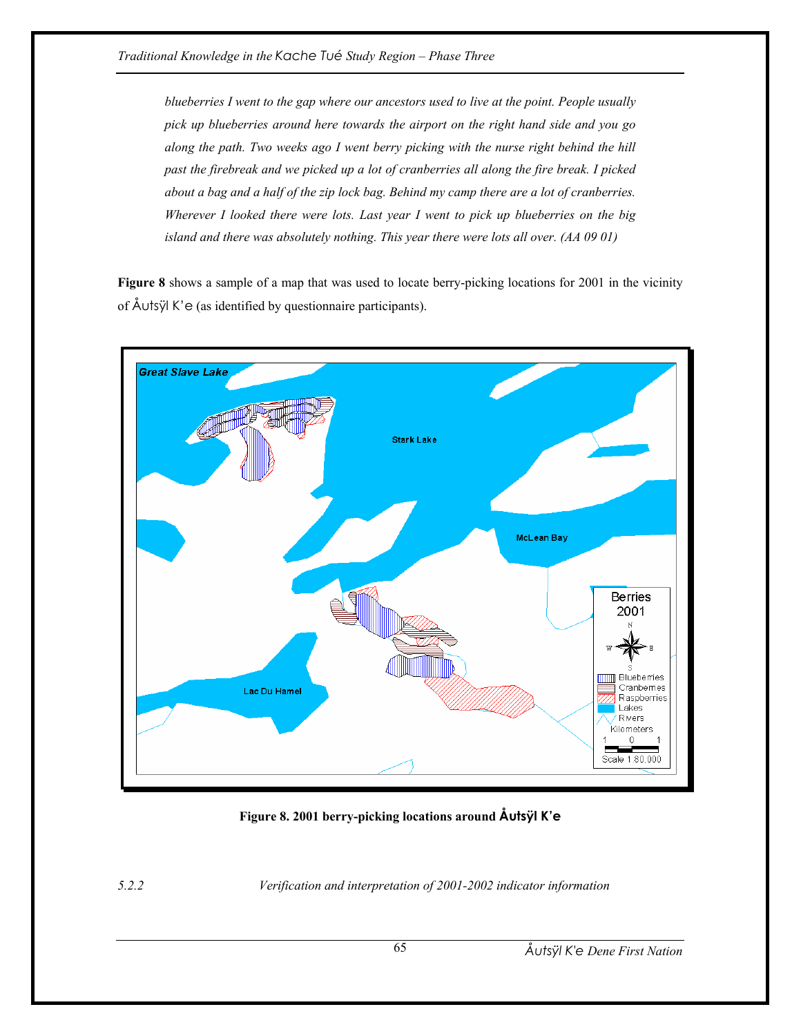*blueberries I went to the gap where our ancestors used to live at the point. People usually pick up blueberries around here towards the airport on the right hand side and you go along the path. Two weeks ago I went berry picking with the nurse right behind the hill past the firebreak and we picked up a lot of cranberries all along the fire break. I picked about a bag and a half of the zip lock bag. Behind my camp there are a lot of cranberries. Wherever I looked there were lots. Last year I went to pick up blueberries on the big island and there was absolutely nothing. This year there were lots all over. (AA 09 01)* 

**Figure 8** shows a sample of a map that was used to locate berry-picking locations for 2001 in the vicinity of Åutsÿl K'e (as identified by questionnaire participants).



**Figure 8. 2001 berry-picking locations around Åutsÿl K'e**

*5.2.2 Verification and interpretation of 2001-2002 indicator information*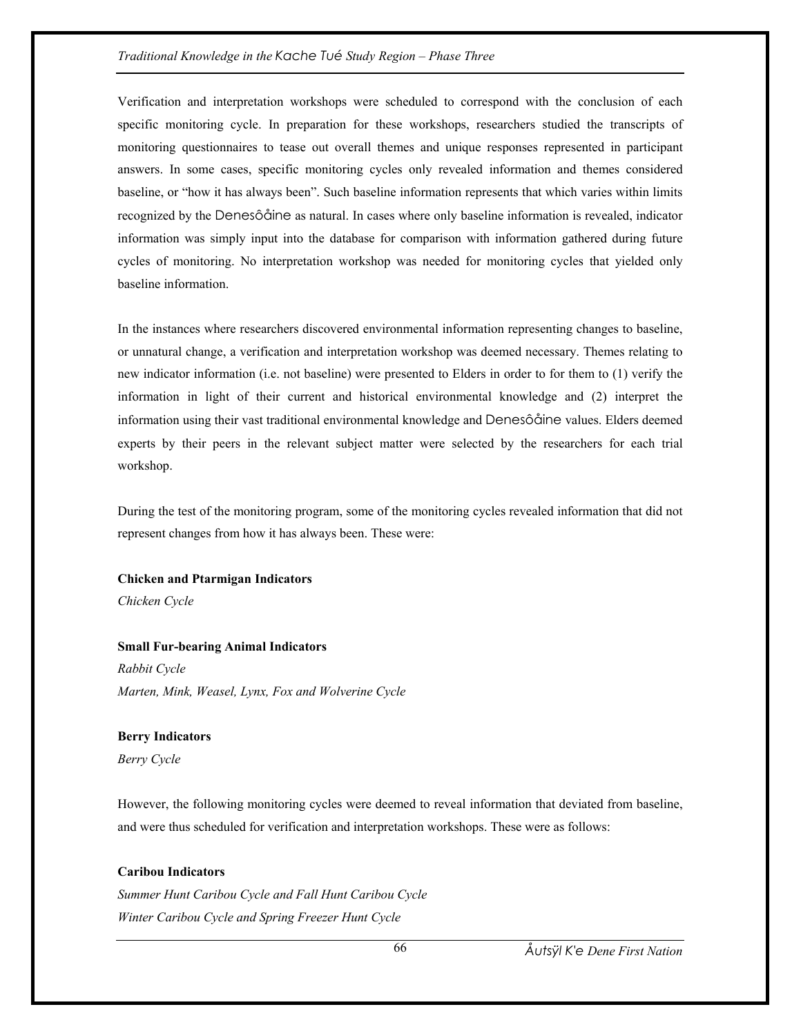### *Traditional Knowledge in the Kache Tué Study Region – Phase Three*

Verification and interpretation workshops were scheduled to correspond with the conclusion of each specific monitoring cycle. In preparation for these workshops, researchers studied the transcripts of monitoring questionnaires to tease out overall themes and unique responses represented in participant answers. In some cases, specific monitoring cycles only revealed information and themes considered baseline, or "how it has always been". Such baseline information represents that which varies within limits recognized by the Denesôåine as natural. In cases where only baseline information is revealed, indicator information was simply input into the database for comparison with information gathered during future cycles of monitoring. No interpretation workshop was needed for monitoring cycles that yielded only baseline information.

In the instances where researchers discovered environmental information representing changes to baseline, or unnatural change, a verification and interpretation workshop was deemed necessary. Themes relating to new indicator information (i.e. not baseline) were presented to Elders in order to for them to (1) verify the information in light of their current and historical environmental knowledge and (2) interpret the information using their vast traditional environmental knowledge and Denesôåine values. Elders deemed experts by their peers in the relevant subject matter were selected by the researchers for each trial workshop.

During the test of the monitoring program, some of the monitoring cycles revealed information that did not represent changes from how it has always been. These were:

# **Chicken and Ptarmigan Indicators**

*Chicken Cycle* 

## **Small Fur-bearing Animal Indicators**

*Rabbit Cycle Marten, Mink, Weasel, Lynx, Fox and Wolverine Cycle* 

## **Berry Indicators**

*Berry Cycle* 

However, the following monitoring cycles were deemed to reveal information that deviated from baseline, and were thus scheduled for verification and interpretation workshops. These were as follows:

## **Caribou Indicators**

*Summer Hunt Caribou Cycle and Fall Hunt Caribou Cycle Winter Caribou Cycle and Spring Freezer Hunt Cycle*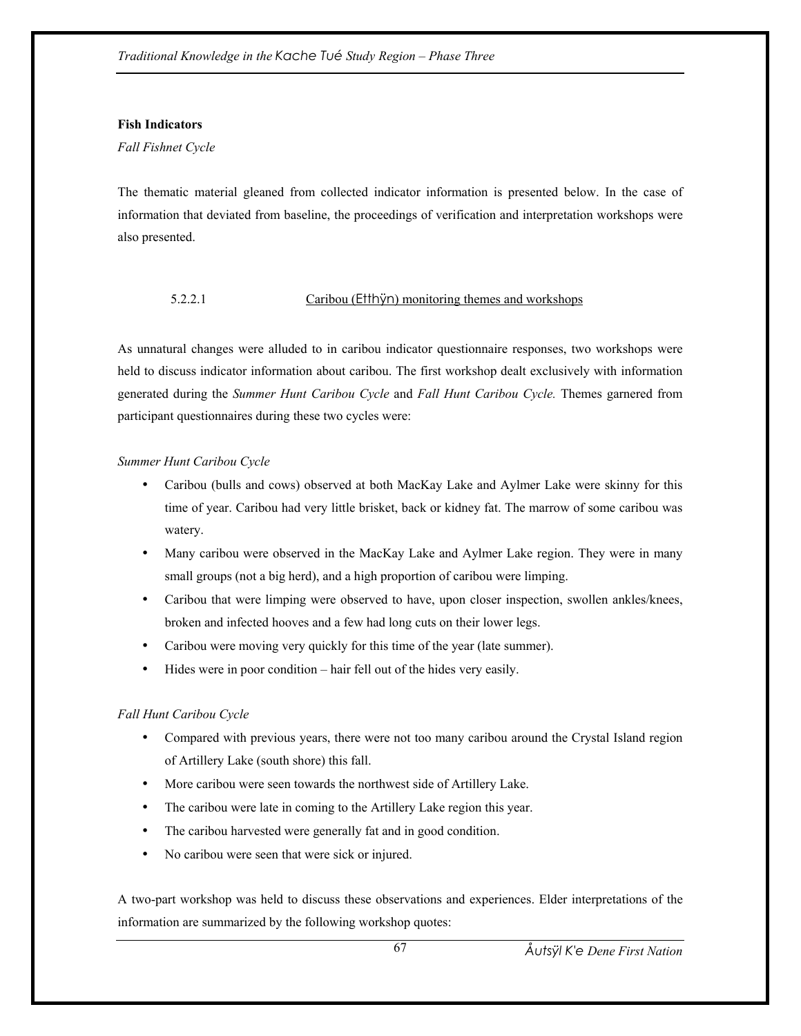## **Fish Indicators**

## *Fall Fishnet Cycle*

The thematic material gleaned from collected indicator information is presented below. In the case of information that deviated from baseline, the proceedings of verification and interpretation workshops were also presented.

# 5.2.2.1 Caribou (Etthÿn) monitoring themes and workshops

As unnatural changes were alluded to in caribou indicator questionnaire responses, two workshops were held to discuss indicator information about caribou. The first workshop dealt exclusively with information generated during the *Summer Hunt Caribou Cycle* and *Fall Hunt Caribou Cycle.* Themes garnered from participant questionnaires during these two cycles were:

# *Summer Hunt Caribou Cycle*

- Caribou (bulls and cows) observed at both MacKay Lake and Aylmer Lake were skinny for this time of year. Caribou had very little brisket, back or kidney fat. The marrow of some caribou was watery.
- Many caribou were observed in the MacKay Lake and Aylmer Lake region. They were in many small groups (not a big herd), and a high proportion of caribou were limping.
- Caribou that were limping were observed to have, upon closer inspection, swollen ankles/knees, broken and infected hooves and a few had long cuts on their lower legs.
- Caribou were moving very quickly for this time of the year (late summer).
- Hides were in poor condition hair fell out of the hides very easily.

# *Fall Hunt Caribou Cycle*

- Compared with previous years, there were not too many caribou around the Crystal Island region of Artillery Lake (south shore) this fall.
- More caribou were seen towards the northwest side of Artillery Lake.
- The caribou were late in coming to the Artillery Lake region this year.
- The caribou harvested were generally fat and in good condition.
- No caribou were seen that were sick or injured.

A two-part workshop was held to discuss these observations and experiences. Elder interpretations of the information are summarized by the following workshop quotes: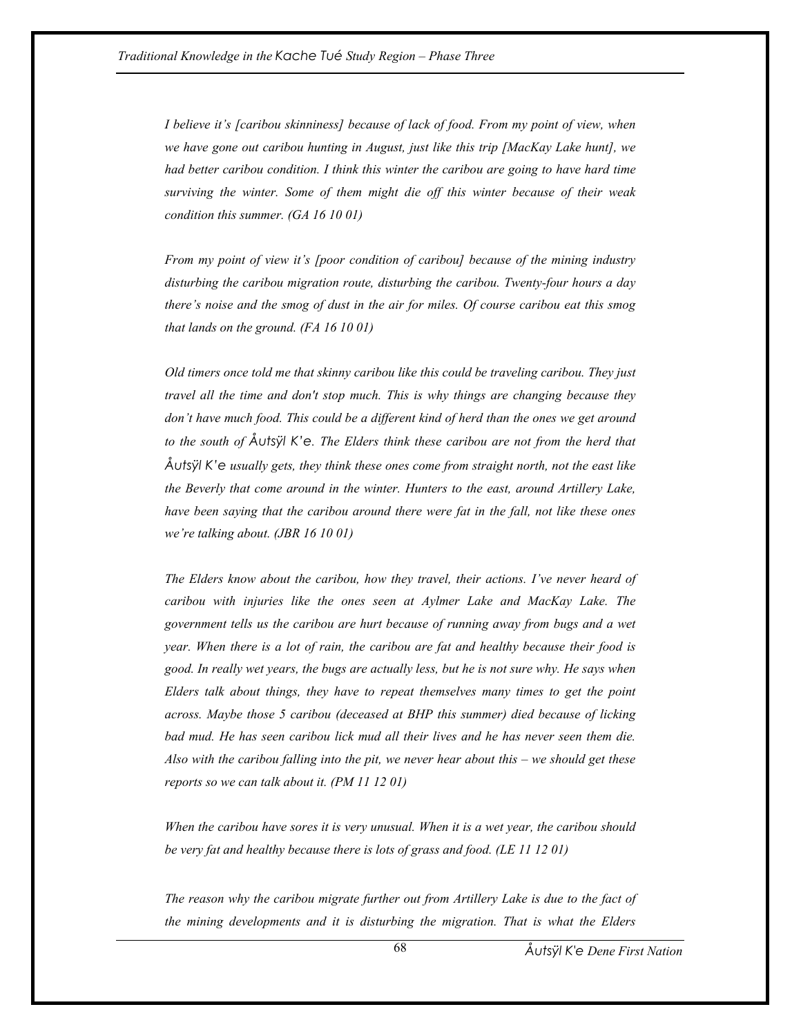*I believe it's [caribou skinniness] because of lack of food. From my point of view, when we have gone out caribou hunting in August, just like this trip [MacKay Lake hunt], we had better caribou condition. I think this winter the caribou are going to have hard time surviving the winter. Some of them might die off this winter because of their weak condition this summer. (GA 16 10 01)* 

*From my point of view it's [poor condition of caribou] because of the mining industry disturbing the caribou migration route, disturbing the caribou. Twenty-four hours a day there's noise and the smog of dust in the air for miles. Of course caribou eat this smog that lands on the ground. (FA 16 10 01)* 

*Old timers once told me that skinny caribou like this could be traveling caribou. They just travel all the time and don't stop much. This is why things are changing because they don't have much food. This could be a different kind of herd than the ones we get around to the south of Åutsÿl K'e. The Elders think these caribou are not from the herd that Åutsÿl K'e usually gets, they think these ones come from straight north, not the east like the Beverly that come around in the winter. Hunters to the east, around Artillery Lake, have been saying that the caribou around there were fat in the fall, not like these ones we're talking about. (JBR 16 10 01)* 

*The Elders know about the caribou, how they travel, their actions. I've never heard of caribou with injuries like the ones seen at Aylmer Lake and MacKay Lake. The government tells us the caribou are hurt because of running away from bugs and a wet year. When there is a lot of rain, the caribou are fat and healthy because their food is good. In really wet years, the bugs are actually less, but he is not sure why. He says when Elders talk about things, they have to repeat themselves many times to get the point across. Maybe those 5 caribou (deceased at BHP this summer) died because of licking bad mud. He has seen caribou lick mud all their lives and he has never seen them die. Also with the caribou falling into the pit, we never hear about this – we should get these reports so we can talk about it. (PM 11 12 01)* 

*When the caribou have sores it is very unusual. When it is a wet year, the caribou should be very fat and healthy because there is lots of grass and food. (LE 11 12 01)* 

*The reason why the caribou migrate further out from Artillery Lake is due to the fact of the mining developments and it is disturbing the migration. That is what the Elders*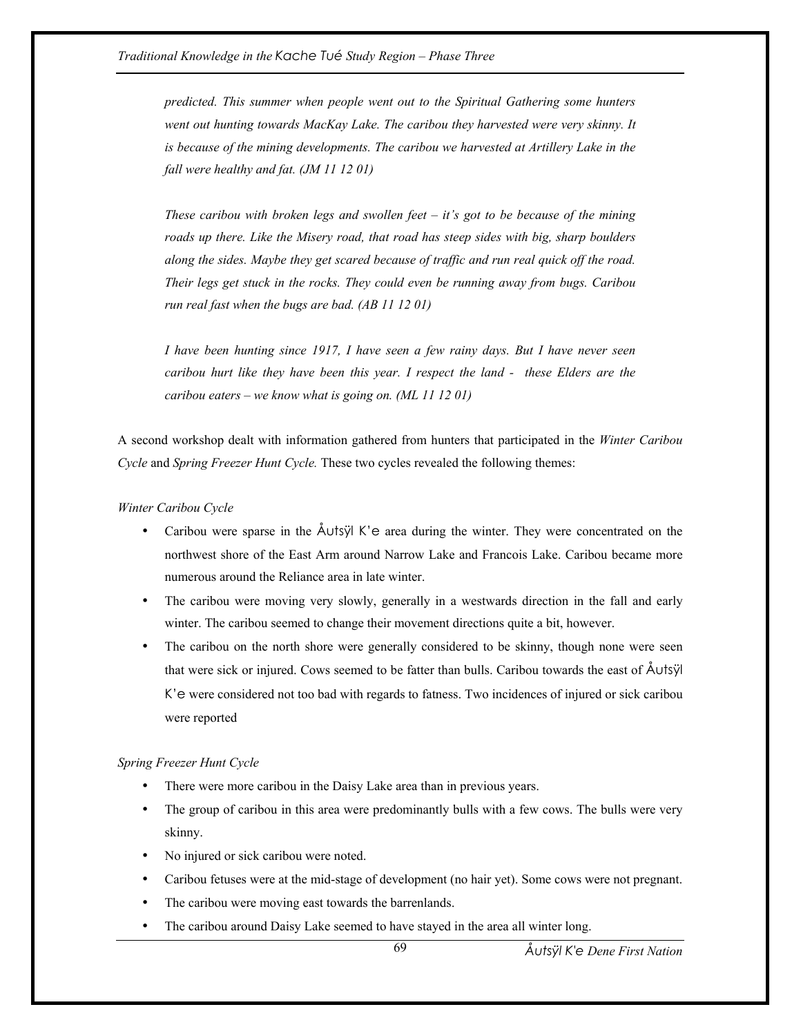*predicted. This summer when people went out to the Spiritual Gathering some hunters went out hunting towards MacKay Lake. The caribou they harvested were very skinny. It is because of the mining developments. The caribou we harvested at Artillery Lake in the fall were healthy and fat. (JM 11 12 01)* 

*These caribou with broken legs and swollen feet – it's got to be because of the mining roads up there. Like the Misery road, that road has steep sides with big, sharp boulders along the sides. Maybe they get scared because of traffic and run real quick off the road. Their legs get stuck in the rocks. They could even be running away from bugs. Caribou run real fast when the bugs are bad. (AB 11 12 01)* 

*I have been hunting since 1917, I have seen a few rainy days. But I have never seen caribou hurt like they have been this year. I respect the land - these Elders are the caribou eaters – we know what is going on. (ML 11 12 01)* 

A second workshop dealt with information gathered from hunters that participated in the *Winter Caribou Cycle* and *Spring Freezer Hunt Cycle.* These two cycles revealed the following themes:

*Winter Caribou Cycle* 

- Caribou were sparse in the  $\tilde{A}$ utsÿl K'e area during the winter. They were concentrated on the northwest shore of the East Arm around Narrow Lake and Francois Lake. Caribou became more numerous around the Reliance area in late winter.
- The caribou were moving very slowly, generally in a westwards direction in the fall and early winter. The caribou seemed to change their movement directions quite a bit, however.
- The caribou on the north shore were generally considered to be skinny, though none were seen that were sick or injured. Cows seemed to be fatter than bulls. Caribou towards the east of Åutsÿl K'e were considered not too bad with regards to fatness. Two incidences of injured or sick caribou were reported

#### *Spring Freezer Hunt Cycle*

- There were more caribou in the Daisy Lake area than in previous years.
- The group of caribou in this area were predominantly bulls with a few cows. The bulls were very skinny.
- No injured or sick caribou were noted.
- Caribou fetuses were at the mid-stage of development (no hair yet). Some cows were not pregnant.
- The caribou were moving east towards the barrenlands.
- The caribou around Daisy Lake seemed to have stayed in the area all winter long.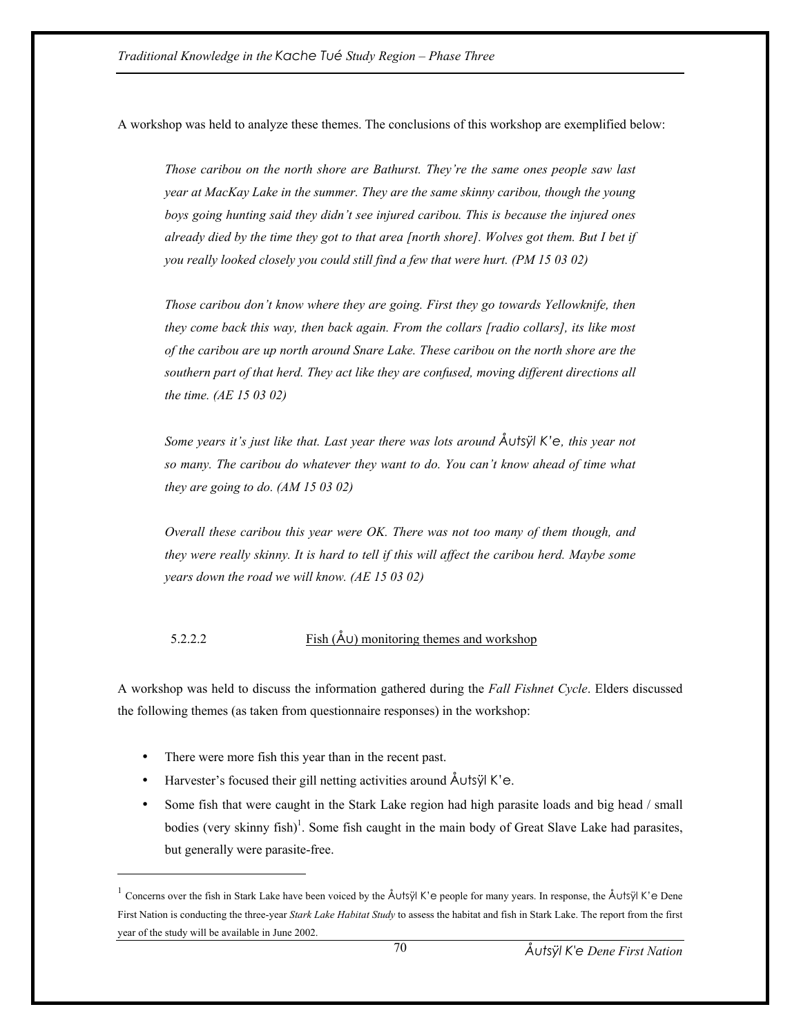A workshop was held to analyze these themes. The conclusions of this workshop are exemplified below:

*Those caribou on the north shore are Bathurst. They're the same ones people saw last year at MacKay Lake in the summer. They are the same skinny caribou, though the young boys going hunting said they didn't see injured caribou. This is because the injured ones already died by the time they got to that area [north shore]. Wolves got them. But I bet if you really looked closely you could still find a few that were hurt. (PM 15 03 02)* 

*Those caribou don't know where they are going. First they go towards Yellowknife, then they come back this way, then back again. From the collars [radio collars], its like most of the caribou are up north around Snare Lake. These caribou on the north shore are the southern part of that herd. They act like they are confused, moving different directions all the time. (AE 15 03 02)* 

*Some years it's just like that. Last year there was lots around Åutsÿl K'e, this year not so many. The caribou do whatever they want to do. You can't know ahead of time what they are going to do. (AM 15 03 02)* 

*Overall these caribou this year were OK. There was not too many of them though, and they were really skinny. It is hard to tell if this will affect the caribou herd. Maybe some years down the road we will know. (AE 15 03 02)* 

# 5.2.2.2 Fish  $(\mathring{A} \cup)$  monitoring themes and workshop

A workshop was held to discuss the information gathered during the *Fall Fishnet Cycle*. Elders discussed the following themes (as taken from questionnaire responses) in the workshop:

• There were more fish this year than in the recent past.

 $\overline{a}$ 

- Harvester's focused their gill netting activities around Åutsÿl K'e.
- Some fish that were caught in the Stark Lake region had high parasite loads and big head / small bodies (very skinny fish)<sup>1</sup>. Some fish caught in the main body of Great Slave Lake had parasites, but generally were parasite-free.

<sup>1</sup> Concerns over the fish in Stark Lake have been voiced by the Åutsÿl K'e people for many years. In response, the Åutsÿl K'e Dene First Nation is conducting the three-year *Stark Lake Habitat Study* to assess the habitat and fish in Stark Lake. The report from the first year of the study will be available in June 2002.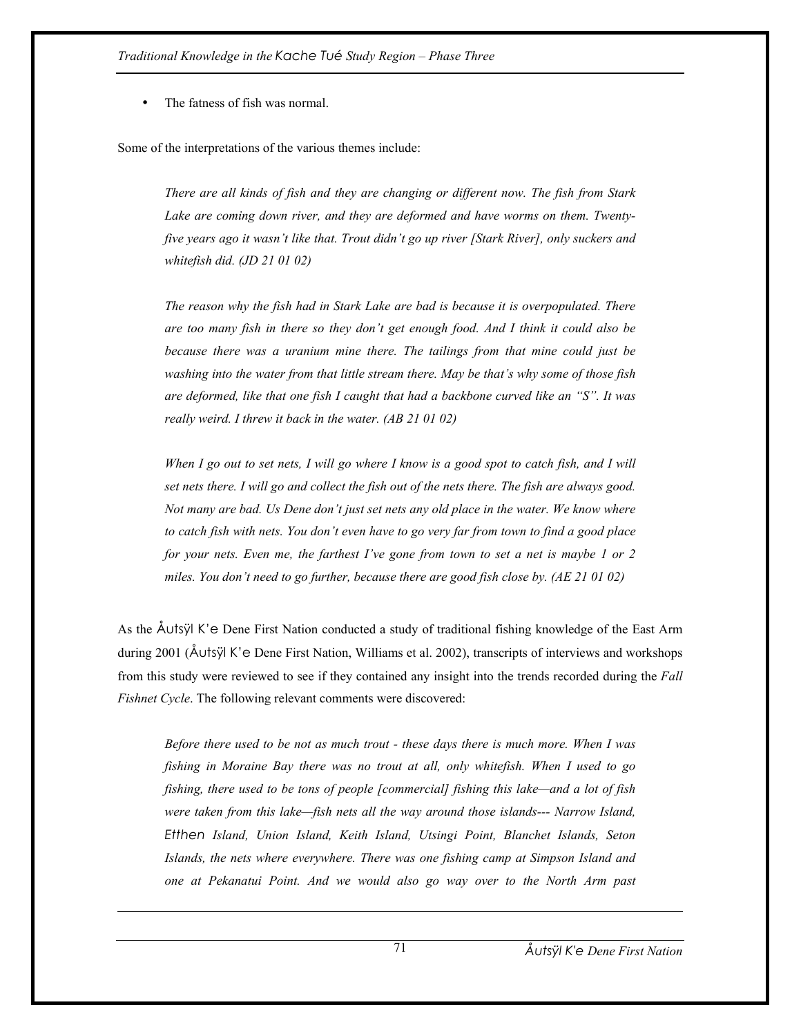The fatness of fish was normal.

 $\overline{a}$ 

Some of the interpretations of the various themes include:

*There are all kinds of fish and they are changing or different now. The fish from Stark Lake are coming down river, and they are deformed and have worms on them. Twentyfive years ago it wasn't like that. Trout didn't go up river [Stark River], only suckers and whitefish did. (JD 21 01 02)* 

*The reason why the fish had in Stark Lake are bad is because it is overpopulated. There are too many fish in there so they don't get enough food. And I think it could also be because there was a uranium mine there. The tailings from that mine could just be washing into the water from that little stream there. May be that's why some of those fish are deformed, like that one fish I caught that had a backbone curved like an "S". It was really weird. I threw it back in the water. (AB 21 01 02)* 

*When I go out to set nets, I will go where I know is a good spot to catch fish, and I will set nets there. I will go and collect the fish out of the nets there. The fish are always good. Not many are bad. Us Dene don't just set nets any old place in the water. We know where to catch fish with nets. You don't even have to go very far from town to find a good place*  for your nets. Even me, the farthest I've gone from town to set a net is maybe 1 or 2 *miles. You don't need to go further, because there are good fish close by. (AE 21 01 02)* 

As the Åutsÿl K'e Dene First Nation conducted a study of traditional fishing knowledge of the East Arm during 2001 (Åutsÿl K'e Dene First Nation, Williams et al. 2002), transcripts of interviews and workshops from this study were reviewed to see if they contained any insight into the trends recorded during the *Fall Fishnet Cycle*. The following relevant comments were discovered:

*Before there used to be not as much trout - these days there is much more. When I was fishing in Moraine Bay there was no trout at all, only whitefish. When I used to go fishing, there used to be tons of people [commercial] fishing this lake—and a lot of fish were taken from this lake—fish nets all the way around those islands--- Narrow Island, Etthen Island, Union Island, Keith Island, Utsingi Point, Blanchet Islands, Seton Islands, the nets where everywhere. There was one fishing camp at Simpson Island and one at Pekanatui Point. And we would also go way over to the North Arm past*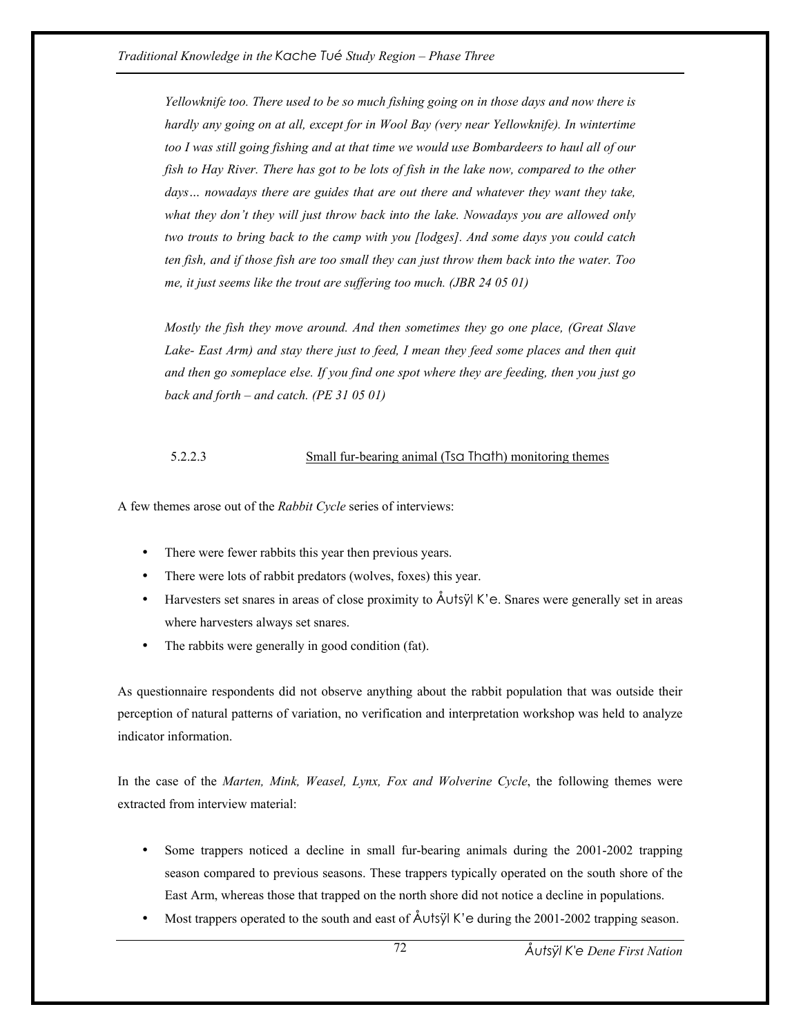*Yellowknife too. There used to be so much fishing going on in those days and now there is hardly any going on at all, except for in Wool Bay (very near Yellowknife). In wintertime too I was still going fishing and at that time we would use Bombardeers to haul all of our fish to Hay River. There has got to be lots of fish in the lake now, compared to the other days… nowadays there are guides that are out there and whatever they want they take, what they don't they will just throw back into the lake. Nowadays you are allowed only two trouts to bring back to the camp with you [lodges]. And some days you could catch ten fish, and if those fish are too small they can just throw them back into the water. Too me, it just seems like the trout are suffering too much. (JBR 24 05 01)* 

*Mostly the fish they move around. And then sometimes they go one place, (Great Slave Lake- East Arm) and stay there just to feed, I mean they feed some places and then quit and then go someplace else. If you find one spot where they are feeding, then you just go back and forth – and catch. (PE 31 05 01)* 

### 5.2.2.3 Small fur-bearing animal (Tsa Thath) monitoring themes

A few themes arose out of the *Rabbit Cycle* series of interviews:

- There were fewer rabbits this year then previous years.
- There were lots of rabbit predators (wolves, foxes) this year.
- Harvesters set snares in areas of close proximity to  $\Delta U$ tsÿl K'e. Snares were generally set in areas where harvesters always set snares.
- The rabbits were generally in good condition (fat).

As questionnaire respondents did not observe anything about the rabbit population that was outside their perception of natural patterns of variation, no verification and interpretation workshop was held to analyze indicator information.

In the case of the *Marten, Mink, Weasel, Lynx, Fox and Wolverine Cycle*, the following themes were extracted from interview material:

- Some trappers noticed a decline in small fur-bearing animals during the 2001-2002 trapping season compared to previous seasons. These trappers typically operated on the south shore of the East Arm, whereas those that trapped on the north shore did not notice a decline in populations.
- Most trappers operated to the south and east of  $\text{\AA}$ utsÿl K'e during the 2001-2002 trapping season.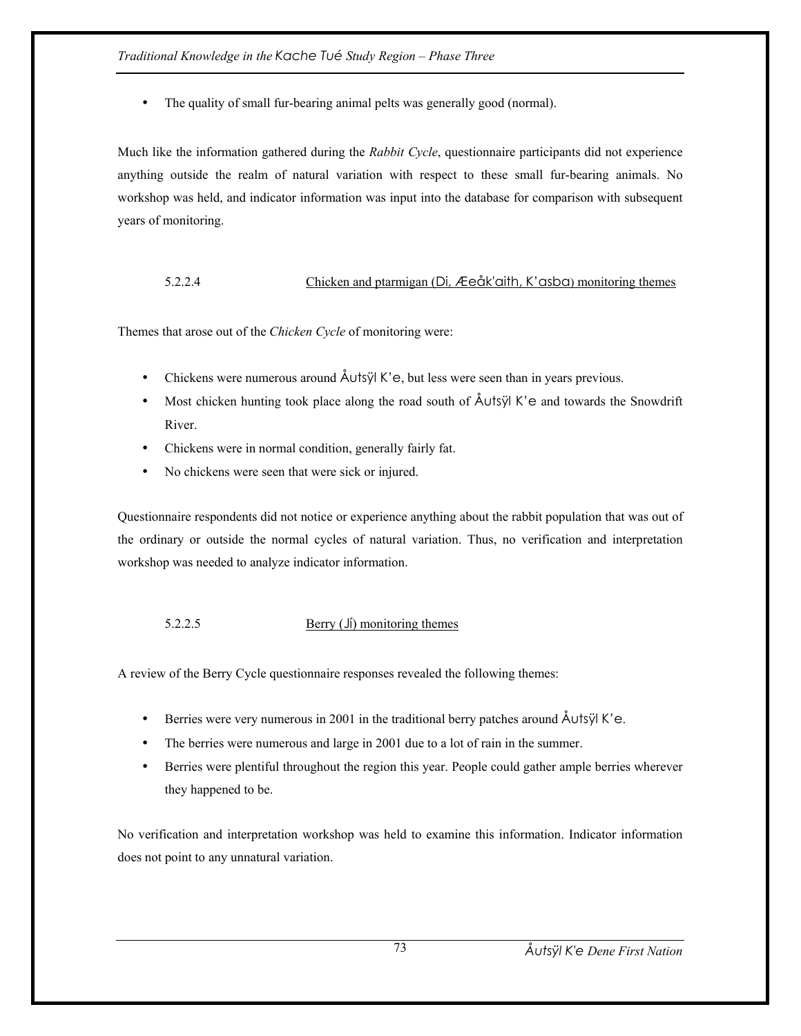• The quality of small fur-bearing animal pelts was generally good (normal).

Much like the information gathered during the *Rabbit Cycle*, questionnaire participants did not experience anything outside the realm of natural variation with respect to these small fur-bearing animals. No workshop was held, and indicator information was input into the database for comparison with subsequent years of monitoring.

# 5.2.2.4 Chicken and ptarmigan (Di, Æeåk'aith, K'asba) monitoring themes

Themes that arose out of the *Chicken Cycle* of monitoring were:

- Chickens were numerous around  $\text{ÅUtsyl K'e}$ , but less were seen than in years previous.
- Most chicken hunting took place along the road south of Åutsÿl K'e and towards the Snowdrift River.
- Chickens were in normal condition, generally fairly fat.
- No chickens were seen that were sick or injured.

Questionnaire respondents did not notice or experience anything about the rabbit population that was out of the ordinary or outside the normal cycles of natural variation. Thus, no verification and interpretation workshop was needed to analyze indicator information.

# 5.2.2.5 Berry (Jí) monitoring themes

A review of the Berry Cycle questionnaire responses revealed the following themes:

- Berries were very numerous in 2001 in the traditional berry patches around Åutsÿl K'e.
- The berries were numerous and large in 2001 due to a lot of rain in the summer.
- Berries were plentiful throughout the region this year. People could gather ample berries wherever they happened to be.

No verification and interpretation workshop was held to examine this information. Indicator information does not point to any unnatural variation.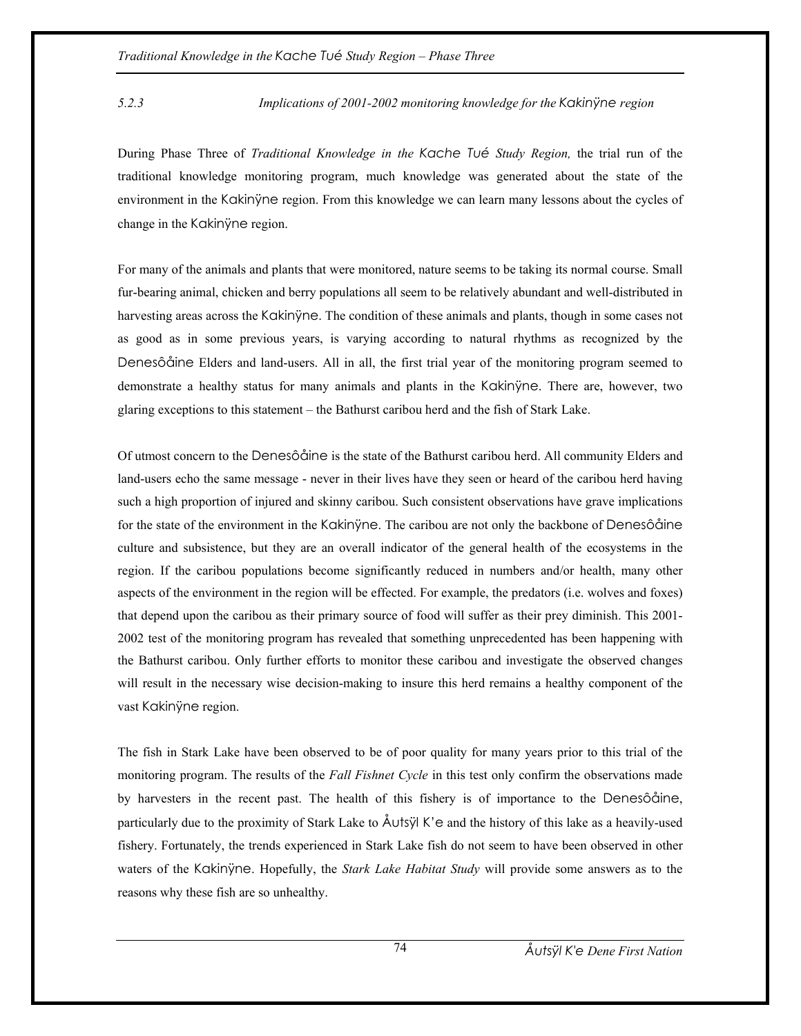### *5.2.3 Implications of 2001-2002 monitoring knowledge for the Kakinÿne region*

During Phase Three of *Traditional Knowledge in the Kache Tué Study Region,* the trial run of the traditional knowledge monitoring program, much knowledge was generated about the state of the environment in the Kakinÿne region. From this knowledge we can learn many lessons about the cycles of change in the Kakinÿne region.

For many of the animals and plants that were monitored, nature seems to be taking its normal course. Small fur-bearing animal, chicken and berry populations all seem to be relatively abundant and well-distributed in harvesting areas across the Kakinÿne. The condition of these animals and plants, though in some cases not as good as in some previous years, is varying according to natural rhythms as recognized by the Denesôåine Elders and land-users. All in all, the first trial year of the monitoring program seemed to demonstrate a healthy status for many animals and plants in the Kakinÿne. There are, however, two glaring exceptions to this statement – the Bathurst caribou herd and the fish of Stark Lake.

Of utmost concern to the Denesôåine is the state of the Bathurst caribou herd. All community Elders and land-users echo the same message - never in their lives have they seen or heard of the caribou herd having such a high proportion of injured and skinny caribou. Such consistent observations have grave implications for the state of the environment in the Kakinÿne. The caribou are not only the backbone of Denesôåine culture and subsistence, but they are an overall indicator of the general health of the ecosystems in the region. If the caribou populations become significantly reduced in numbers and/or health, many other aspects of the environment in the region will be effected. For example, the predators (i.e. wolves and foxes) that depend upon the caribou as their primary source of food will suffer as their prey diminish. This 2001- 2002 test of the monitoring program has revealed that something unprecedented has been happening with the Bathurst caribou. Only further efforts to monitor these caribou and investigate the observed changes will result in the necessary wise decision-making to insure this herd remains a healthy component of the vast Kakinÿne region.

The fish in Stark Lake have been observed to be of poor quality for many years prior to this trial of the monitoring program. The results of the *Fall Fishnet Cycle* in this test only confirm the observations made by harvesters in the recent past. The health of this fishery is of importance to the Denesôåine, particularly due to the proximity of Stark Lake to Åutsÿl K'e and the history of this lake as a heavily-used fishery. Fortunately, the trends experienced in Stark Lake fish do not seem to have been observed in other waters of the Kakinyne. Hopefully, the *Stark Lake Habitat Study* will provide some answers as to the reasons why these fish are so unhealthy.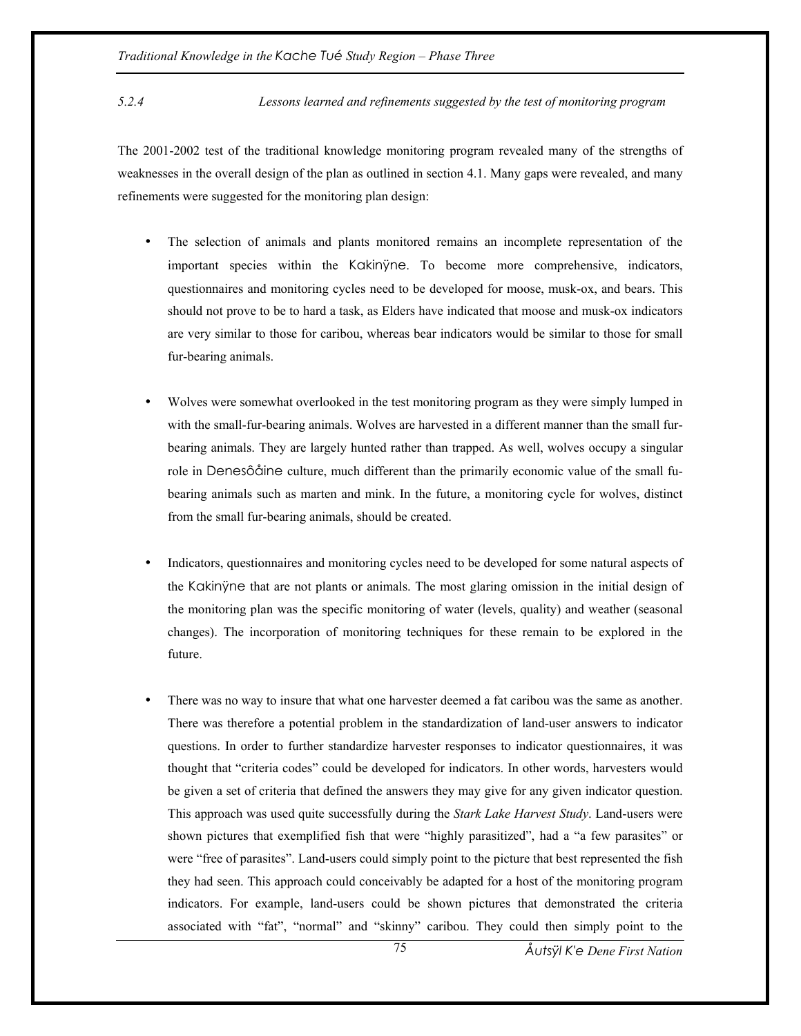*5.2.4 Lessons learned and refinements suggested by the test of monitoring program* 

The 2001-2002 test of the traditional knowledge monitoring program revealed many of the strengths of weaknesses in the overall design of the plan as outlined in section 4.1. Many gaps were revealed, and many refinements were suggested for the monitoring plan design:

- The selection of animals and plants monitored remains an incomplete representation of the important species within the Kakinÿne. To become more comprehensive, indicators, questionnaires and monitoring cycles need to be developed for moose, musk-ox, and bears. This should not prove to be to hard a task, as Elders have indicated that moose and musk-ox indicators are very similar to those for caribou, whereas bear indicators would be similar to those for small fur-bearing animals.
- Wolves were somewhat overlooked in the test monitoring program as they were simply lumped in with the small-fur-bearing animals. Wolves are harvested in a different manner than the small furbearing animals. They are largely hunted rather than trapped. As well, wolves occupy a singular role in Denesôåine culture, much different than the primarily economic value of the small fubearing animals such as marten and mink. In the future, a monitoring cycle for wolves, distinct from the small fur-bearing animals, should be created.
- Indicators, questionnaires and monitoring cycles need to be developed for some natural aspects of the Kakinÿne that are not plants or animals. The most glaring omission in the initial design of the monitoring plan was the specific monitoring of water (levels, quality) and weather (seasonal changes). The incorporation of monitoring techniques for these remain to be explored in the future.
- There was no way to insure that what one harvester deemed a fat caribou was the same as another. There was therefore a potential problem in the standardization of land-user answers to indicator questions. In order to further standardize harvester responses to indicator questionnaires, it was thought that "criteria codes" could be developed for indicators. In other words, harvesters would be given a set of criteria that defined the answers they may give for any given indicator question. This approach was used quite successfully during the *Stark Lake Harvest Study*. Land-users were shown pictures that exemplified fish that were "highly parasitized", had a "a few parasites" or were "free of parasites". Land-users could simply point to the picture that best represented the fish they had seen. This approach could conceivably be adapted for a host of the monitoring program indicators. For example, land-users could be shown pictures that demonstrated the criteria associated with "fat", "normal" and "skinny" caribou. They could then simply point to the

*Åutsÿl K'e Dene First Nation*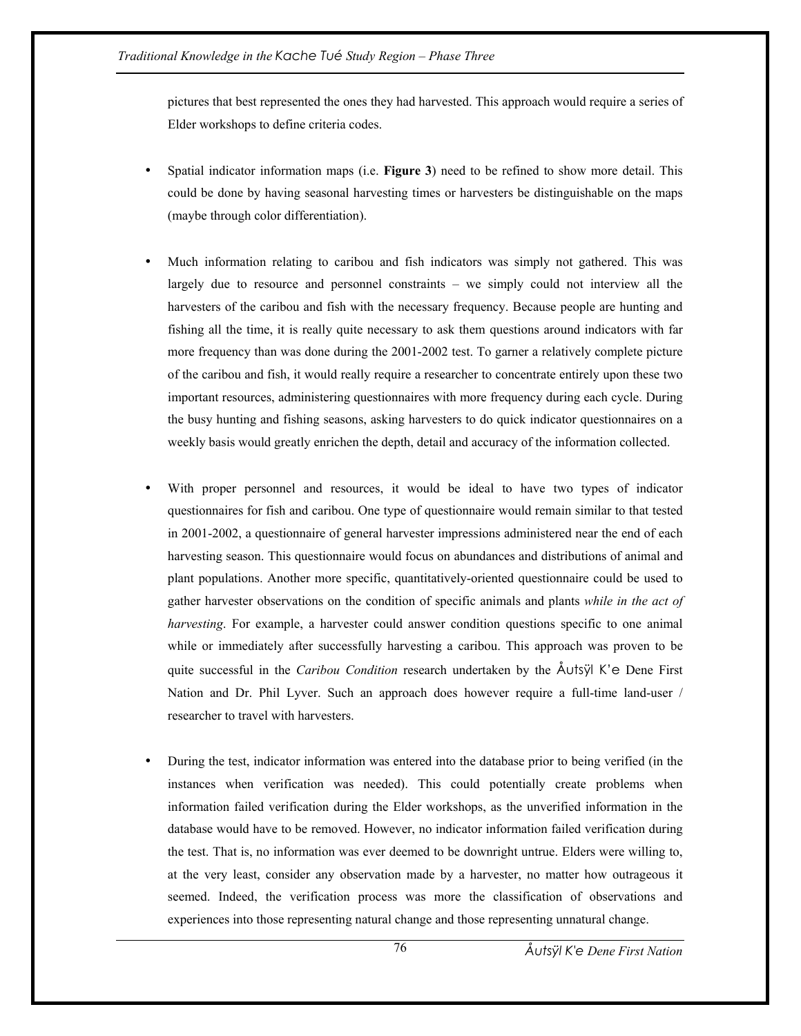pictures that best represented the ones they had harvested. This approach would require a series of Elder workshops to define criteria codes.

- Spatial indicator information maps (i.e. **Figure 3**) need to be refined to show more detail. This could be done by having seasonal harvesting times or harvesters be distinguishable on the maps (maybe through color differentiation).
- Much information relating to caribou and fish indicators was simply not gathered. This was largely due to resource and personnel constraints – we simply could not interview all the harvesters of the caribou and fish with the necessary frequency. Because people are hunting and fishing all the time, it is really quite necessary to ask them questions around indicators with far more frequency than was done during the 2001-2002 test. To garner a relatively complete picture of the caribou and fish, it would really require a researcher to concentrate entirely upon these two important resources, administering questionnaires with more frequency during each cycle. During the busy hunting and fishing seasons, asking harvesters to do quick indicator questionnaires on a weekly basis would greatly enrichen the depth, detail and accuracy of the information collected.
- With proper personnel and resources, it would be ideal to have two types of indicator questionnaires for fish and caribou. One type of questionnaire would remain similar to that tested in 2001-2002, a questionnaire of general harvester impressions administered near the end of each harvesting season. This questionnaire would focus on abundances and distributions of animal and plant populations. Another more specific, quantitatively-oriented questionnaire could be used to gather harvester observations on the condition of specific animals and plants *while in the act of harvesting*. For example, a harvester could answer condition questions specific to one animal while or immediately after successfully harvesting a caribou. This approach was proven to be quite successful in the *Caribou Condition* research undertaken by the Åutsÿl K'e Dene First Nation and Dr. Phil Lyver. Such an approach does however require a full-time land-user / researcher to travel with harvesters.
- During the test, indicator information was entered into the database prior to being verified (in the instances when verification was needed). This could potentially create problems when information failed verification during the Elder workshops, as the unverified information in the database would have to be removed. However, no indicator information failed verification during the test. That is, no information was ever deemed to be downright untrue. Elders were willing to, at the very least, consider any observation made by a harvester, no matter how outrageous it seemed. Indeed, the verification process was more the classification of observations and experiences into those representing natural change and those representing unnatural change.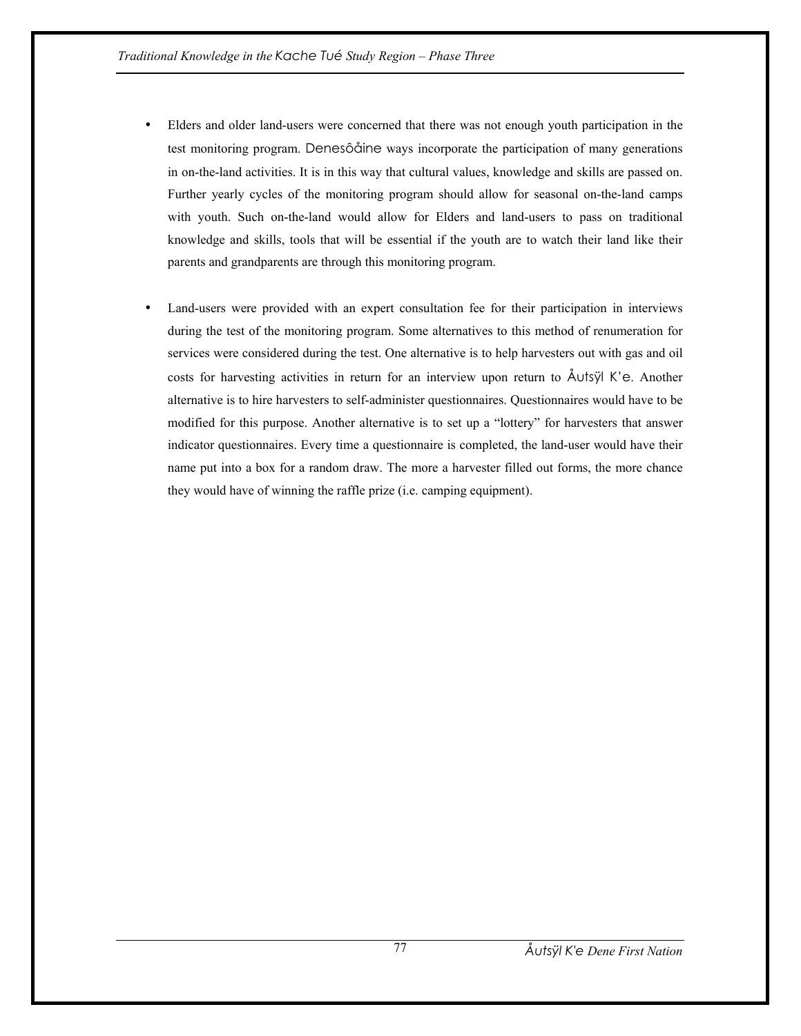- Elders and older land-users were concerned that there was not enough youth participation in the test monitoring program. Denesôåine ways incorporate the participation of many generations in on-the-land activities. It is in this way that cultural values, knowledge and skills are passed on. Further yearly cycles of the monitoring program should allow for seasonal on-the-land camps with youth. Such on-the-land would allow for Elders and land-users to pass on traditional knowledge and skills, tools that will be essential if the youth are to watch their land like their parents and grandparents are through this monitoring program.
- Land-users were provided with an expert consultation fee for their participation in interviews during the test of the monitoring program. Some alternatives to this method of renumeration for services were considered during the test. One alternative is to help harvesters out with gas and oil costs for harvesting activities in return for an interview upon return to Åutsÿl K'e. Another alternative is to hire harvesters to self-administer questionnaires. Questionnaires would have to be modified for this purpose. Another alternative is to set up a "lottery" for harvesters that answer indicator questionnaires. Every time a questionnaire is completed, the land-user would have their name put into a box for a random draw. The more a harvester filled out forms, the more chance they would have of winning the raffle prize (i.e. camping equipment).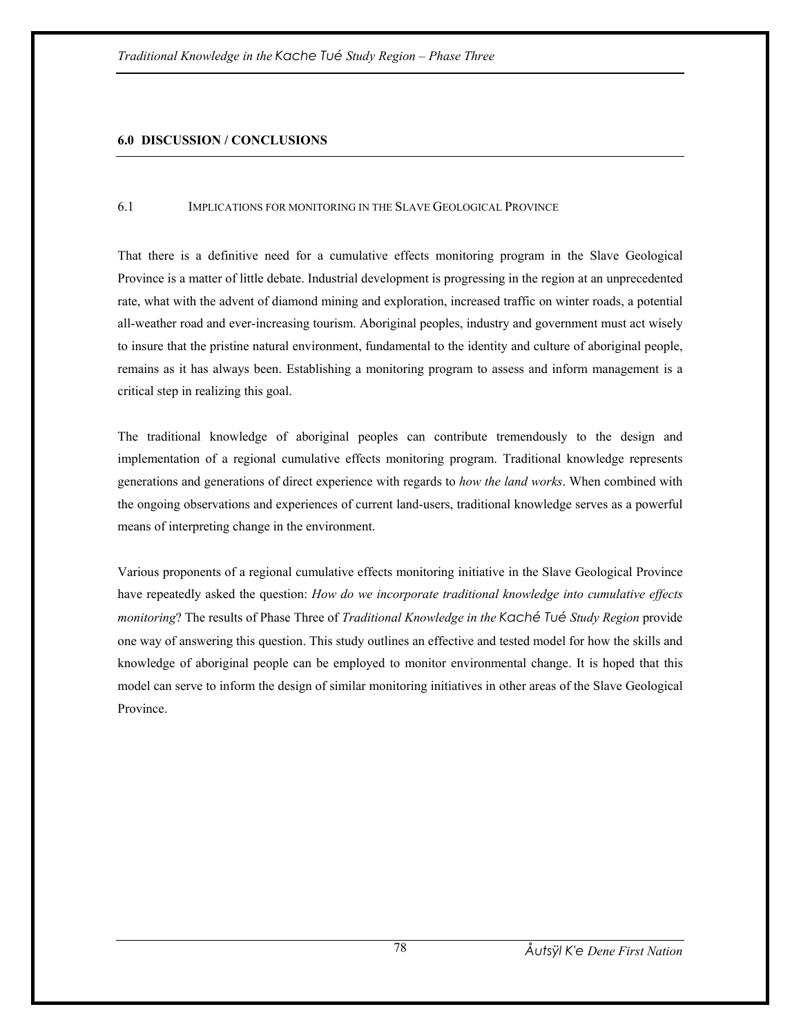### **6.0 DISCUSSION / CONCLUSIONS**

#### 6.1 IMPLICATIONS FOR MONITORING IN THE SLAVE GEOLOGICAL PROVINCE

That there is a definitive need for a cumulative effects monitoring program in the Slave Geological Province is a matter of little debate. Industrial development is progressing in the region at an unprecedented rate, what with the advent of diamond mining and exploration, increased traffic on winter roads, a potential all-weather road and ever-increasing tourism. Aboriginal peoples, industry and government must act wisely to insure that the pristine natural environment, fundamental to the identity and culture of aboriginal people, remains as it has always been. Establishing a monitoring program to assess and inform management is a critical step in realizing this goal.

The traditional knowledge of aboriginal peoples can contribute tremendously to the design and implementation of a regional cumulative effects monitoring program. Traditional knowledge represents generations and generations of direct experience with regards to *how the land works*. When combined with the ongoing observations and experiences of current land-users, traditional knowledge serves as a powerful means of interpreting change in the environment.

Various proponents of a regional cumulative effects monitoring initiative in the Slave Geological Province have repeatedly asked the question: *How do we incorporate traditional knowledge into cumulative effects monitoring*? The results of Phase Three of *Traditional Knowledge in the Kaché Tué Study Region* provide one way of answering this question. This study outlines an effective and tested model for how the skills and knowledge of aboriginal people can be employed to monitor environmental change. It is hoped that this model can serve to inform the design of similar monitoring initiatives in other areas of the Slave Geological Province.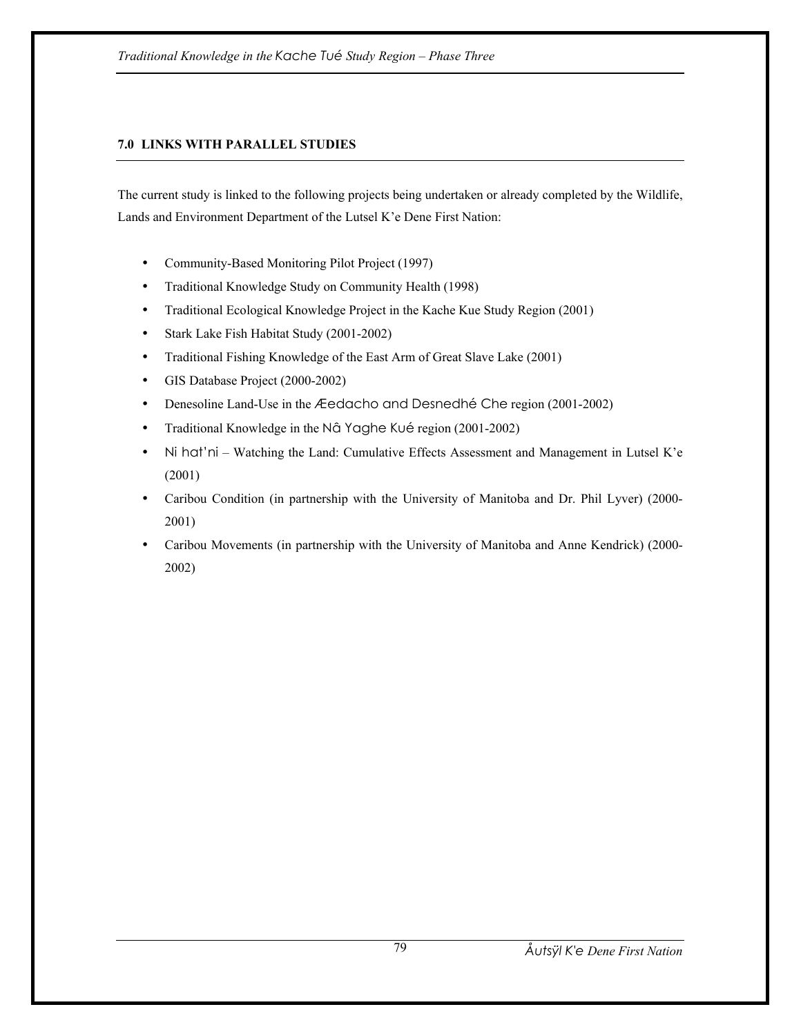# **7.0 LINKS WITH PARALLEL STUDIES**

The current study is linked to the following projects being undertaken or already completed by the Wildlife, Lands and Environment Department of the Lutsel K'e Dene First Nation:

- Community-Based Monitoring Pilot Project (1997)
- Traditional Knowledge Study on Community Health (1998)
- Traditional Ecological Knowledge Project in the Kache Kue Study Region (2001)
- Stark Lake Fish Habitat Study (2001-2002)
- Traditional Fishing Knowledge of the East Arm of Great Slave Lake (2001)
- GIS Database Project (2000-2002)
- Denesoline Land-Use in the Æedacho and Desnedhé Che region (2001-2002)
- Traditional Knowledge in the Nâ Yaghe Kué region (2001-2002)
- Ni hat'ni Watching the Land: Cumulative Effects Assessment and Management in Lutsel K'e (2001)
- Caribou Condition (in partnership with the University of Manitoba and Dr. Phil Lyver) (2000- 2001)
- Caribou Movements (in partnership with the University of Manitoba and Anne Kendrick) (2000-2002)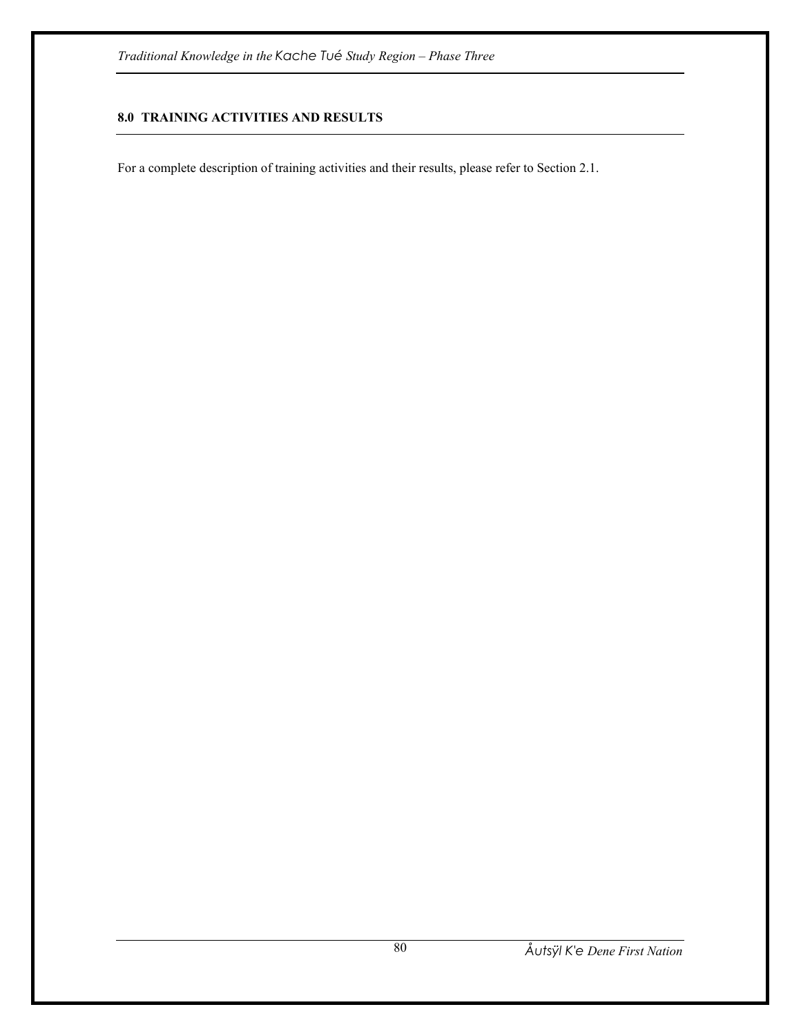# **8.0 TRAINING ACTIVITIES AND RESULTS**

For a complete description of training activities and their results, please refer to Section 2.1.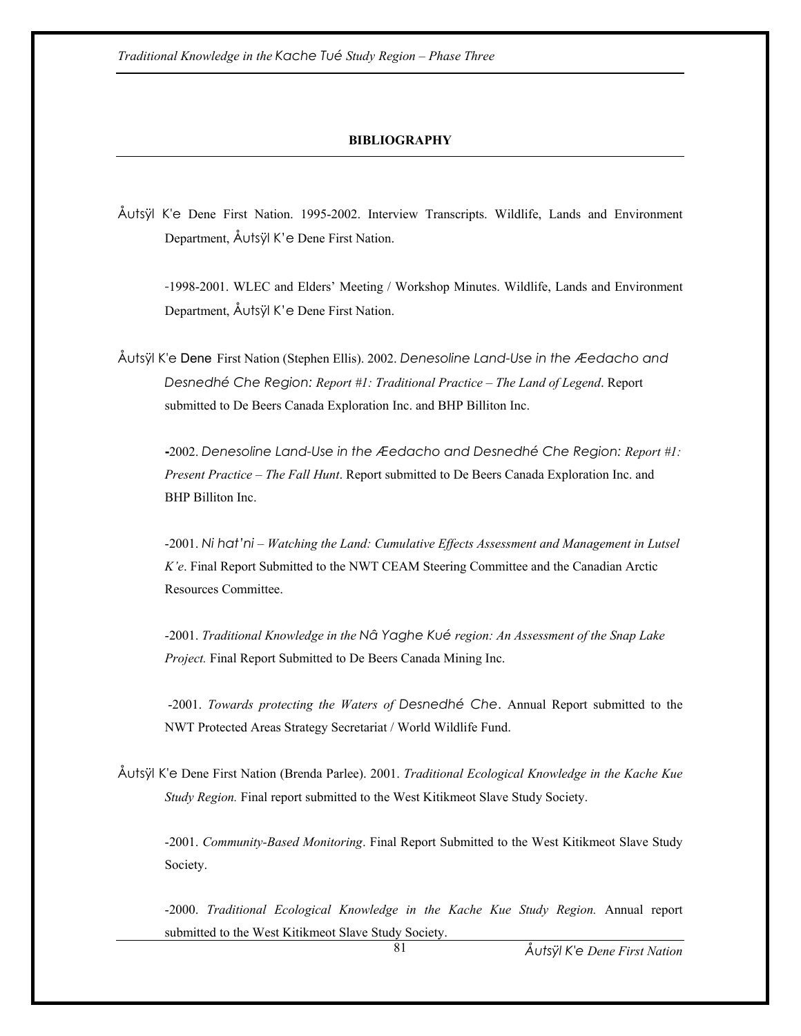### **BIBLIOGRAPHY**

Åutsÿl K'e Dene First Nation. 1995-2002. Interview Transcripts. Wildlife, Lands and Environment Department, Åutsÿl K'e Dene First Nation.

 -1998-2001. WLEC and Elders' Meeting / Workshop Minutes. Wildlife, Lands and Environment Department, Åutsÿl K'e Dene First Nation.

Åutsÿl K'e Dene First Nation (Stephen Ellis). 2002. *Denesoline Land-Use in the Æedacho and Desnedhé Che Region: Report #1: Traditional Practice – The Land of Legend*. Report submitted to De Beers Canada Exploration Inc. and BHP Billiton Inc.

 **-**2002. *Denesoline Land-Use in the Æedacho and Desnedhé Che Region: Report #1: Present Practice – The Fall Hunt*. Report submitted to De Beers Canada Exploration Inc. and BHP Billiton Inc.

-2001. *Ni hat'ni – Watching the Land: Cumulative Effects Assessment and Management in Lutsel K'e*. Final Report Submitted to the NWT CEAM Steering Committee and the Canadian Arctic Resources Committee.

-2001. *Traditional Knowledge in the Nâ Yaghe Kué region: An Assessment of the Snap Lake Project.* Final Report Submitted to De Beers Canada Mining Inc.

 -2001. *Towards protecting the Waters of Desnedhé Che*. Annual Report submitted to the NWT Protected Areas Strategy Secretariat / World Wildlife Fund.

Åutsÿl K'e Dene First Nation (Brenda Parlee). 2001. *Traditional Ecological Knowledge in the Kache Kue Study Region.* Final report submitted to the West Kitikmeot Slave Study Society.

 -2001. *Community-Based Monitoring*. Final Report Submitted to the West Kitikmeot Slave Study Society.

-2000. *Traditional Ecological Knowledge in the Kache Kue Study Region.* Annual report submitted to the West Kitikmeot Slave Study Society.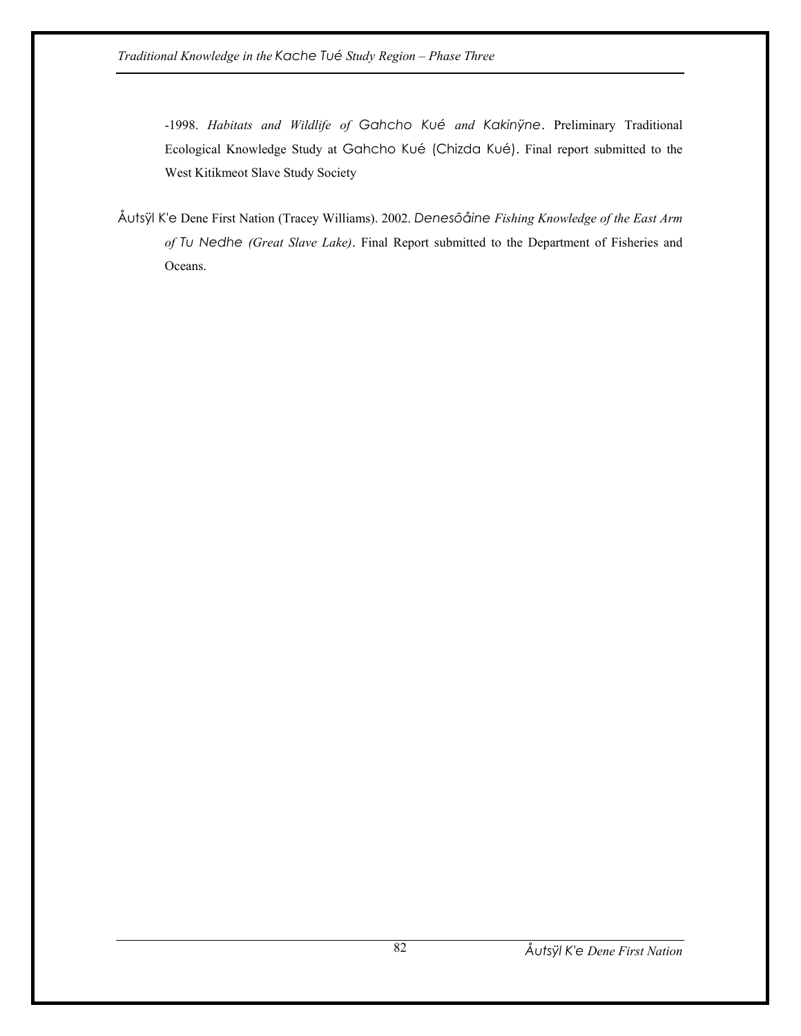-1998. *Habitats and Wildlife of Gahcho Kué and Kakinÿne*. Preliminary Traditional Ecological Knowledge Study at Gahcho Kué (Chizda Kué). Final report submitted to the West Kitikmeot Slave Study Society

Åutsÿl K'e Dene First Nation (Tracey Williams). 2002. *Denesôåine Fishing Knowledge of the East Arm of Tu Nedhe (Great Slave Lake)*. Final Report submitted to the Department of Fisheries and Oceans.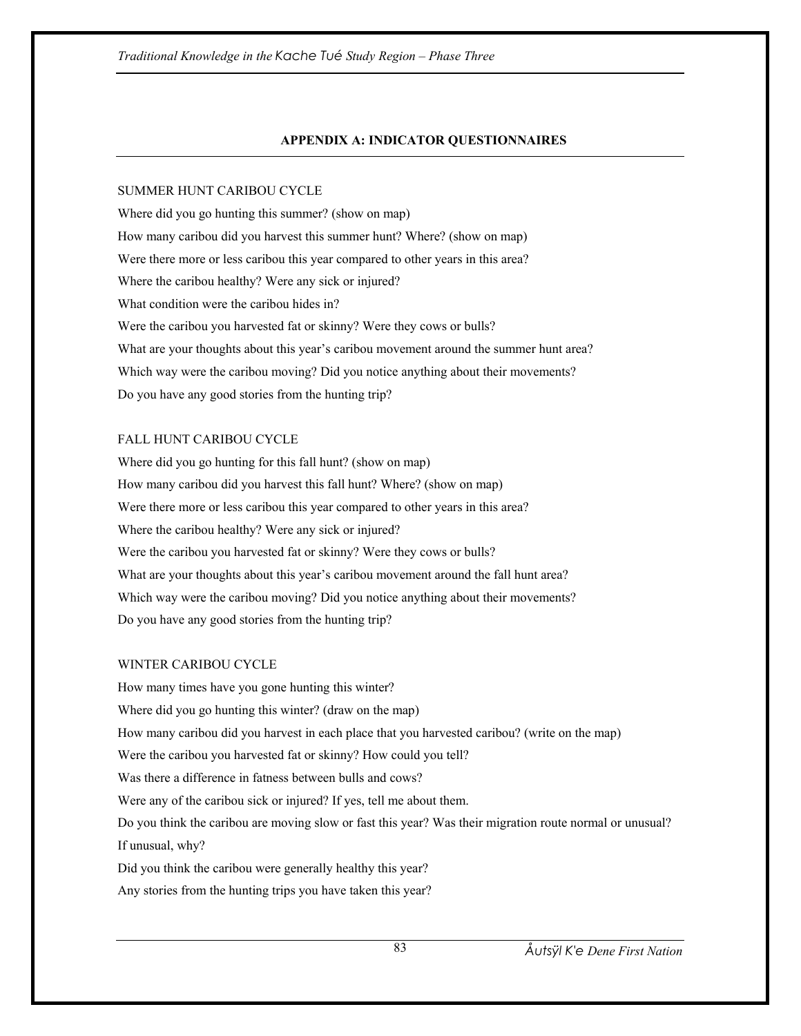# **APPENDIX A: INDICATOR QUESTIONNAIRES**

# SUMMER HUNT CARIBOU CYCLE

Where did you go hunting this summer? (show on map) How many caribou did you harvest this summer hunt? Where? (show on map) Were there more or less caribou this year compared to other years in this area? Where the caribou healthy? Were any sick or injured? What condition were the caribou hides in? Were the caribou you harvested fat or skinny? Were they cows or bulls? What are your thoughts about this year's caribou movement around the summer hunt area? Which way were the caribou moving? Did you notice anything about their movements? Do you have any good stories from the hunting trip?

# FALL HUNT CARIBOU CYCLE

Where did you go hunting for this fall hunt? (show on map) How many caribou did you harvest this fall hunt? Where? (show on map) Were there more or less caribou this year compared to other years in this area? Where the caribou healthy? Were any sick or injured? Were the caribou you harvested fat or skinny? Were they cows or bulls? What are your thoughts about this year's caribou movement around the fall hunt area? Which way were the caribou moving? Did you notice anything about their movements? Do you have any good stories from the hunting trip?

## WINTER CARIBOU CYCLE

How many times have you gone hunting this winter? Where did you go hunting this winter? (draw on the map) How many caribou did you harvest in each place that you harvested caribou? (write on the map) Were the caribou you harvested fat or skinny? How could you tell? Was there a difference in fatness between bulls and cows? Were any of the caribou sick or injured? If yes, tell me about them. Do you think the caribou are moving slow or fast this year? Was their migration route normal or unusual? If unusual, why? Did you think the caribou were generally healthy this year? Any stories from the hunting trips you have taken this year?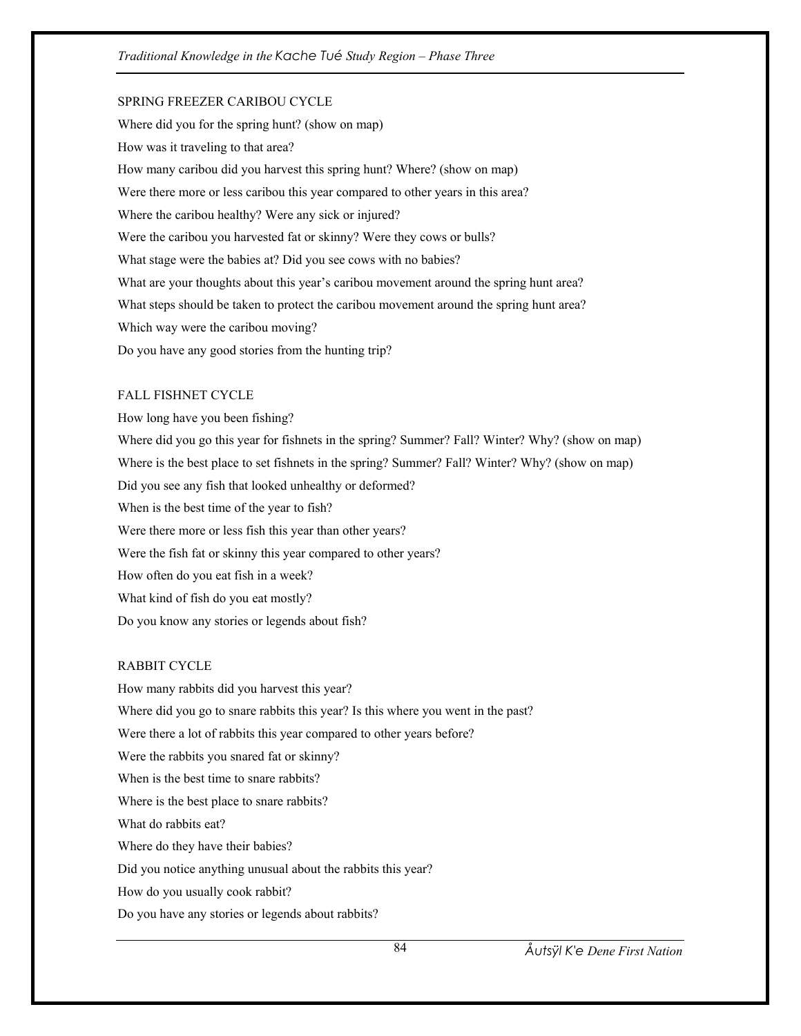# SPRING FREEZER CARIBOU CYCLE

Where did you for the spring hunt? (show on map) How was it traveling to that area? How many caribou did you harvest this spring hunt? Where? (show on map) Were there more or less caribou this year compared to other years in this area? Where the caribou healthy? Were any sick or injured? Were the caribou you harvested fat or skinny? Were they cows or bulls? What stage were the babies at? Did you see cows with no babies? What are your thoughts about this year's caribou movement around the spring hunt area? What steps should be taken to protect the caribou movement around the spring hunt area? Which way were the caribou moving? Do you have any good stories from the hunting trip?

#### FALL FISHNET CYCLE

How long have you been fishing? Where did you go this year for fishnets in the spring? Summer? Fall? Winter? Why? (show on map) Where is the best place to set fishnets in the spring? Summer? Fall? Winter? Why? (show on map) Did you see any fish that looked unhealthy or deformed? When is the best time of the year to fish? Were there more or less fish this year than other years? Were the fish fat or skinny this year compared to other years? How often do you eat fish in a week? What kind of fish do you eat mostly? Do you know any stories or legends about fish?

# RABBIT CYCLE

How many rabbits did you harvest this year? Where did you go to snare rabbits this year? Is this where you went in the past? Were there a lot of rabbits this year compared to other years before? Were the rabbits you snared fat or skinny? When is the best time to snare rabbits? Where is the best place to snare rabbits? What do rabbits eat? Where do they have their babies? Did you notice anything unusual about the rabbits this year? How do you usually cook rabbit? Do you have any stories or legends about rabbits?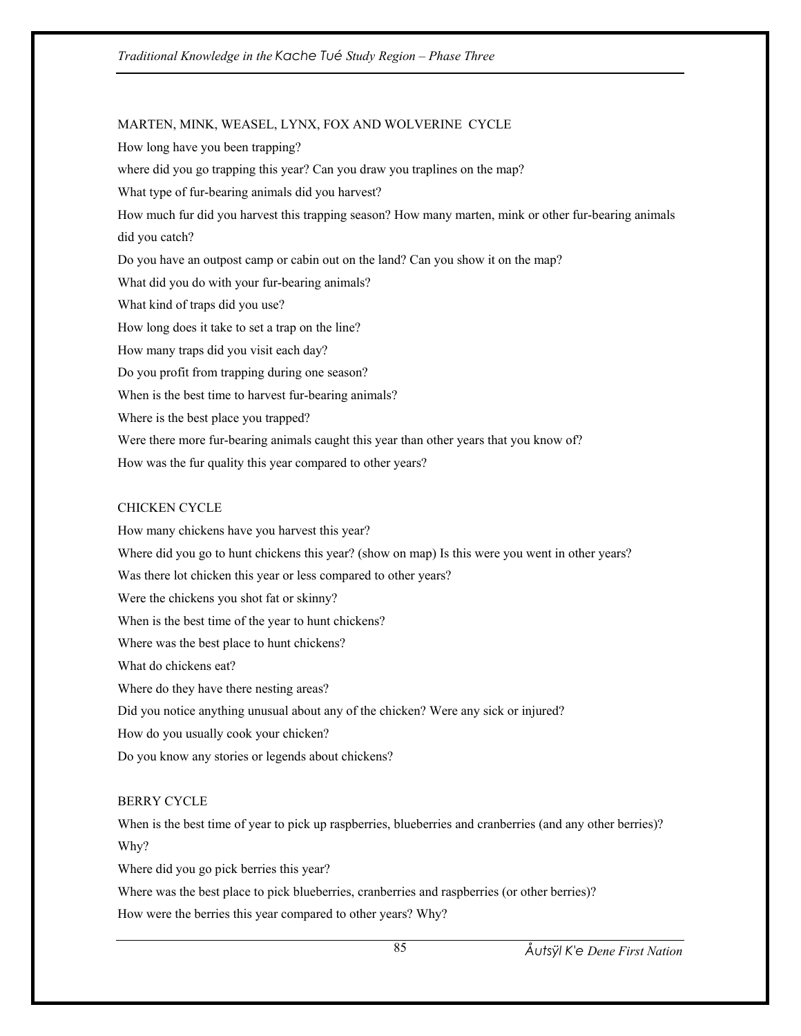MARTEN, MINK, WEASEL, LYNX, FOX AND WOLVERINE CYCLE How long have you been trapping? where did you go trapping this year? Can you draw you traplines on the map? What type of fur-bearing animals did you harvest? How much fur did you harvest this trapping season? How many marten, mink or other fur-bearing animals did you catch? Do you have an outpost camp or cabin out on the land? Can you show it on the map? What did you do with your fur-bearing animals? What kind of traps did you use? How long does it take to set a trap on the line? How many traps did you visit each day? Do you profit from trapping during one season? When is the best time to harvest fur-bearing animals? Where is the best place you trapped? Were there more fur-bearing animals caught this year than other years that you know of? How was the fur quality this year compared to other years?

#### CHICKEN CYCLE

How many chickens have you harvest this year? Where did you go to hunt chickens this year? (show on map) Is this were you went in other years? Was there lot chicken this year or less compared to other years? Were the chickens you shot fat or skinny? When is the best time of the year to hunt chickens? Where was the best place to hunt chickens? What do chickens eat? Where do they have there nesting areas? Did you notice anything unusual about any of the chicken? Were any sick or injured? How do you usually cook your chicken? Do you know any stories or legends about chickens?

#### BERRY CYCLE

When is the best time of year to pick up raspberries, blueberries and cranberries (and any other berries)? Why?

Where did you go pick berries this year?

Where was the best place to pick blueberries, cranberries and raspberries (or other berries)?

How were the berries this year compared to other years? Why?